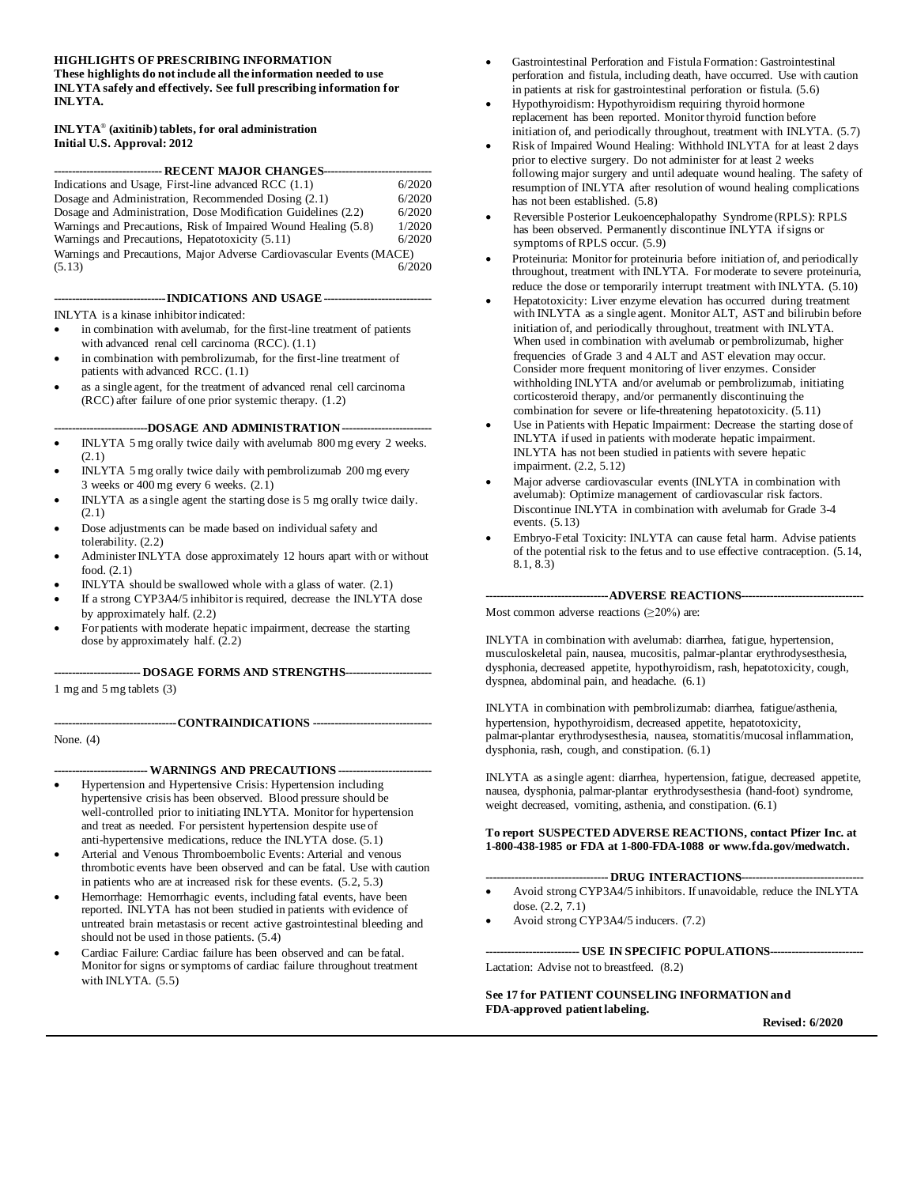#### **HIGHLIGHTS OF PRESCRIBING INFORMATION These highlights do not include all the information needed to use**

**INLYTA safely and effectively. See full prescribing information for INLYTA.**

#### **INLYTA**® **(axitinib) tablets, for oral administration Initial U.S. Approval: 2012**

| ----------------------------- RECENT MAJOR CHANGES---------          |        |
|----------------------------------------------------------------------|--------|
| Indications and Usage, First-line advanced RCC (1.1)                 | 6/2020 |
| Dosage and Administration, Recommended Dosing (2.1)                  | 6/2020 |
| Dosage and Administration, Dose Modification Guidelines (2.2)        | 6/2020 |
| Warnings and Precautions, Risk of Impaired Wound Healing (5.8)       | 1/2020 |
| Warnings and Precautions, Hepatotoxicity (5.11)                      | 6/2020 |
| Warnings and Precautions, Major Adverse Cardiovascular Events (MACE) |        |
| (5.13)                                                               | 6/2020 |

**-------------------------------INDICATIONS AND USAGE------------------------------**

- INLYTA is a kinase inhibitor indicated:
- in combination with avelumab, for the first-line treatment of patients with advanced renal cell carcinoma (RCC). (1.1)
- in combination with pembrolizumab, for the first-line treatment of patients with advanced RCC. (1.1)
- as a single agent, for the treatment of advanced renal cell carcinoma (RCC) after failure of one prior systemic therapy. (1.2)

**--------------------------DOSAGE AND ADMINISTRATION-------------------------**

- INLYTA 5 mg orally twice daily with avelumab 800 mg every 2 weeks. (2.1)
- INLYTA 5 mg orally twice daily with pembrolizumab 200 mg every 3 weeks or 400 mg every 6 weeks. (2.1)
- INLYTA as a single agent the starting dose is 5 mg orally twice daily. (2.1)
- Dose adjustments can be made based on individual safety and tolerability. (2.2)
- Administer INLYTA dose approximately 12 hours apart with or without food. (2.1)
- INLYTA should be swallowed whole with a glass of water. (2.1)
- If a strong CYP3A4/5 inhibitor is required, decrease the INLYTA dose by approximately half. (2.2)
- For patients with moderate hepatic impairment, decrease the starting dose by approximately half.  $(2.2)$

## **------------------------ DOSAGE FORMS AND STRENGTHS------------------------**

1 mg and 5 mg tablets (3)

**----------------------------------CONTRAINDICATIONS ---------------------------------**

None. (4)

**-------------------------- WARNINGS AND PRECAUTIONS --------------------------**

- Hypertension and Hypertensive Crisis: Hypertension including hypertensive crisis has been observed. Blood pressure should be well-controlled prior to initiating INLYTA. Monitor for hypertension and treat as needed. For persistent hypertension despite use of anti-hypertensive medications, reduce the INLYTA dose. (5.1)
- Arterial and Venous Thromboembolic Events: Arterial and venous thrombotic events have been observed and can be fatal. Use with caution in patients who are at increased risk for these events. (5.2, 5.3)
- Hemorrhage: Hemorrhagic events, including fatal events, have been reported. INLYTA has not been studied in patients with evidence of untreated brain metastasis or recent active gastrointestinal bleeding and should not be used in those patients. (5.4)
- Cardiac Failure: Cardiac failure has been observed and can be fatal. Monitor for signs or symptoms of cardiac failure throughout treatment with INLYTA. (5.5)
- Gastrointestinal Perforation and Fistula Formation: Gastrointestinal perforation and fistula, including death, have occurred. Use with caution in patients at risk for gastrointestinal perforation or fistula. (5.6)
- Hypothyroidism: Hypothyroidism requiring thyroid hormone replacement has been reported. Monitor thyroid function before initiation of, and periodically throughout, treatment with INLYTA. (5.7)
- Risk of Impaired Wound Healing: Withhold INLYTA for at least 2 days prior to elective surgery. Do not administer for at least 2 weeks following major surgery and until adequate wound healing. The safety of resumption of INLYTA after resolution of wound healing complications has not been established. (5.8)
- Reversible Posterior Leukoencephalopathy Syndrome (RPLS): RPLS has been observed. Permanently discontinue INLYTA if signs or symptoms of RPLS occur. (5.9)
- Proteinuria: Monitor for proteinuria before initiation of, and periodically throughout, treatment with INLYTA. For moderate to severe proteinuria, reduce the dose or temporarily interrupt treatment with INLYTA. (5.10)
- Hepatotoxicity: Liver enzyme elevation has occurred during treatment with INLYTA as a single agent. Monitor ALT, AST and bilirubin before initiation of, and periodically throughout, treatment with INLYTA. When used in combination with avelumab or pembrolizumab, higher frequencies of Grade 3 and 4 ALT and AST elevation may occur. Consider more frequent monitoring of liver enzymes. Consider withholding INLYTA and/or avelumab or pembrolizumab, initiating corticosteroid therapy, and/or permanently discontinuing the combination for severe or life-threatening hepatotoxicity. (5.11)
- Use in Patients with Hepatic Impairment: Decrease the starting dose of INLYTA if used in patients with moderate hepatic impairment. INLYTA has not been studied in patients with severe hepatic impairment. (2.2, 5.12)
- Major adverse cardiovascular events (INLYTA in combination with avelumab): Optimize management of cardiovascular risk factors. Discontinue INLYTA in combination with avelumab for Grade 3-4 events. (5.13)
- Embryo-Fetal Toxicity: INLYTA can cause fetal harm. Advise patients of the potential risk to the fetus and to use effective contraception. (5.14, 8.1, 8.3)

**----------------------------------ADVERSE REACTIONS----------------------------------**

Most common adverse reactions  $(\geq 20\%)$  are:

INLYTA in combination with avelumab: diarrhea, fatigue, hypertension, musculoskeletal pain, nausea, mucositis, palmar-plantar erythrodysesthesia, dysphonia, decreased appetite, hypothyroidism, rash, hepatotoxicity, cough, dyspnea, abdominal pain, and headache. (6.1)

INLYTA in combination with pembrolizumab: diarrhea, fatigue/asthenia, hypertension, hypothyroidism, decreased appetite, hepatotoxicity, palmar-plantar erythrodysesthesia, nausea, stomatitis/mucosal inflammation, dysphonia, rash, cough, and constipation. (6.1)

INLYTA as a single agent: diarrhea, hypertension, fatigue, decreased appetite, nausea, dysphonia, palmar-plantar erythrodysesthesia (hand-foot) syndrome, weight decreased, vomiting, asthenia, and constipation. (6.1)

#### **To report SUSPECTED ADVERSE REACTIONS, contact Pfizer Inc. at 1-800-438-1985 or FDA at 1-800-FDA-1088 o[r www.fda.gov/medwatch.](http://www.fda.gov/Safety/MedWatch/default.htm)**

#### **---------------------------------- DRUG INTERACTIONS----------------------------------**

- Avoid strong CYP3A4/5 inhibitors. If unavoidable, reduce the INLYTA dose. (2.2, 7.1)
- Avoid strong CYP3A4/5 inducers. (7.2)

**-------------------------- USE IN SPECIFIC POPULATIONS--------------------------** Lactation: Advise not to breastfeed. (8.2)

**See 17 for PATIENT COUNSELING INFORMATION and FDA-approved patient labeling.**

**Revised: 6/2020**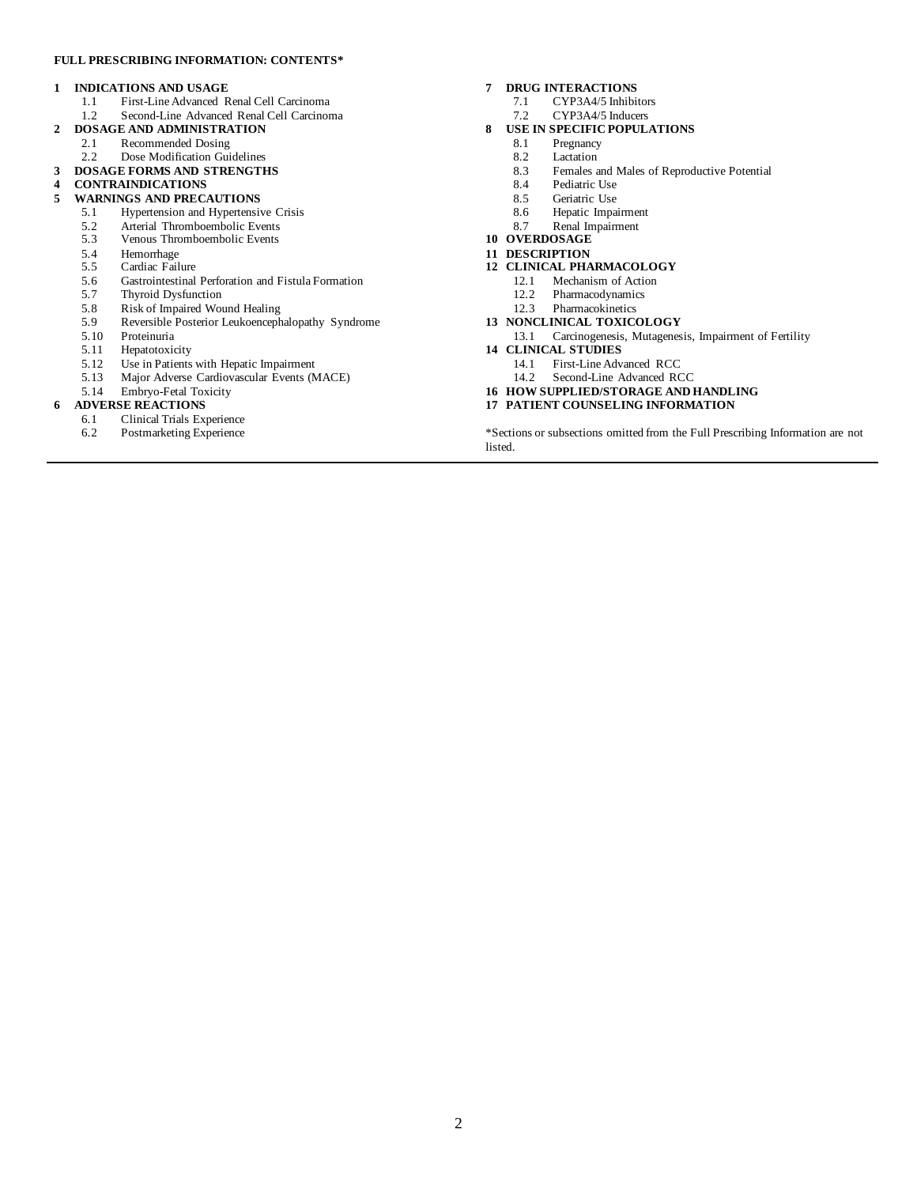#### **FULL PRESCRIBING INFORMATION: CONTENTS\***

#### **1 INDICATIONS AND USAGE**

- 1.1 First-Line Advanced Renal Cell Carcinoma<br>1.2 Second-Line Advanced Renal Cell Carcinom
- Second-Line Advanced Renal Cell Carcinoma
- **2 DOSAGE AND ADMINISTRATION**
	- 2.1 Recommended Dosing<br>2.2 Dose Modification Gui
	- Dose Modification Guidelines
- **3 DOSAGE FORMS AND STRENGTHS**
- **4 CONTRAINDICATIONS**

# **WARNINGS AND PRECAUTIONS**<br>5.1 **Hypertension and Hypertensiv**

- 5.1 Hypertension and Hypertensive Crisis
- 5.2 Arterial Thromboembolic Events<br>5.3 Venous Thromboembolic Events
- Venous Thromboembolic Events
- 5.4 Hemorrhage<br>5.5 Cardiac Fail
- 5.5 Cardiac Failure<br>5.6 Gastrointestinal
- 5.6 Gastrointestinal Perforation and Fistula Formation<br>5.7 Thyroid Dysfunction
- 5.7 Thyroid Dysfunction
- 5.8 Risk of Impaired Wound Healing
- 5.9 Reversible Posterior Leukoencephalopathy Syndrome
- 5.10 Proteinuria
- 5.11 Hepatotoxicity<br>5.12 Use in Patients
- 5.12 Use in Patients with Hepatic Impairment<br>5.13 Major Adverse Cardiovascular Events (M
- Major Adverse Cardiovascular Events (MACE)
- 5.14 Embryo-Fetal Toxicity

# **6 ADVERSE REACTIONS**<br>6.1 **Clinical Trials Ex**

- 6.1 Clinical Trials Experience
- 6.2 Postmarketing Experience

#### **7 DRUG INTERACTIONS**

- 7.1 CYP3A4/5 Inhibitors<br>7.2 CYP3A4/5 Inducers
- CYP3A4/5 Inducers
- **8 USE IN SPECIFIC POPULATIONS**
	- 8.1 Pregnancy
	- 8.2 Lactation<br>8.3 Females
	- Females and Males of Reproductive Potential
	- 8.4 Pediatric Use<br>8.5 Geriatric Use
	- 8.5 Geriatric Use<br>8.6 Henatic Impa
	- Hepatic Impairment
	- 8.7 Renal Impairment
- **10 OVERDOSAGE**
- **11 DESCRIPTION**
- **12 CLINICAL PHARMACOLOGY**
	- 12.1 Mechanism of Action<br>12.2 Pharmacodynamics
	- Pharmacodynamics
	- 12.3 Pharmacokinetics
- **13 NONCLINICAL TOXICOLOGY**
	- 13.1 Carcinogenesis, Mutagenesis, Impairment of Fertility
- **14 CLINICAL STUDIES**
	- 14.1 First-Line Advanced RCC
	- 14.2 Second-Line Advanced RCC
- **16 HOW SUPPLIED/STORAGE AND HANDLING**
- **17 PATIENT COUNSELING INFORMATION**

\*Sections or subsections omitted from the Full Prescribing Information are not listed.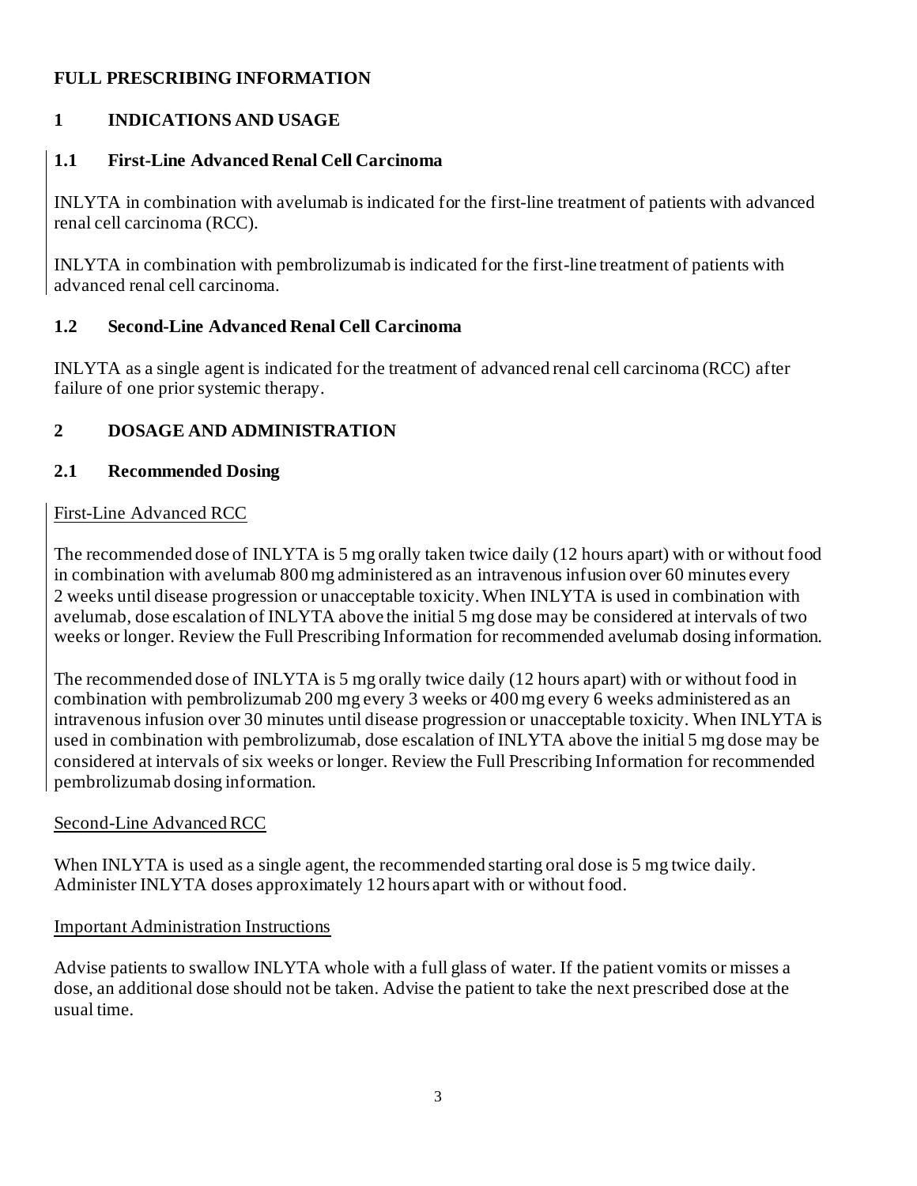# **FULL PRESCRIBING INFORMATION**

# **1 INDICATIONS AND USAGE**

### **1.1 First-Line Advanced Renal Cell Carcinoma**

INLYTA in combination with avelumab is indicated for the first-line treatment of patients with advanced renal cell carcinoma (RCC).

INLYTA in combination with pembrolizumab is indicated for the first-line treatment of patients with advanced renal cell carcinoma.

### **1.2 Second-Line Advanced Renal Cell Carcinoma**

INLYTA as a single agent is indicated for the treatment of advanced renal cell carcinoma (RCC) after failure of one prior systemic therapy.

## **2 DOSAGE AND ADMINISTRATION**

### **2.1 Recommended Dosing**

### First-Line Advanced RCC

The recommended dose of INLYTA is 5 mg orally taken twice daily (12 hours apart) with or without food in combination with avelumab 800 mg administered as an intravenous infusion over 60 minutes every 2 weeks until disease progression or unacceptable toxicity. When INLYTA is used in combination with avelumab, dose escalation of INLYTA above the initial 5 mg dose may be considered at intervals of two weeks or longer. Review the Full Prescribing Information for recommended avelumab dosing information.

The recommended dose of INLYTA is 5 mg orally twice daily (12 hours apart) with or without food in combination with pembrolizumab 200 mg every 3 weeks or 400 mg every 6 weeks administered as an intravenous infusion over 30 minutes until disease progression or unacceptable toxicity. When INLYTA is used in combination with pembrolizumab, dose escalation of INLYTA above the initial 5 mg dose may be considered at intervals of six weeks or longer. Review the Full Prescribing Information for recommended pembrolizumab dosing information.

### Second-Line Advanced RCC

When INLYTA is used as a single agent, the recommended starting oral dose is 5 mg twice daily. Administer INLYTA doses approximately 12 hours apart with or without food.

### Important Administration Instructions

Advise patients to swallow INLYTA whole with a full glass of water. If the patient vomits or misses a dose, an additional dose should not be taken. Advise the patient to take the next prescribed dose at the usual time.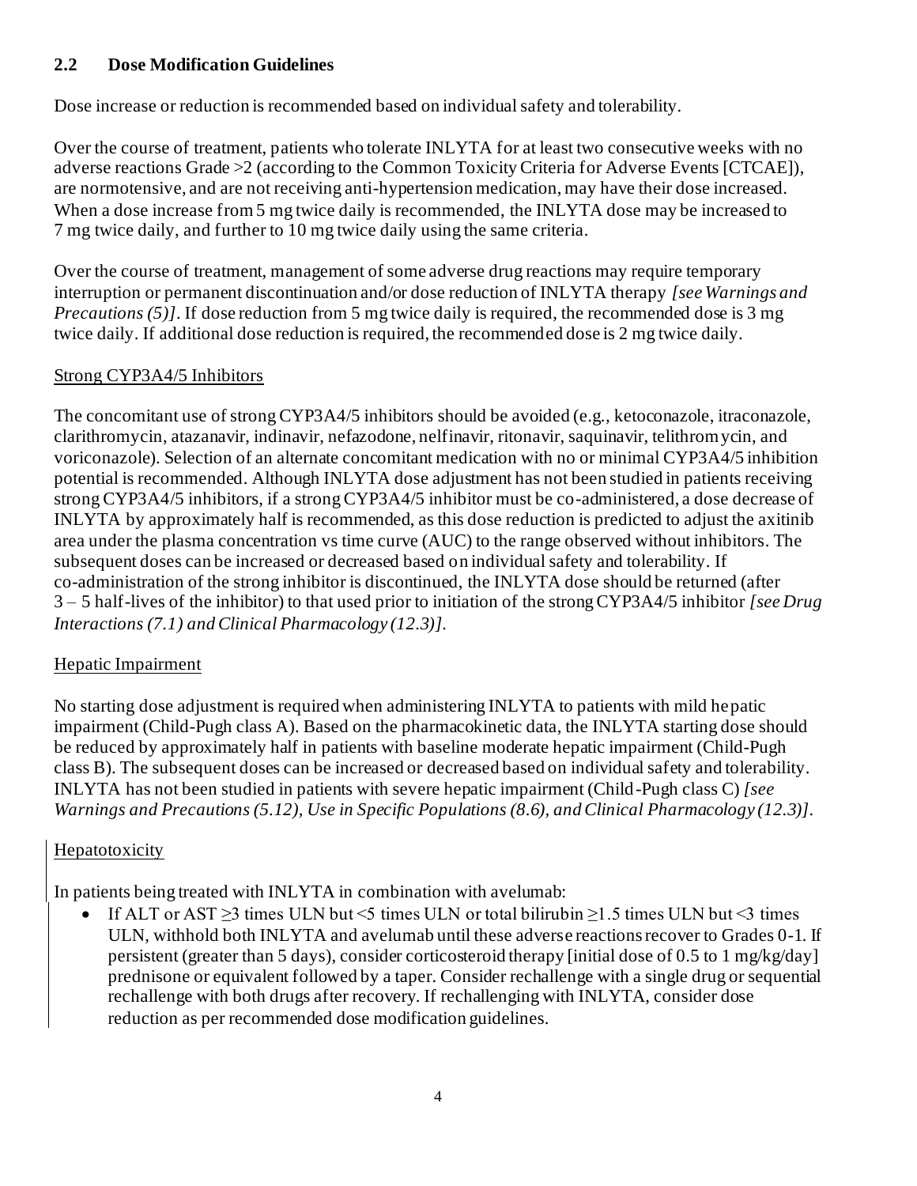### **2.2 Dose Modification Guidelines**

Dose increase or reduction is recommended based on individual safety and tolerability.

Over the course of treatment, patients who tolerate INLYTA for at least two consecutive weeks with no adverse reactions Grade >2 (according to the Common Toxicity Criteria for Adverse Events [CTCAE]), are normotensive, and are not receiving anti-hypertension medication, may have their dose increased. When a dose increase from 5 mg twice daily is recommended, the INLYTA dose may be increased to 7 mg twice daily, and further to 10 mg twice daily using the same criteria.

Over the course of treatment, management of some adverse drug reactions may require temporary interruption or permanent discontinuation and/or dose reduction of INLYTA therapy *[see Warnings and Precautions (5)]*. If dose reduction from 5 mg twice daily is required, the recommended dose is 3 mg twice daily. If additional dose reduction is required, the recommended dose is 2 mg twice daily.

### Strong CYP3A4/5 Inhibitors

The concomitant use of strong CYP3A4/5 inhibitors should be avoided (e.g., ketoconazole, itraconazole, clarithromycin, atazanavir, indinavir, nefazodone, nelfinavir, ritonavir, saquinavir, telithromycin, and voriconazole). Selection of an alternate concomitant medication with no or minimal CYP3A4/5 inhibition potential is recommended. Although INLYTA dose adjustment has not been studied in patients receiving strong CYP3A4/5 inhibitors, if a strong CYP3A4/5 inhibitor must be co-administered, a dose decrease of INLYTA by approximately half is recommended, as this dose reduction is predicted to adjust the axitinib area under the plasma concentration vs time curve (AUC) to the range observed without inhibitors. The subsequent doses can be increased or decreased based on individual safety and tolerability. If co-administration of the strong inhibitor is discontinued, the INLYTA dose should be returned (after 3 – 5 half-lives of the inhibitor) to that used prior to initiation of the strong CYP3A4/5 inhibitor *[see Drug Interactions (7.1) and Clinical Pharmacology (12.3)].*

## Hepatic Impairment

No starting dose adjustment is required when administering INLYTA to patients with mild hepatic impairment (Child-Pugh class A). Based on the pharmacokinetic data, the INLYTA starting dose should be reduced by approximately half in patients with baseline moderate hepatic impairment (Child-Pugh class B). The subsequent doses can be increased or decreased based on individual safety and tolerability. INLYTA has not been studied in patients with severe hepatic impairment (Child-Pugh class C) *[see Warnings and Precautions (5.12), Use in Specific Populations (8.6), and Clinical Pharmacology (12.3)].*

## Hepatotoxicity

In patients being treated with INLYTA in combination with avelumab:

If ALT or AST  $\geq$ 3 times ULN but <5 times ULN or total bilirubin  $\geq$ 1.5 times ULN but <3 times ULN, withhold both INLYTA and avelumab until these adverse reactions recover to Grades 0-1. If persistent (greater than 5 days), consider corticosteroid therapy [initial dose of 0.5 to 1 mg/kg/day] prednisone or equivalent followed by a taper. Consider rechallenge with a single drug or sequential rechallenge with both drugs after recovery. If rechallenging with INLYTA, consider dose reduction as per recommended dose modification guidelines.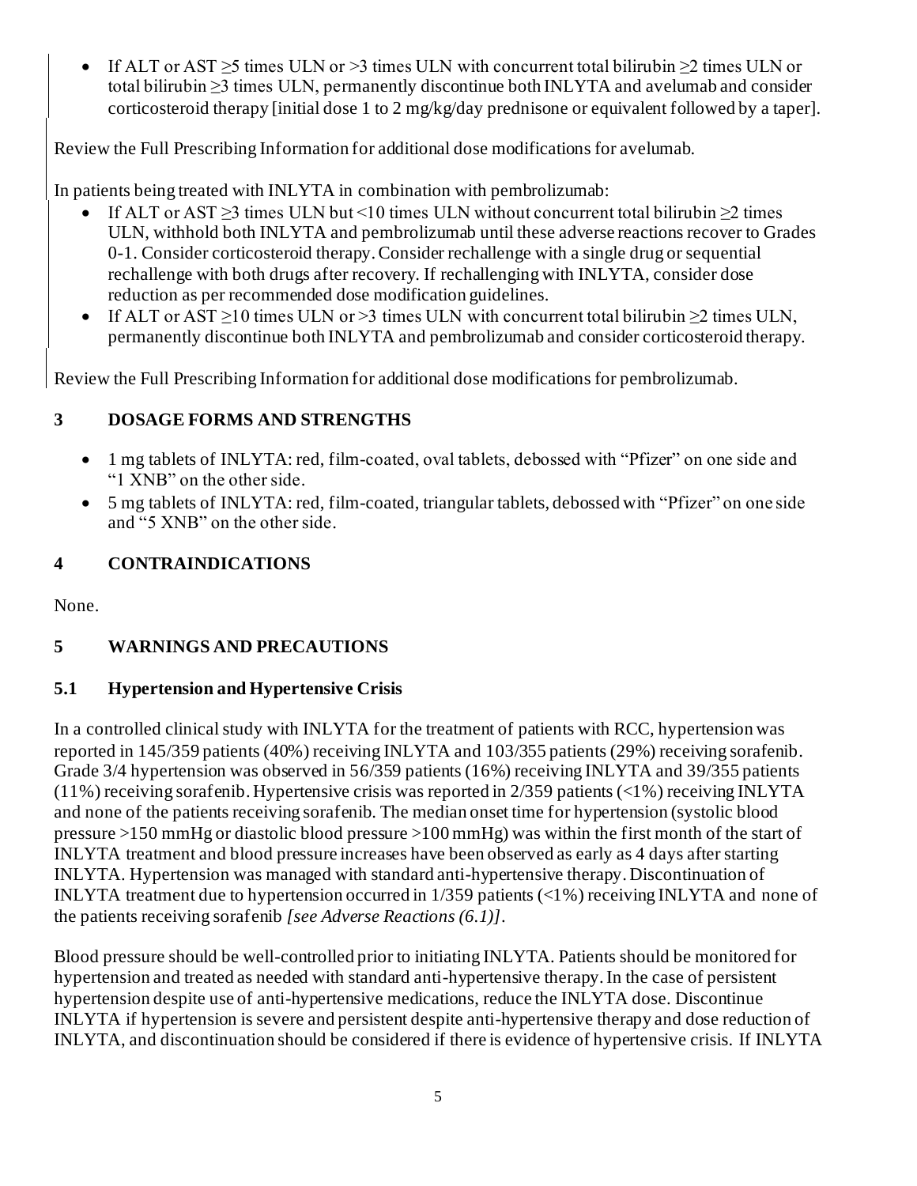• If ALT or AST  $\geq$ 5 times ULN or  $\geq$ 3 times ULN with concurrent total bilirubin  $\geq$ 2 times ULN or total bilirubin ≥3 times ULN, permanently discontinue both INLYTA and avelumab and consider corticosteroid therapy [initial dose 1 to 2 mg/kg/day prednisone or equivalent followed by a taper].

Review the Full Prescribing Information for additional dose modifications for avelumab.

In patients being treated with INLYTA in combination with pembrolizumab:

- If ALT or AST  $>3$  times ULN but <10 times ULN without concurrent total bilirubin  $\geq 2$  times ULN, withhold both INLYTA and pembrolizumab until these adverse reactions recover to Grades 0-1. Consider corticosteroid therapy. Consider rechallenge with a single drug or sequential rechallenge with both drugs after recovery. If rechallenging with INLYTA, consider dose reduction as per recommended dose modification guidelines.
- If ALT or AST  $\geq$ 10 times ULN or  $>$ 3 times ULN with concurrent total bilirubin  $\geq$ 2 times ULN, permanently discontinue both INLYTA and pembrolizumab and consider corticosteroid therapy.

Review the Full Prescribing Information for additional dose modifications for pembrolizumab.

## **3 DOSAGE FORMS AND STRENGTHS**

- 1 mg tablets of INLYTA: red, film-coated, oval tablets, debossed with "Pfizer" on one side and "1 XNB" on the other side.
- 5 mg tablets of INLYTA: red, film-coated, triangular tablets, debossed with "Pfizer" on one side and "5 XNB" on the other side.

## **4 CONTRAINDICATIONS**

None.

# **5 WARNINGS AND PRECAUTIONS**

## **5.1 Hypertension and Hypertensive Crisis**

In a controlled clinical study with INLYTA for the treatment of patients with RCC, hypertension was reported in 145/359 patients (40%) receiving INLYTA and 103/355 patients (29%) receiving sorafenib. Grade 3/4 hypertension was observed in 56/359 patients (16%) receiving INLYTA and 39/355 patients (11%) receiving sorafenib. Hypertensive crisis was reported in 2/359 patients (<1%) receiving INLYTA and none of the patients receiving sorafenib. The median onset time for hypertension (systolic blood pressure >150 mmHg or diastolic blood pressure >100 mmHg) was within the first month of the start of INLYTA treatment and blood pressure increases have been observed as early as 4 days after starting INLYTA. Hypertension was managed with standard anti-hypertensive therapy. Discontinuation of INLYTA treatment due to hypertension occurred in 1/359 patients (<1%) receiving INLYTA and none of the patients receiving sorafenib *[see Adverse Reactions (6.1)]*.

Blood pressure should be well-controlled prior to initiating INLYTA. Patients should be monitored for hypertension and treated as needed with standard anti-hypertensive therapy. In the case of persistent hypertension despite use of anti-hypertensive medications, reduce the INLYTA dose. Discontinue INLYTA if hypertension is severe and persistent despite anti-hypertensive therapy and dose reduction of INLYTA, and discontinuation should be considered if there is evidence of hypertensive crisis. If INLYTA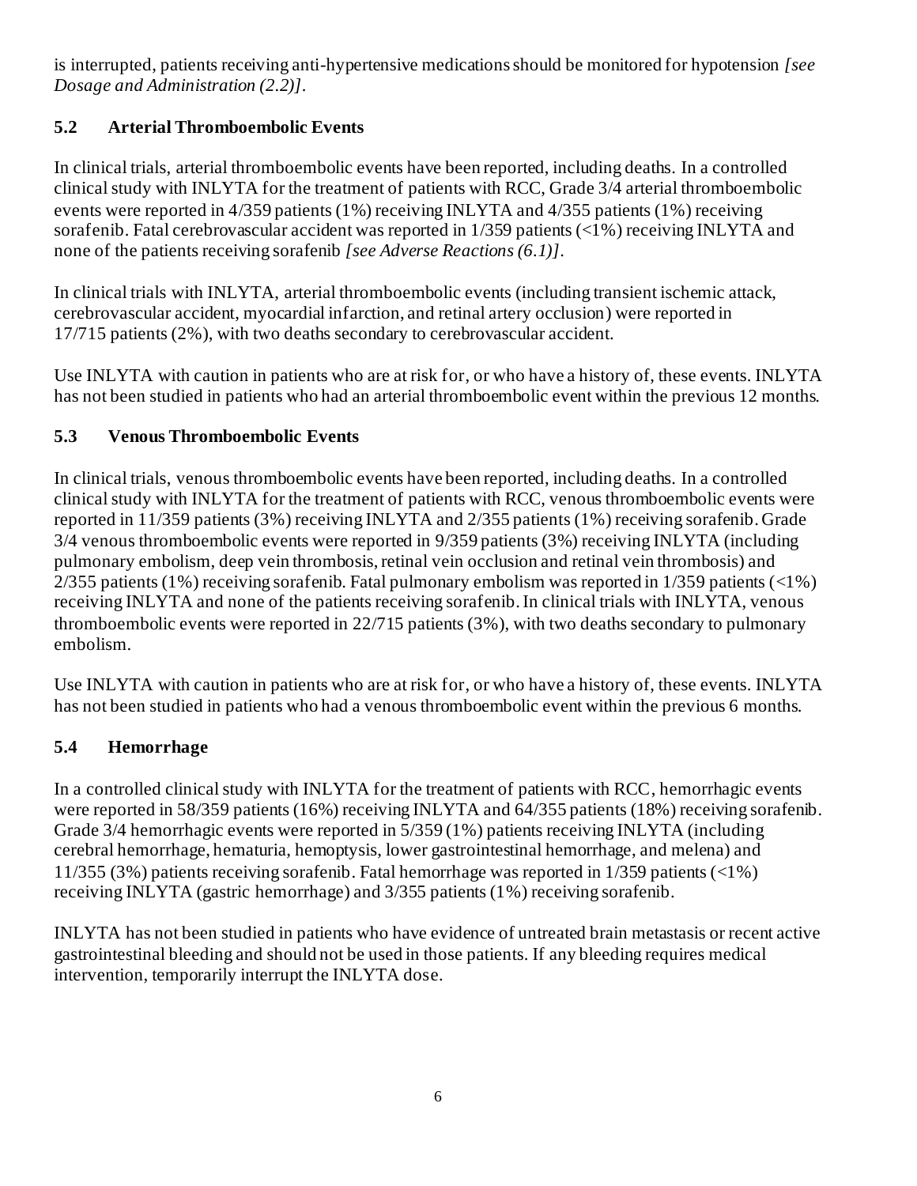is interrupted, patients receiving anti-hypertensive medications should be monitored for hypotension *[see Dosage and Administration (2.2)].*

# **5.2 Arterial Thromboembolic Events**

In clinical trials, arterial thromboembolic events have been reported, including deaths. In a controlled clinical study with INLYTA for the treatment of patients with RCC, Grade 3/4 arterial thromboembolic events were reported in 4/359 patients (1%) receiving INLYTA and 4/355 patients (1%) receiving sorafenib. Fatal cerebrovascular accident was reported in 1/359 patients (<1%) receiving INLYTA and none of the patients receiving sorafenib *[see Adverse Reactions (6.1)]*.

In clinical trials with INLYTA, arterial thromboembolic events (including transient ischemic attack, cerebrovascular accident, myocardial infarction, and retinal artery occlusion) were reported in 17/715 patients (2%), with two deaths secondary to cerebrovascular accident.

Use INLYTA with caution in patients who are at risk for, or who have a history of, these events. INLYTA has not been studied in patients who had an arterial thromboembolic event within the previous 12 months.

# **5.3 Venous Thromboembolic Events**

In clinical trials, venous thromboembolic events have been reported, including deaths. In a controlled clinical study with INLYTA for the treatment of patients with RCC, venous thromboembolic events were reported in 11/359 patients (3%) receiving INLYTA and 2/355 patients (1%) receiving sorafenib. Grade 3/4 venous thromboembolic events were reported in 9/359 patients (3%) receiving INLYTA (including pulmonary embolism, deep vein thrombosis, retinal vein occlusion and retinal vein thrombosis) and 2/355 patients (1%) receiving sorafenib. Fatal pulmonary embolism was reported in 1/359 patients (<1%) receiving INLYTA and none of the patients receiving sorafenib.In clinical trials with INLYTA, venous thromboembolic events were reported in 22/715 patients (3%), with two deaths secondary to pulmonary embolism.

Use INLYTA with caution in patients who are at risk for, or who have a history of, these events. INLYTA has not been studied in patients who had a venous thromboembolic event within the previous 6 months.

# **5.4 Hemorrhage**

In a controlled clinical study with INLYTA for the treatment of patients with RCC, hemorrhagic events were reported in 58/359 patients (16%) receiving INLYTA and 64/355 patients (18%) receiving sorafenib. Grade 3/4 hemorrhagic events were reported in 5/359 (1%) patients receiving INLYTA (including cerebral hemorrhage, hematuria, hemoptysis, lower gastrointestinal hemorrhage, and melena) and 11/355 (3%) patients receiving sorafenib. Fatal hemorrhage was reported in 1/359 patients (<1%) receiving INLYTA (gastric hemorrhage) and 3/355 patients (1%) receiving sorafenib.

INLYTA has not been studied in patients who have evidence of untreated brain metastasis or recent active gastrointestinal bleeding and should not be used in those patients. If any bleeding requires medical intervention, temporarily interrupt the INLYTA dose.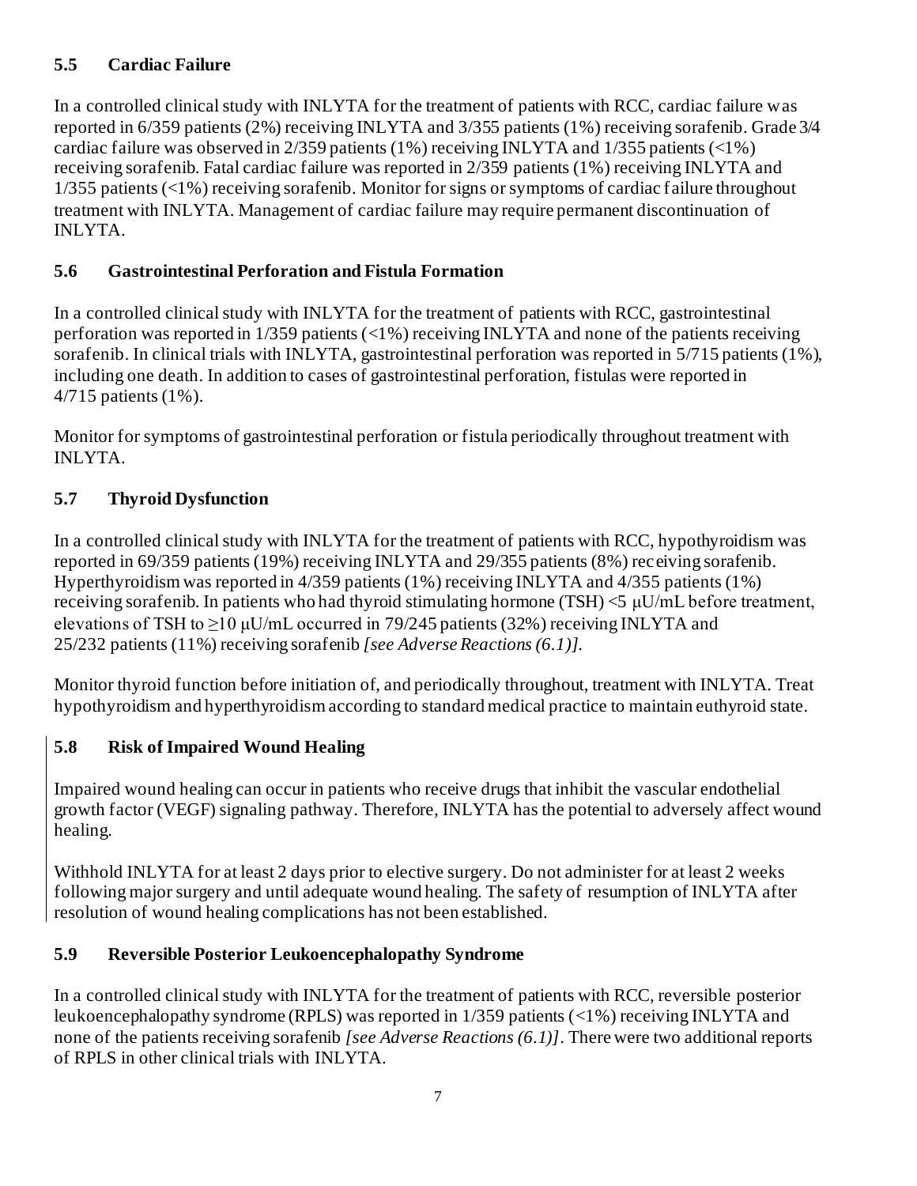# **5.5 Cardiac Failure**

In a controlled clinical study with INLYTA for the treatment of patients with RCC, cardiac failure was reported in 6/359 patients (2%) receiving INLYTA and 3/355 patients (1%) receiving sorafenib. Grade 3/4 cardiac failure was observed in 2/359 patients (1%) receiving INLYTA and 1/355 patients (<1%) receiving sorafenib. Fatal cardiac failure was reported in 2/359 patients (1%) receiving INLYTA and 1/355 patients (<1%) receiving sorafenib. Monitor for signs or symptoms of cardiac failure throughout treatment with INLYTA. Management of cardiac failure may require permanent discontinuation of INLYTA.

# **5.6 Gastrointestinal Perforation and Fistula Formation**

In a controlled clinical study with INLYTA for the treatment of patients with RCC, gastrointestinal perforation was reported in 1/359 patients (<1%) receiving INLYTA and none of the patients receiving sorafenib. In clinical trials with INLYTA, gastrointestinal perforation was reported in 5/715 patients (1%), including one death. In addition to cases of gastrointestinal perforation, fistulas were reported in 4/715 patients (1%).

Monitor for symptoms of gastrointestinal perforation or fistula periodically throughout treatment with INLYTA.

# **5.7 Thyroid Dysfunction**

In a controlled clinical study with INLYTA for the treatment of patients with RCC, hypothyroidism was reported in 69/359 patients (19%) receiving INLYTA and 29/355 patients (8%) receiving sorafenib. Hyperthyroidism was reported in 4/359 patients (1%) receiving INLYTA and 4/355 patients (1%) receiving sorafenib. In patients who had thyroid stimulating hormone (TSH) <5 μU/mL before treatment, elevations of TSH to  $\geq$ 10 μU/mL occurred in 79/245 patients (32%) receiving INLYTA and 25/232 patients (11%) receiving sorafenib *[see Adverse Reactions (6.1)]*.

Monitor thyroid function before initiation of, and periodically throughout, treatment with INLYTA. Treat hypothyroidism and hyperthyroidism according to standard medical practice to maintain euthyroid state.

# **5.8 Risk of Impaired Wound Healing**

Impaired wound healing can occur in patients who receive drugs that inhibit the vascular endothelial growth factor (VEGF) signaling pathway. Therefore, INLYTA has the potential to adversely affect wound healing.

Withhold INLYTA for at least 2 days prior to elective surgery. Do not administer for at least 2 weeks following major surgery and until adequate wound healing. The safety of resumption of INLYTA after resolution of wound healing complications has not been established.

# **5.9 Reversible Posterior Leukoencephalopathy Syndrome**

In a controlled clinical study with INLYTA for the treatment of patients with RCC, reversible posterior leukoencephalopathy syndrome (RPLS) was reported in 1/359 patients (<1%) receiving INLYTA and none of the patients receiving sorafenib *[see Adverse Reactions (6.1)]*. There were two additional reports of RPLS in other clinical trials with INLYTA.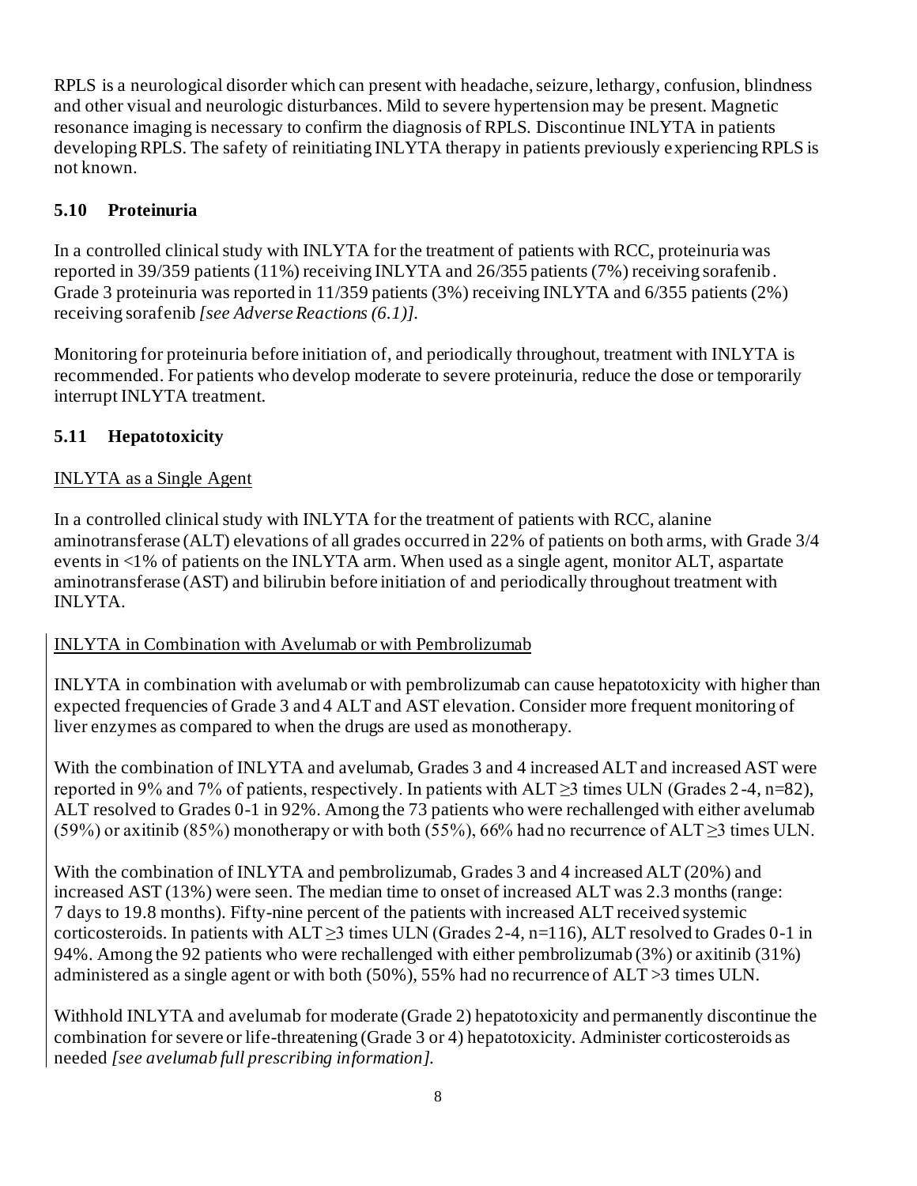RPLS is a neurological disorder which can present with headache, seizure, lethargy, confusion, blindness and other visual and neurologic disturbances. Mild to severe hypertension may be present. Magnetic resonance imaging is necessary to confirm the diagnosis of RPLS. Discontinue INLYTA in patients developing RPLS. The safety of reinitiating INLYTA therapy in patients previously experiencing RPLS is not known.

# **5.10 Proteinuria**

In a controlled clinical study with INLYTA for the treatment of patients with RCC, proteinuria was reported in 39/359 patients (11%) receiving INLYTA and 26/355 patients (7%) receiving sorafenib. Grade 3 proteinuria was reported in 11/359 patients (3%) receiving INLYTA and 6/355 patients (2%) receiving sorafenib *[see Adverse Reactions (6.1)]*.

Monitoring for proteinuria before initiation of, and periodically throughout, treatment with INLYTA is recommended. For patients who develop moderate to severe proteinuria, reduce the dose or temporarily interrupt INLYTA treatment.

# **5.11 Hepatotoxicity**

# INLYTA as a Single Agent

In a controlled clinical study with INLYTA for the treatment of patients with RCC, alanine aminotransferase (ALT) elevations of all grades occurred in 22% of patients on both arms, with Grade 3/4 events in <1% of patients on the INLYTA arm. When used as a single agent, monitor ALT, aspartate aminotransferase (AST) and bilirubin before initiation of and periodically throughout treatment with INLYTA.

## INLYTA in Combination with Avelumab or with Pembrolizumab

INLYTA in combination with avelumab or with pembrolizumab can cause hepatotoxicity with higher than expected frequencies of Grade 3 and 4 ALT and AST elevation. Consider more frequent monitoring of liver enzymes as compared to when the drugs are used as monotherapy.

With the combination of INLYTA and avelumab, Grades 3 and 4 increased ALT and increased AST were reported in 9% and 7% of patients, respectively. In patients with  $ALT \geq 3$  times ULN (Grades 2-4, n=82), ALT resolved to Grades 0-1 in 92%. Among the 73 patients who were rechallenged with either avelumab (59%) or axitinib (85%) monotherapy or with both (55%), 66% had no recurrence of ALT  $\geq$ 3 times ULN.

With the combination of INLYTA and pembrolizumab, Grades 3 and 4 increased ALT (20%) and increased AST (13%) were seen. The median time to onset of increased ALT was 2.3 months (range: 7 days to 19.8 months). Fifty-nine percent of the patients with increased ALT received systemic corticosteroids. In patients with  $ALT \geq 3$  times ULN (Grades 2-4, n=116), ALT resolved to Grades 0-1 in 94%. Among the 92 patients who were rechallenged with either pembrolizumab (3%) or axitinib (31%) administered as a single agent or with both (50%), 55% had no recurrence of ALT >3 times ULN.

Withhold INLYTA and avelumab for moderate (Grade 2) hepatotoxicity and permanently discontinue the combination for severe or life-threatening (Grade 3 or 4) hepatotoxicity. Administer corticosteroids as needed *[see avelumab full prescribing information]*.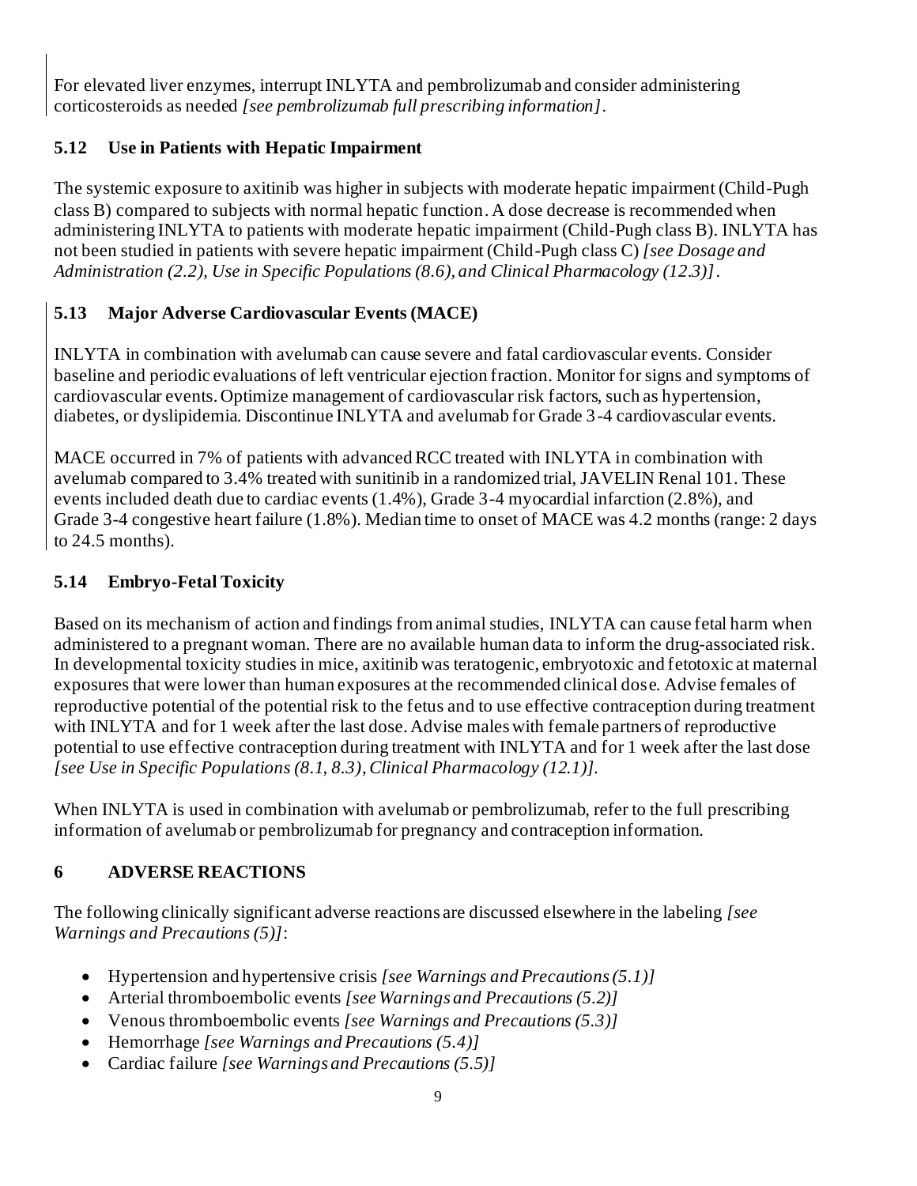For elevated liver enzymes, interrupt INLYTA and pembrolizumab and consider administering corticosteroids as needed *[see pembrolizumab full prescribing information]*.

# **5.12 Use in Patients with Hepatic Impairment**

The systemic exposure to axitinib was higher in subjects with moderate hepatic impairment (Child-Pugh class B) compared to subjects with normal hepatic function. A dose decrease is recommended when administering INLYTA to patients with moderate hepatic impairment (Child-Pugh class B). INLYTA has not been studied in patients with severe hepatic impairment (Child-Pugh class C) *[see Dosage and Administration (2.2), Use in Specific Populations (8.6), and Clinical Pharmacology (12.3)]*.

# **5.13 Major Adverse Cardiovascular Events (MACE)**

INLYTA in combination with avelumab can cause severe and fatal cardiovascular events. Consider baseline and periodic evaluations of left ventricular ejection fraction. Monitor for signs and symptoms of cardiovascular events. Optimize management of cardiovascular risk factors, such as hypertension, diabetes, or dyslipidemia. Discontinue INLYTA and avelumab for Grade 3-4 cardiovascular events.

MACE occurred in 7% of patients with advanced RCC treated with INLYTA in combination with avelumab compared to 3.4% treated with sunitinib in a randomized trial, JAVELIN Renal 101. These events included death due to cardiac events (1.4%), Grade 3-4 myocardial infarction (2.8%), and Grade 3-4 congestive heart failure (1.8%). Median time to onset of MACE was 4.2 months (range: 2 days to 24.5 months).

# **5.14 Embryo-Fetal Toxicity**

Based on its mechanism of action and findings from animal studies, INLYTA can cause fetal harm when administered to a pregnant woman. There are no available human data to inform the drug-associated risk. In developmental toxicity studies in mice, axitinib was teratogenic, embryotoxic and fetotoxic at maternal exposures that were lower than human exposures at the recommended clinical dose. Advise females of reproductive potential of the potential risk to the fetus and to use effective contraception during treatment with INLYTA and for 1 week after the last dose. Advise males with female partners of reproductive potential to use effective contraception during treatment with INLYTA and for 1 week after the last dose *[see Use in Specific Populations (8.1, 8.3),Clinical Pharmacology (12.1)]*.

When INLYTA is used in combination with avelumab or pembrolizumab, refer to the full prescribing information of avelumab or pembrolizumab for pregnancy and contraception information.

# **6 ADVERSE REACTIONS**

The following clinically significant adverse reactions are discussed elsewhere in the labeling *[see Warnings and Precautions (5)]*:

- Hypertension and hypertensive crisis *[see Warnings and Precautions (5.1)]*
- Arterial thromboembolic events *[see Warnings and Precautions (5.2)]*
- Venous thromboembolic events *[see Warnings and Precautions (5.3)]*
- Hemorrhage *[see Warnings and Precautions (5.4)]*
- Cardiac failure *[see Warnings and Precautions (5.5)]*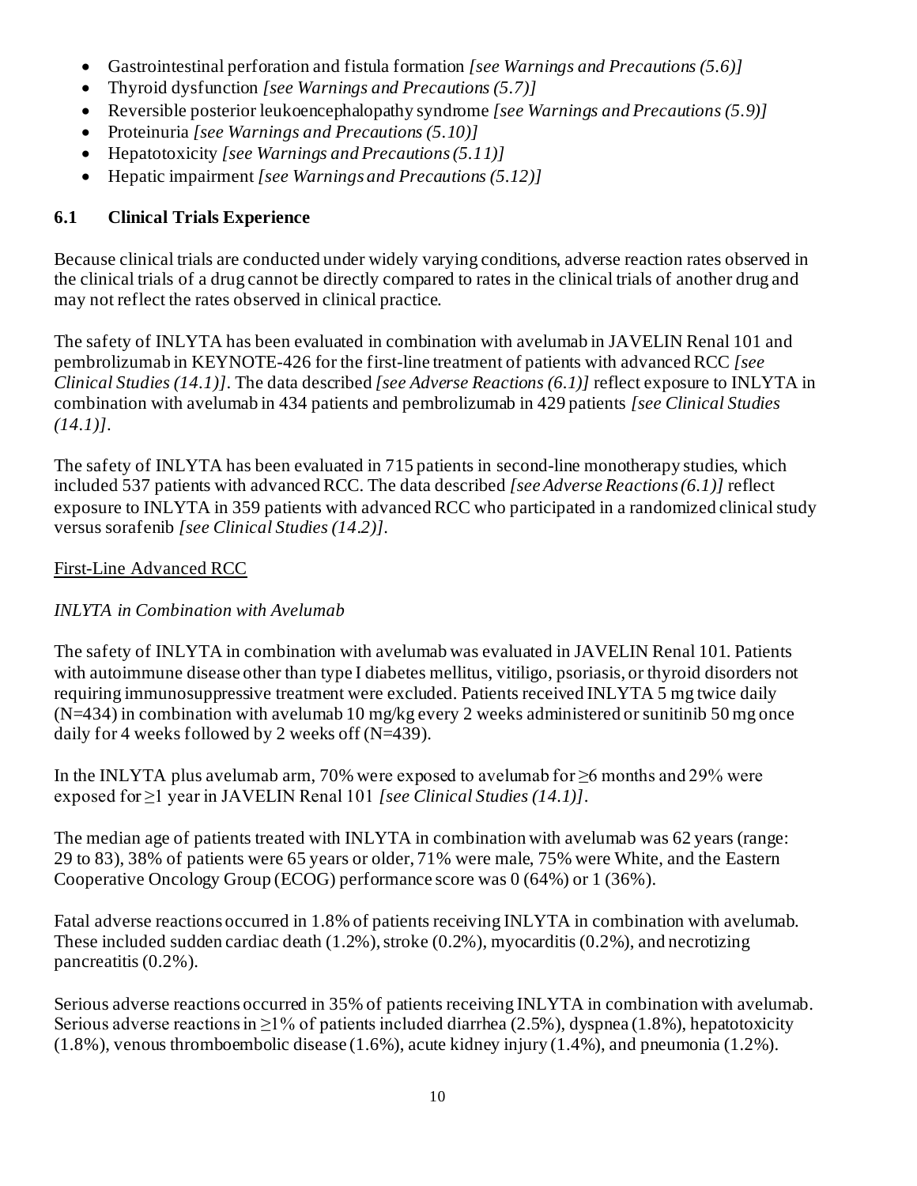- Gastrointestinal perforation and fistula formation *[see Warnings and Precautions (5.6)]*
- Thyroid dysfunction *[see Warnings and Precautions (5.7)]*
- Reversible posterior leukoencephalopathy syndrome *[see Warnings and Precautions (5.9)]*
- Proteinuria *[see Warnings and Precautions (5.10)]*
- Hepatotoxicity *[see Warnings and Precautions (5.11)]*
- Hepatic impairment *[see Warnings and Precautions (5.12)]*

# **6.1 Clinical Trials Experience**

Because clinical trials are conducted under widely varying conditions, adverse reaction rates observed in the clinical trials of a drug cannot be directly compared to rates in the clinical trials of another drug and may not reflect the rates observed in clinical practice.

The safety of INLYTA has been evaluated in combination with avelumab in JAVELIN Renal 101 and pembrolizumab in KEYNOTE-426 for the first-line treatment of patients with advanced RCC *[see Clinical Studies (14.1)]*. The data described *[see Adverse Reactions (6.1)]* reflect exposure to INLYTA in combination with avelumab in 434 patients and pembrolizumab in 429 patients *[see Clinical Studies (14.1)]*.

The safety of INLYTA has been evaluated in 715 patients in second-line monotherapy studies, which included 537 patients with advanced RCC. The data described *[see Adverse Reactions (6.1)]* reflect exposure to INLYTA in 359 patients with advanced RCC who participated in a randomized clinical study versus sorafenib *[see Clinical Studies (14.2)]*.

## First-Line Advanced RCC

## *INLYTA in Combination with Avelumab*

The safety of INLYTA in combination with avelumab was evaluated in JAVELIN Renal 101. Patients with autoimmune disease other than type I diabetes mellitus, vitiligo, psoriasis, or thyroid disorders not requiring immunosuppressive treatment were excluded. Patients received INLYTA 5 mg twice daily  $(N=434)$  in combination with avelumab 10 mg/kg every 2 weeks administered or sunitinib 50 mg once daily for 4 weeks followed by 2 weeks off (N=439).

In the INLYTA plus avelumab arm, 70% were exposed to avelumab for ≥6 months and 29% were exposed for ≥1 year in JAVELIN Renal 101 *[see Clinical Studies (14.1)]*.

The median age of patients treated with INLYTA in combination with avelumab was 62 years (range: 29 to 83), 38% of patients were 65 years or older, 71% were male, 75% were White, and the Eastern Cooperative Oncology Group (ECOG) performance score was 0 (64%) or 1 (36%).

Fatal adverse reactions occurred in 1.8% of patients receiving INLYTA in combination with avelumab. These included sudden cardiac death (1.2%), stroke (0.2%), myocarditis (0.2%), and necrotizing pancreatitis (0.2%).

Serious adverse reactions occurred in 35% of patients receiving INLYTA in combination with avelumab. Serious adverse reactions in  $\geq$ 1% of patients included diarrhea (2.5%), dyspnea (1.8%), hepatotoxicity (1.8%), venous thromboembolic disease (1.6%), acute kidney injury (1.4%), and pneumonia (1.2%).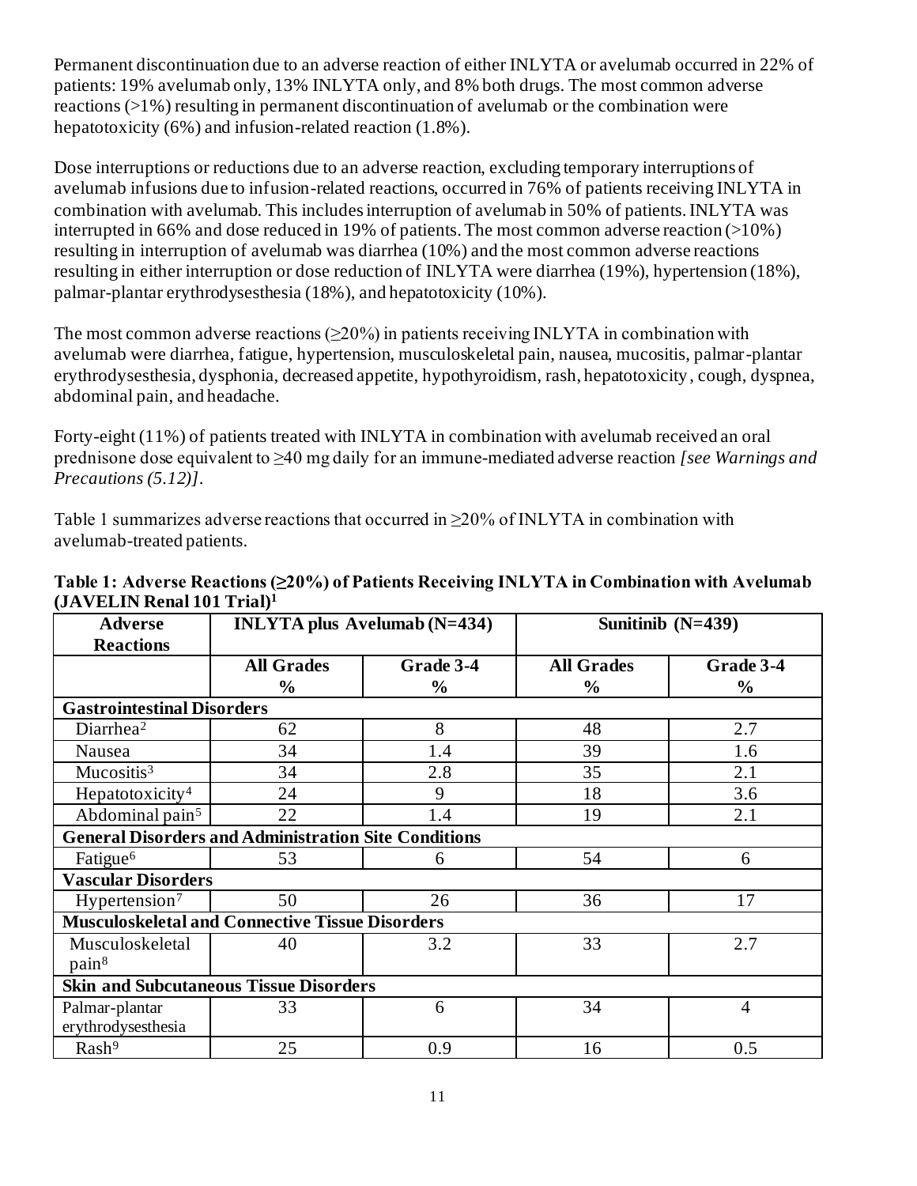Permanent discontinuation due to an adverse reaction of either INLYTA or avelumab occurred in 22% of patients: 19% avelumab only, 13% INLYTA only, and 8% both drugs. The most common adverse reactions (>1%) resulting in permanent discontinuation of avelumab or the combination were hepatotoxicity (6%) and infusion-related reaction (1.8%).

Dose interruptions or reductions due to an adverse reaction, excluding temporary interruptions of avelumab infusions due to infusion-related reactions, occurred in 76% of patients receiving INLYTA in combination with avelumab. This includes interruption of avelumab in 50% of patients. INLYTA was interrupted in 66% and dose reduced in 19% of patients. The most common adverse reaction (>10%) resulting in interruption of avelumab was diarrhea (10%) and the most common adverse reactions resulting in either interruption or dose reduction of INLYTA were diarrhea (19%), hypertension (18%), palmar-plantar erythrodysesthesia (18%), and hepatotoxicity (10%).

The most common adverse reactions  $(\geq 20\%)$  in patients receiving INLYTA in combination with avelumab were diarrhea, fatigue, hypertension, musculoskeletal pain, nausea, mucositis, palmar-plantar erythrodysesthesia, dysphonia, decreased appetite, hypothyroidism, rash, hepatotoxicity, cough, dyspnea, abdominal pain, and headache.

Forty-eight (11%) of patients treated with INLYTA in combination with avelumab received an oral prednisone dose equivalent to ≥40 mg daily for an immune-mediated adverse reaction *[see Warnings and Precautions (5.12)]*.

Table 1 summarizes adverse reactions that occurred in  $\geq$ 20% of INLYTA in combination with avelumab-treated patients.

| <b>Adverse</b>                                | <b>INLYTA</b> plus Avelumab (N=434)                         |               | Sunitinib $(N=439)$ |                |  |  |  |
|-----------------------------------------------|-------------------------------------------------------------|---------------|---------------------|----------------|--|--|--|
| <b>Reactions</b>                              |                                                             |               |                     |                |  |  |  |
|                                               | <b>All Grades</b>                                           | Grade 3-4     | <b>All Grades</b>   | Grade 3-4      |  |  |  |
|                                               | $\frac{0}{0}$                                               | $\frac{0}{0}$ | $\frac{0}{0}$       | $\frac{0}{0}$  |  |  |  |
| <b>Gastrointestinal Disorders</b>             |                                                             |               |                     |                |  |  |  |
| Diarrhea <sup>2</sup>                         | 62                                                          | 8             | 48                  | 2.7            |  |  |  |
| Nausea                                        | 34                                                          | 1.4           | 39                  | 1.6            |  |  |  |
| Mucositis <sup>3</sup>                        | 34                                                          | 2.8           | 35                  | 2.1            |  |  |  |
| Hepatotoxicity <sup>4</sup>                   | 24                                                          | 9             | 18                  | 3.6            |  |  |  |
| Abdominal pain <sup>5</sup>                   | 22                                                          | 1.4           | 19                  | 2.1            |  |  |  |
|                                               | <b>General Disorders and Administration Site Conditions</b> |               |                     |                |  |  |  |
| Fatigue <sup>6</sup>                          | 53                                                          | 6             | 54                  | 6              |  |  |  |
| <b>Vascular Disorders</b>                     |                                                             |               |                     |                |  |  |  |
| Hypertension <sup>7</sup>                     | 50                                                          | 26            | 36                  | 17             |  |  |  |
|                                               | <b>Musculoskeletal and Connective Tissue Disorders</b>      |               |                     |                |  |  |  |
| Musculoskeletal                               | 40                                                          | 3.2           | 33                  | 2.7            |  |  |  |
| pain <sup>8</sup>                             |                                                             |               |                     |                |  |  |  |
| <b>Skin and Subcutaneous Tissue Disorders</b> |                                                             |               |                     |                |  |  |  |
| Palmar-plantar                                | 33                                                          | 6             | 34                  | $\overline{4}$ |  |  |  |
| erythrodysesthesia                            |                                                             |               |                     |                |  |  |  |
| Rash <sup>9</sup>                             | 25                                                          | 0.9           | 16                  | 0.5            |  |  |  |

### **Table 1: Adverse Reactions (≥20%) of Patients Receiving INLYTA in Combination with Avelumab (JAVELIN Renal 101 Trial)<sup>1</sup>**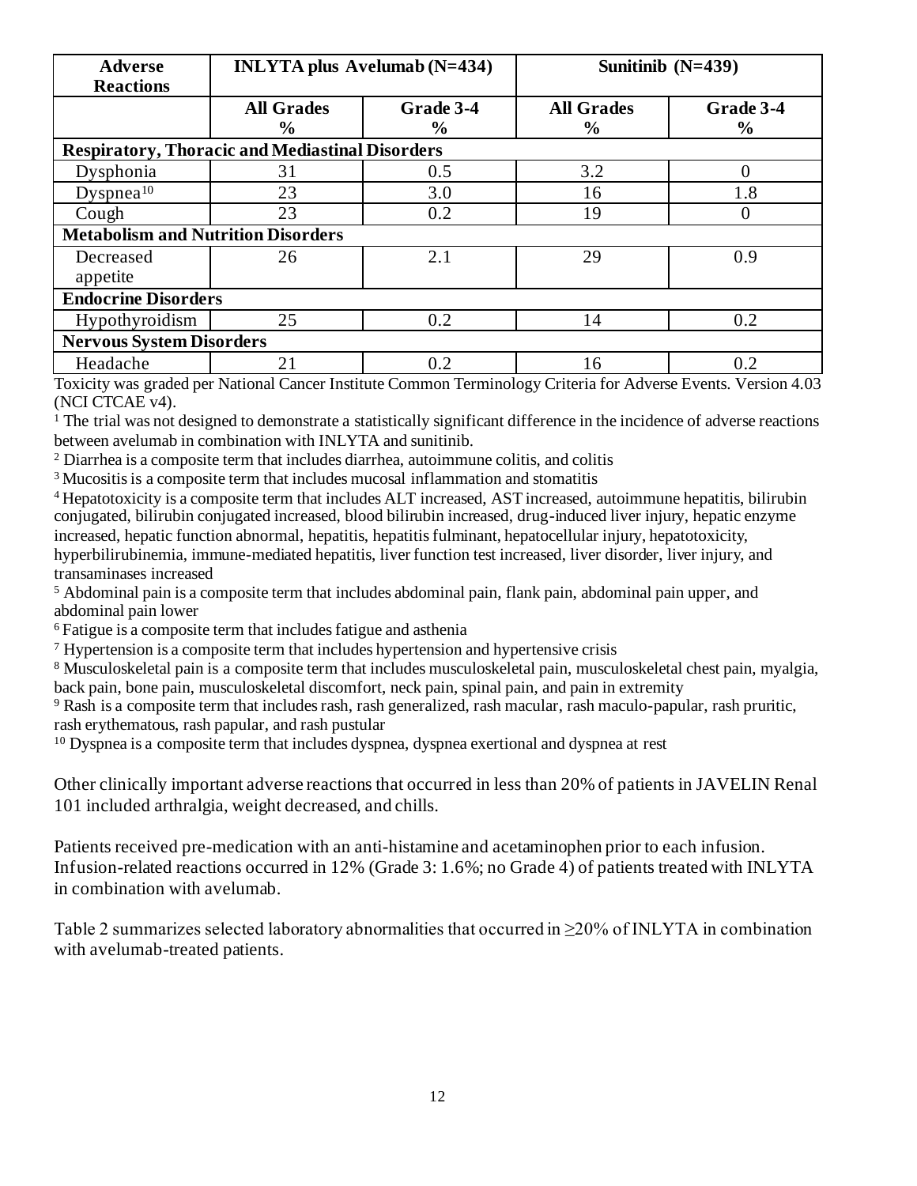| <b>Adverse</b><br><b>Reactions</b>                     | <b>INLYTA</b> plus Avelumab $(N=434)$ |               | Sunitinib $(N=439)$ |           |  |  |  |  |
|--------------------------------------------------------|---------------------------------------|---------------|---------------------|-----------|--|--|--|--|
|                                                        | <b>All Grades</b>                     | Grade 3-4     | <b>All Grades</b>   | Grade 3-4 |  |  |  |  |
|                                                        | $\%$                                  | $\frac{6}{9}$ | $\frac{6}{9}$       | $\%$      |  |  |  |  |
| <b>Respiratory, Thoracic and Mediastinal Disorders</b> |                                       |               |                     |           |  |  |  |  |
| Dysphonia                                              | 31                                    | 0.5           | 3.2                 |           |  |  |  |  |
| Dyspnea <sup>10</sup>                                  | 23                                    | 3.0           | 16                  | 1.8       |  |  |  |  |
| Cough                                                  | 23                                    | 0.2           | 19                  |           |  |  |  |  |
| <b>Metabolism and Nutrition Disorders</b>              |                                       |               |                     |           |  |  |  |  |
| Decreased                                              | 26                                    | 2.1           | 29                  | 0.9       |  |  |  |  |
| appetite                                               |                                       |               |                     |           |  |  |  |  |
| <b>Endocrine Disorders</b>                             |                                       |               |                     |           |  |  |  |  |
| Hypothyroidism                                         | 25                                    | 0.2           | 14                  | 0.2       |  |  |  |  |
| <b>Nervous System Disorders</b>                        |                                       |               |                     |           |  |  |  |  |
| Headache                                               | 21                                    | 0.2           | 16                  | 0.2       |  |  |  |  |

Toxicity was graded per National Cancer Institute Common Terminology Criteria for Adverse Events. Version 4.03 (NCI CTCAE v4).

<sup>1</sup> The trial was not designed to demonstrate a statistically significant difference in the incidence of adverse reactions between avelumab in combination with INLYTA and sunitinib.

<sup>2</sup> Diarrhea is a composite term that includes diarrhea, autoimmune colitis, and colitis

<sup>3</sup>Mucositis is a composite term that includes mucosal inflammation and stomatitis

<sup>4</sup> Hepatotoxicity is a composite term that includes ALT increased, AST increased, autoimmune hepatitis, bilirubin conjugated, bilirubin conjugated increased, blood bilirubin increased, drug-induced liver injury, hepatic enzyme increased, hepatic function abnormal, hepatitis, hepatitis fulminant, hepatocellular injury, hepatotoxicity, hyperbilirubinemia, immune-mediated hepatitis, liver function test increased, liver disorder, liver injury, and transaminases increased

<sup>5</sup> Abdominal pain is a composite term that includes abdominal pain, flank pain, abdominal pain upper, and abdominal pain lower

<sup>6</sup>Fatigue is a composite term that includes fatigue and asthenia

<sup>7</sup> Hypertension is a composite term that includes hypertension and hypertensive crisis

<sup>8</sup> Musculoskeletal pain is a composite term that includes musculoskeletal pain, musculoskeletal chest pain, myalgia, back pain, bone pain, musculoskeletal discomfort, neck pain, spinal pain, and pain in extremity

<sup>9</sup> Rash is a composite term that includes rash, rash generalized, rash macular, rash maculo-papular, rash pruritic, rash erythematous, rash papular, and rash pustular

 $10$  Dyspnea is a composite term that includes dyspnea, dyspnea exertional and dyspnea at rest

Other clinically important adverse reactions that occurred in less than 20% of patients in JAVELIN Renal 101 included arthralgia, weight decreased, and chills.

Patients received pre-medication with an anti-histamine and acetaminophen prior to each infusion. Infusion-related reactions occurred in 12% (Grade 3: 1.6%; no Grade 4) of patients treated with INLYTA in combination with avelumab.

Table 2 summarizes selected laboratory abnormalities that occurred in ≥20% of INLYTA in combination with avelumab-treated patients.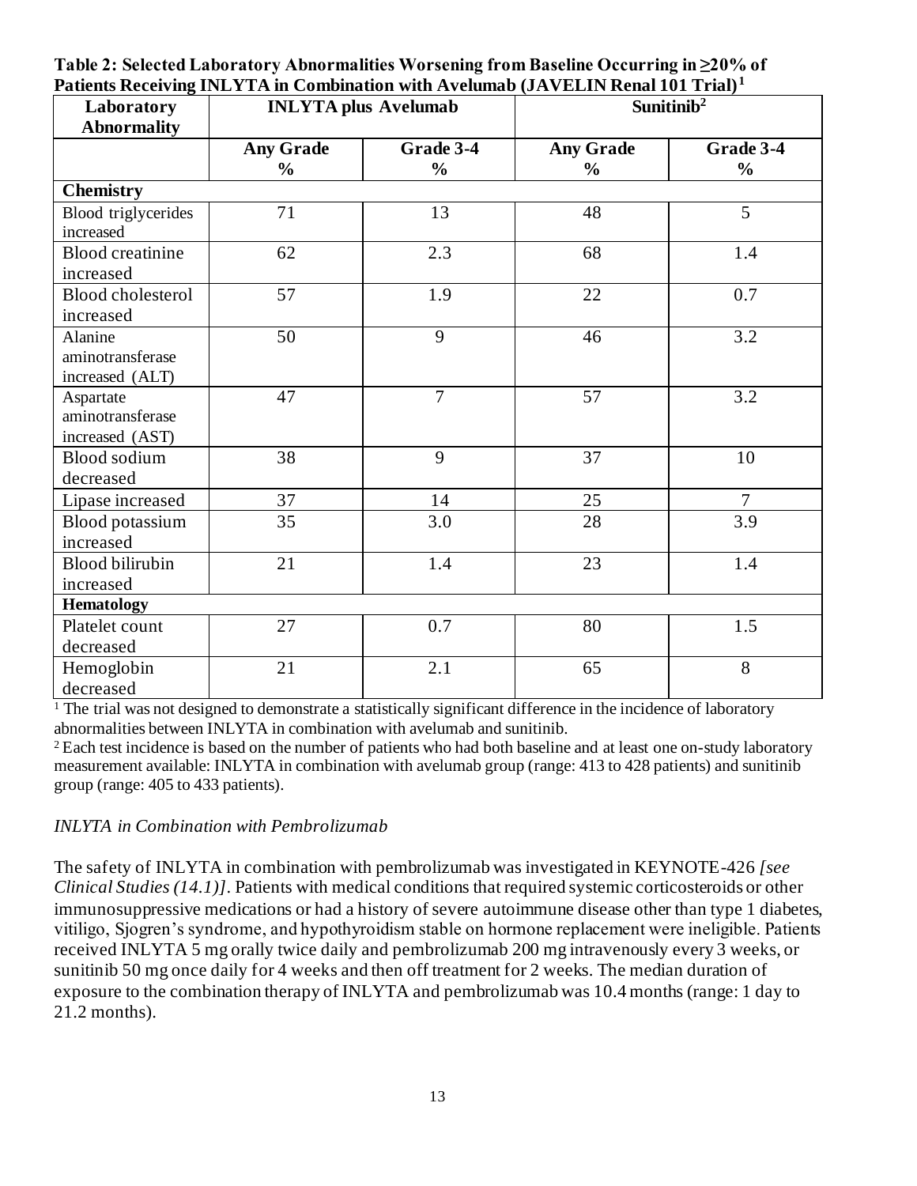| Table 2: Selected Laboratory Abnormalities Worsening from Baseline Occurring in ≥20% of       |
|-----------------------------------------------------------------------------------------------|
| Patients Receiving INLYTA in Combination with Avelumab (JAVELIN Renal 101 Trial) <sup>1</sup> |

| Laboratory<br><b>Abnormality</b>                 |                                   | <b>INLYTA</b> plus Avelumab |                                   | Sunitinib <sup>2</sup>     |
|--------------------------------------------------|-----------------------------------|-----------------------------|-----------------------------------|----------------------------|
|                                                  | <b>Any Grade</b><br>$\frac{0}{0}$ | Grade 3-4<br>$\frac{0}{0}$  | <b>Any Grade</b><br>$\frac{0}{0}$ | Grade 3-4<br>$\frac{0}{0}$ |
| <b>Chemistry</b>                                 |                                   |                             |                                   |                            |
| Blood triglycerides<br>increased                 | 71                                | 13                          | 48                                | 5                          |
| <b>Blood</b> creatinine<br>increased             | 62                                | 2.3                         | 68                                | 1.4                        |
| <b>Blood cholesterol</b><br>increased            | 57                                | 1.9                         | 22                                | 0.7                        |
| Alanine<br>aminotransferase<br>increased (ALT)   | 50                                | 9                           | 46                                | 3.2                        |
| Aspartate<br>aminotransferase<br>increased (AST) | 47                                | $\overline{7}$              | 57                                | 3.2                        |
| <b>Blood sodium</b><br>decreased                 | 38                                | 9                           | 37                                | 10                         |
| Lipase increased                                 | 37                                | 14                          | 25                                | $\overline{7}$             |
| Blood potassium<br>increased                     | 35                                | 3.0                         | 28                                | 3.9                        |
| <b>Blood bilirubin</b><br>increased              | 21                                | 1.4                         | 23                                | 1.4                        |
| <b>Hematology</b>                                |                                   |                             |                                   |                            |
| Platelet count<br>decreased                      | 27                                | 0.7                         | 80                                | 1.5                        |
| Hemoglobin<br>decreased                          | 21                                | 2.1                         | 65                                | 8                          |

 $\frac{1}{1}$  The trial was not designed to demonstrate a statistically significant difference in the incidence of laboratory abnormalities between INLYTA in combination with avelumab and sunitinib.

<sup>2</sup> Each test incidence is based on the number of patients who had both baseline and at least one on-study laboratory measurement available: INLYTA in combination with avelumab group (range: 413 to 428 patients) and sunitinib group (range: 405 to 433 patients).

### *INLYTA in Combination with Pembrolizumab*

The safety of INLYTA in combination with pembrolizumab was investigated in KEYNOTE-426 *[see Clinical Studies (14.1)]*. Patients with medical conditions that required systemic corticosteroids or other immunosuppressive medications or had a history of severe autoimmune disease other than type 1 diabetes, vitiligo, Sjogren's syndrome, and hypothyroidism stable on hormone replacement were ineligible. Patients received INLYTA 5 mg orally twice daily and pembrolizumab 200 mg intravenously every 3 weeks, or sunitinib 50 mg once daily for 4 weeks and then off treatment for 2 weeks. The median duration of exposure to the combination therapy of INLYTA and pembrolizumab was 10.4 months (range: 1 day to 21.2 months).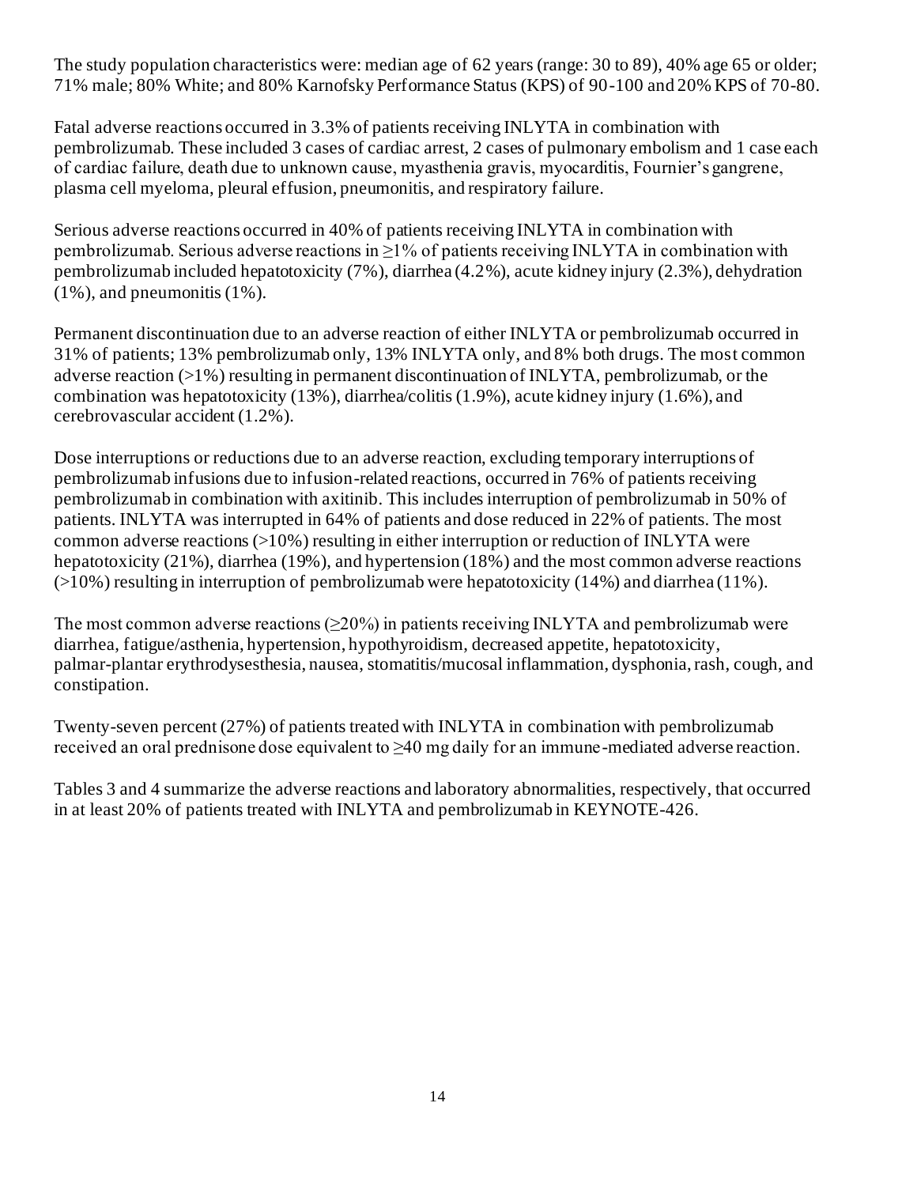The study population characteristics were: median age of 62 years (range: 30 to 89), 40% age 65 or older; 71% male; 80% White; and 80% Karnofsky Performance Status (KPS) of 90-100 and 20% KPS of 70-80.

Fatal adverse reactions occurred in 3.3% of patients receiving INLYTA in combination with pembrolizumab. These included 3 cases of cardiac arrest, 2 cases of pulmonary embolism and 1 case each of cardiac failure, death due to unknown cause, myasthenia gravis, myocarditis, Fournier's gangrene, plasma cell myeloma, pleural effusion, pneumonitis, and respiratory failure.

Serious adverse reactions occurred in 40% of patients receiving INLYTA in combination with pembrolizumab. Serious adverse reactions in  $>1\%$  of patients receiving INLYTA in combination with pembrolizumab included hepatotoxicity (7%), diarrhea (4.2%), acute kidney injury (2.3%), dehydration  $(1\%)$ , and pneumonitis  $(1\%)$ .

Permanent discontinuation due to an adverse reaction of either INLYTA or pembrolizumab occurred in 31% of patients; 13% pembrolizumab only, 13% INLYTA only, and 8% both drugs. The most common adverse reaction (>1%) resulting in permanent discontinuation of INLYTA, pembrolizumab, or the combination was hepatotoxicity (13%), diarrhea/colitis (1.9%), acute kidney injury (1.6%), and cerebrovascular accident (1.2%).

Dose interruptions or reductions due to an adverse reaction, excluding temporary interruptions of pembrolizumab infusions due to infusion-related reactions, occurred in 76% of patients receiving pembrolizumab in combination with axitinib. This includes interruption of pembrolizumab in 50% of patients. INLYTA was interrupted in 64% of patients and dose reduced in 22% of patients. The most common adverse reactions  $(>10\%)$  resulting in either interruption or reduction of INLYTA were hepatotoxicity (21%), diarrhea (19%), and hypertension (18%) and the most common adverse reactions (>10%) resulting in interruption of pembrolizumab were hepatotoxicity (14%) and diarrhea (11%).

The most common adverse reactions  $(\geq 20\%)$  in patients receiving INLYTA and pembrolizumab were diarrhea, fatigue/asthenia, hypertension, hypothyroidism, decreased appetite, hepatotoxicity, palmar-plantar erythrodysesthesia, nausea, stomatitis/mucosal inflammation, dysphonia, rash, cough, and constipation.

Twenty-seven percent (27%) of patients treated with INLYTA in combination with pembrolizumab received an oral prednisone dose equivalent to ≥40 mg daily for an immune-mediated adverse reaction.

Tables 3 and 4 summarize the adverse reactions and laboratory abnormalities, respectively, that occurred in at least 20% of patients treated with INLYTA and pembrolizumab in KEYNOTE-426.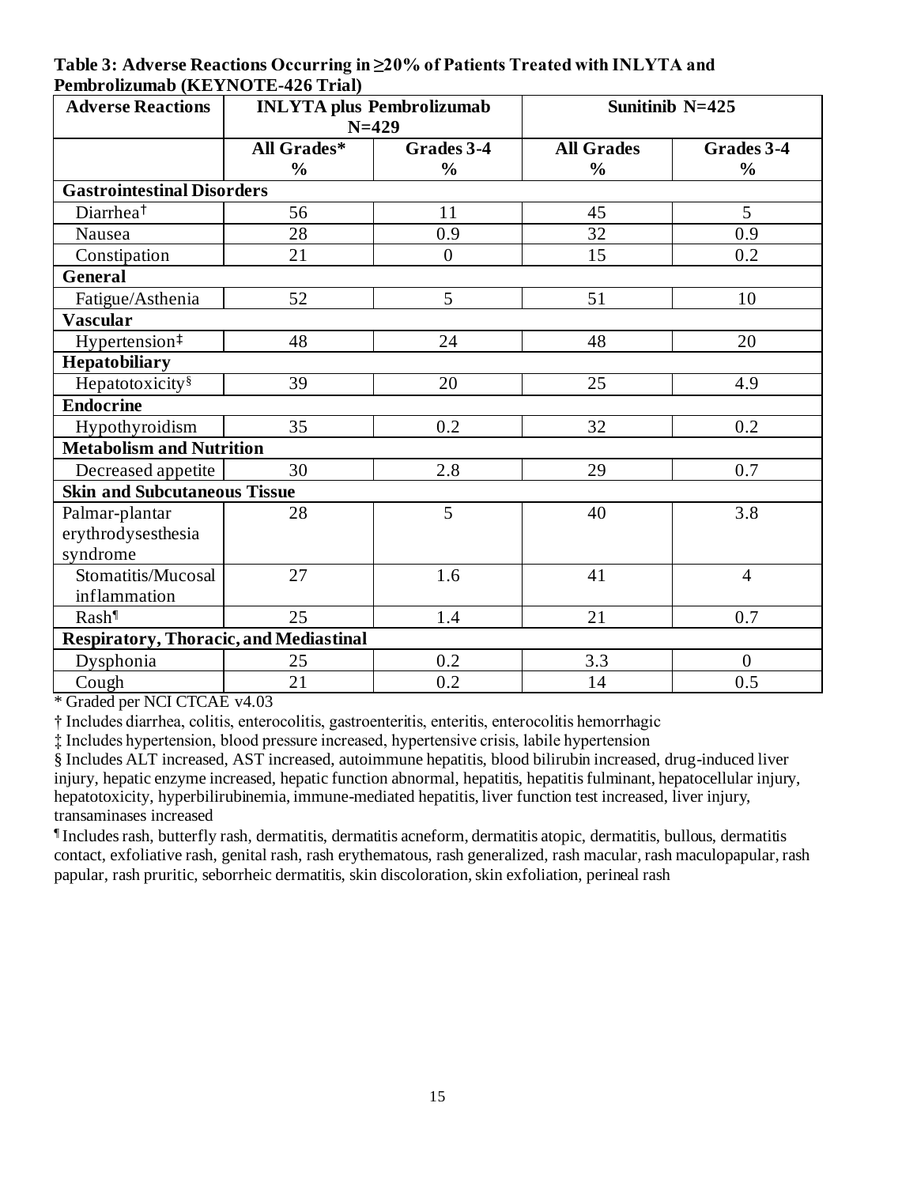**Table 3: Adverse Reactions Occurring in ≥20% of Patients Treated with INLYTA and Pembrolizumab (KEYNOTE-426 Trial)**

| <b>Adverse Reactions</b>                      | <b>INLYTA</b> plus Pembrolizumab<br>$N = 429$ |                  |                   | Sunitinib N=425 |
|-----------------------------------------------|-----------------------------------------------|------------------|-------------------|-----------------|
|                                               | <b>All Grades*</b>                            | Grades 3-4       | <b>All Grades</b> | Grades $3-4$    |
|                                               | $\frac{0}{0}$                                 | $\frac{0}{0}$    | $\frac{0}{0}$     | $\frac{0}{0}$   |
| <b>Gastrointestinal Disorders</b>             |                                               |                  |                   |                 |
| Diarrhea <sup>†</sup>                         | 56                                            | 11               | 45                | 5               |
| Nausea                                        | 28                                            | 0.9              | 32                | 0.9             |
| Constipation                                  | 21                                            | $\boldsymbol{0}$ | 15                | 0.2             |
| General                                       |                                               |                  |                   |                 |
| Fatigue/Asthenia                              | 52                                            | 5                | 51                | 10              |
| <b>Vascular</b>                               |                                               |                  |                   |                 |
| Hypertension $\overline{+}$                   | 48                                            | 24               | 48                | 20              |
| Hepatobiliary                                 |                                               |                  |                   |                 |
| Hepatotoxicity <sup>§</sup>                   | 39                                            | 20               | 25                | 4.9             |
| <b>Endocrine</b>                              |                                               |                  |                   |                 |
| Hypothyroidism                                | 35                                            | 0.2              | 32                | 0.2             |
| <b>Metabolism and Nutrition</b>               |                                               |                  |                   |                 |
| Decreased appetite                            | 30                                            | 2.8              | 29                | 0.7             |
| <b>Skin and Subcutaneous Tissue</b>           |                                               |                  |                   |                 |
| Palmar-plantar                                | 28                                            | 5                | 40                | 3.8             |
| erythrodysesthesia                            |                                               |                  |                   |                 |
| syndrome                                      |                                               |                  |                   |                 |
| Stomatitis/Mucosal                            | 27                                            | 1.6              | 41                | $\overline{4}$  |
| inflammation                                  |                                               |                  |                   |                 |
| Rash                                          | 25                                            | 1.4              | 21                | 0.7             |
| <b>Respiratory, Thoracic, and Mediastinal</b> |                                               |                  |                   |                 |
| Dysphonia                                     | 25                                            | 0.2              | 3.3               | $\Omega$        |
| Cough                                         | 21                                            | 0.2              | 14                | 0.5             |

\* Graded per NCI CTCAE v4.03

† Includes diarrhea, colitis, enterocolitis, gastroenteritis, enteritis, enterocolitis hemorrhagic

‡ Includes hypertension, blood pressure increased, hypertensive crisis, labile hypertension

§ Includes ALT increased, AST increased, autoimmune hepatitis, blood bilirubin increased, drug-induced liver injury, hepatic enzyme increased, hepatic function abnormal, hepatitis, hepatitis fulminant, hepatocellular injury, hepatotoxicity, hyperbilirubinemia, immune-mediated hepatitis, liver function test increased, liver injury, transaminases increased

¶ Includes rash, butterfly rash, dermatitis, dermatitis acneform, dermatitis atopic, dermatitis, bullous, dermatitis contact, exfoliative rash, genital rash, rash erythematous, rash generalized, rash macular, rash maculopapular, rash papular, rash pruritic, seborrheic dermatitis, skin discoloration, skin exfoliation, perineal rash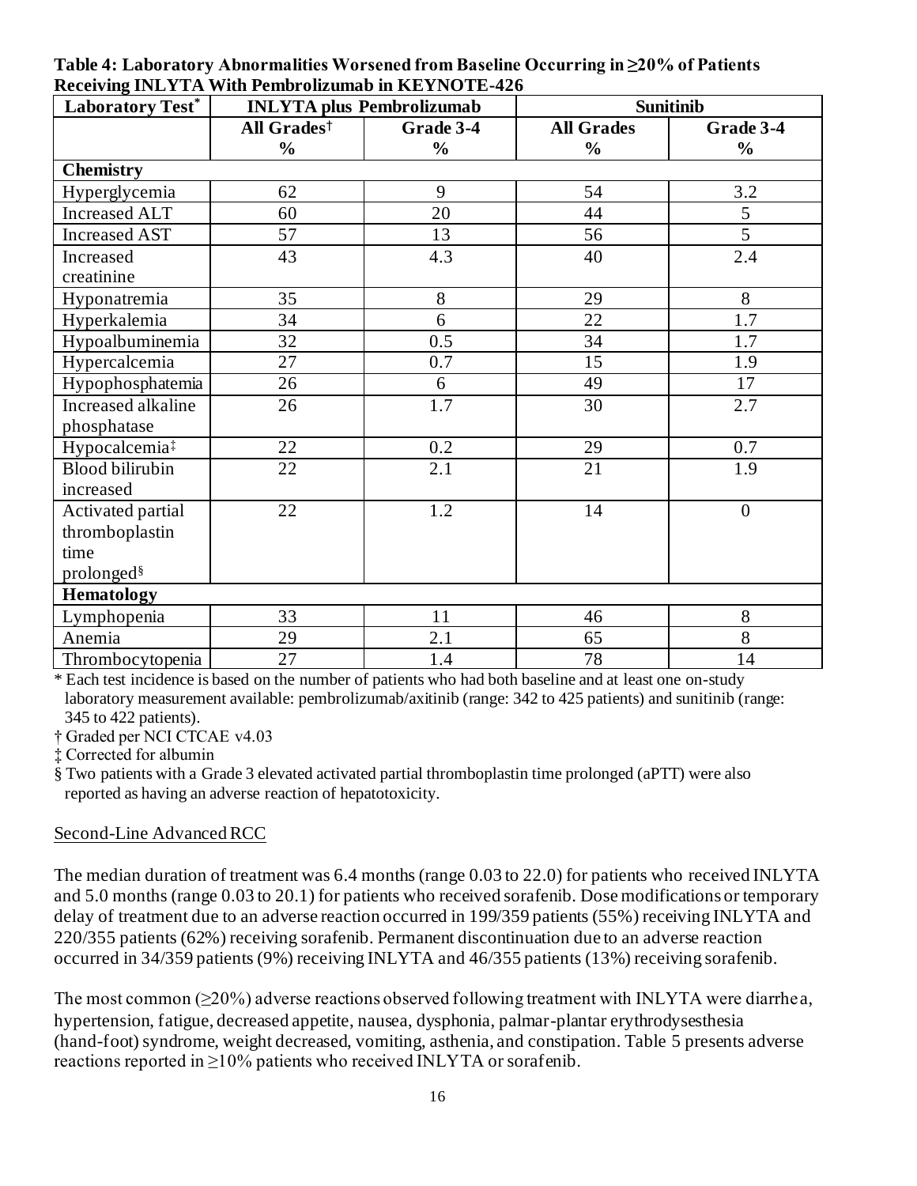| Laboratory Test*          | <b>INLYTA</b> plus Pembrolizumab |                  | <b>Sunitinib</b>  |                  |  |  |  |
|---------------------------|----------------------------------|------------------|-------------------|------------------|--|--|--|
|                           | All Grades <sup>†</sup>          | Grade 3-4        | <b>All Grades</b> | Grade 3-4        |  |  |  |
|                           | $\frac{0}{0}$                    | $\frac{0}{0}$    | $\frac{0}{0}$     | $\frac{0}{0}$    |  |  |  |
| <b>Chemistry</b>          |                                  |                  |                   |                  |  |  |  |
| Hyperglycemia             | 62                               | 9                | 54                | 3.2              |  |  |  |
| <b>Increased ALT</b>      | 60                               | 20               | 44                | 5                |  |  |  |
| <b>Increased AST</b>      | 57                               | 13               | 56                | $\overline{5}$   |  |  |  |
| Increased                 | 43                               | 4.3              | 40                | 2.4              |  |  |  |
| creatinine                |                                  |                  |                   |                  |  |  |  |
| Hyponatremia              | 35                               | 8                | 29                | 8                |  |  |  |
| Hyperkalemia              | 34                               | 6                | 22                | 1.7              |  |  |  |
| Hypoalbuminemia           | 32                               | 0.5              | 34                | 1.7              |  |  |  |
| Hypercalcemia             | 27                               | 0.7              | 15                | 1.9              |  |  |  |
| Hypophosphatemia          | 26                               | 6                | 49                | 17               |  |  |  |
| Increased alkaline        | 26                               | 1.7              | 30                | 2.7              |  |  |  |
| phosphatase               |                                  |                  |                   |                  |  |  |  |
| Hypocalcemia <sup>‡</sup> | 22                               | $\overline{0.2}$ | 29                | $\overline{0.7}$ |  |  |  |
| <b>Blood bilirubin</b>    | 22                               | 2.1              | 21                | 1.9              |  |  |  |
| increased                 |                                  |                  |                   |                  |  |  |  |
| Activated partial         | 22                               | 1.2              | 14                | $\overline{0}$   |  |  |  |
| thromboplastin            |                                  |                  |                   |                  |  |  |  |
| time                      |                                  |                  |                   |                  |  |  |  |
| prolonged <sup>§</sup>    |                                  |                  |                   |                  |  |  |  |
| <b>Hematology</b>         |                                  |                  |                   |                  |  |  |  |
| Lymphopenia               | 33                               | 11               | 46                | 8                |  |  |  |
| Anemia                    | 29                               | 2.1              | 65                | 8                |  |  |  |
| Thrombocytopenia          | 27                               | 1.4              | 78                | 14               |  |  |  |

**Table 4: Laboratory Abnormalities Worsened from Baseline Occurring in ≥20% of Patients Receiving INLYTA With Pembrolizumab in KEYNOTE-426**

\* Each test incidence is based on the number of patients who had both baseline and at least one on-study laboratory measurement available: pembrolizumab/axitinib (range: 342 to 425 patients) and sunitinib (range: 345 to 422 patients).

† Graded per NCI CTCAE v4.03

‡ Corrected for albumin

§ Two patients with a Grade 3 elevated activated partial thromboplastin time prolonged (aPTT) were also reported as having an adverse reaction of hepatotoxicity.

#### Second-Line Advanced RCC

The median duration of treatment was 6.4 months (range 0.03 to 22.0) for patients who received INLYTA and 5.0 months (range 0.03 to 20.1) for patients who received sorafenib. Dose modifications or temporary delay of treatment due to an adverse reaction occurred in 199/359 patients (55%) receiving INLYTA and 220/355 patients (62%) receiving sorafenib. Permanent discontinuation due to an adverse reaction occurred in 34/359 patients (9%) receiving INLYTA and 46/355 patients (13%) receiving sorafenib.

The most common  $(\geq 20\%)$  adverse reactions observed following treatment with INLYTA were diarrhea, hypertension, fatigue, decreased appetite, nausea, dysphonia, palmar-plantar erythrodysesthesia (hand-foot) syndrome, weight decreased, vomiting, asthenia, and constipation. Table 5 presents adverse reactions reported in ≥10% patients who received INLYTA or sorafenib.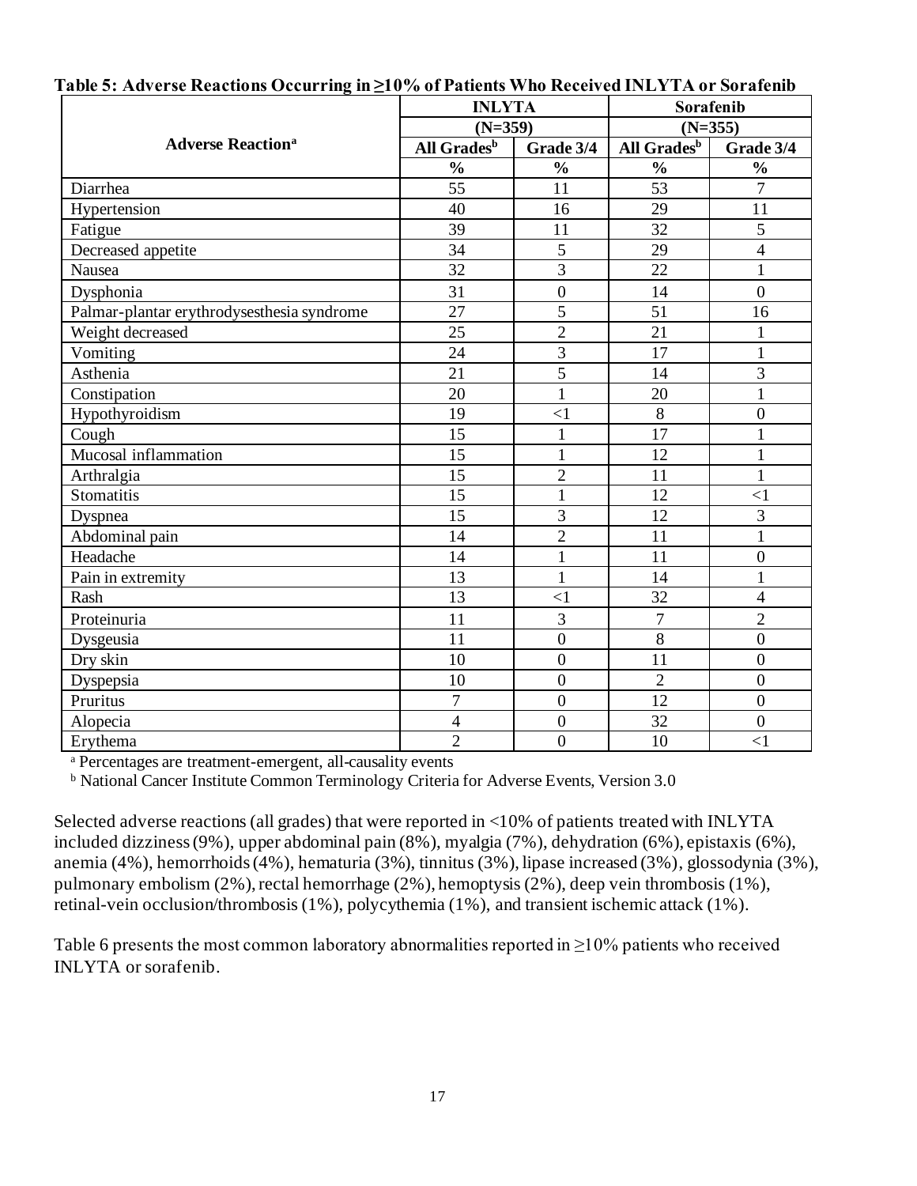|                                            | <b>INLYTA</b>           |                  | Sorafenib               |                  |  |
|--------------------------------------------|-------------------------|------------------|-------------------------|------------------|--|
|                                            | $(N=359)$               |                  | $(N=355)$               |                  |  |
| <b>Adverse Reaction<sup>a</sup></b>        | All Grades <sup>b</sup> | Grade 3/4        | All Grades <sup>b</sup> | Grade 3/4        |  |
|                                            | $\frac{0}{0}$           | $\frac{0}{0}$    | $\frac{0}{0}$           | $\frac{0}{0}$    |  |
| Diarrhea                                   | 55                      | 11               | 53                      | $\overline{7}$   |  |
| Hypertension                               | 40                      | 16               | 29                      | 11               |  |
| Fatigue                                    | 39                      | 11               | 32                      | 5                |  |
| Decreased appetite                         | 34                      | 5                | 29                      | $\overline{4}$   |  |
| Nausea                                     | 32                      | 3                | 22                      | $\mathbf{1}$     |  |
| Dysphonia                                  | 31                      | $\boldsymbol{0}$ | 14                      | $\overline{0}$   |  |
| Palmar-plantar erythrodysesthesia syndrome | 27                      | 5                | 51                      | 16               |  |
| Weight decreased                           | 25                      | $\overline{2}$   | 21                      | $\mathbf{1}$     |  |
| Vomiting                                   | 24                      | 3                | 17                      | 1                |  |
| Asthenia                                   | 21                      | $\overline{5}$   | 14                      | $\overline{3}$   |  |
| Constipation                               | 20                      | $\mathbf{1}$     | 20                      | $\mathbf{1}$     |  |
| Hypothyroidism                             | 19                      | $\leq$ 1         | $\,8\,$                 | $\boldsymbol{0}$ |  |
| Cough                                      | 15                      | $\mathbf{1}$     | 17                      | $\mathbf{1}$     |  |
| Mucosal inflammation                       | 15                      | $\mathbf{1}$     | 12                      | $\mathbf{1}$     |  |
| Arthralgia                                 | 15                      | $\overline{2}$   | 11                      | $\mathbf{1}$     |  |
| <b>Stomatitis</b>                          | 15                      | $\mathbf{1}$     | 12                      | $\leq$ 1         |  |
| Dyspnea                                    | 15                      | 3                | 12                      | 3                |  |
| Abdominal pain                             | 14                      | $\overline{2}$   | 11                      | $\mathbf{1}$     |  |
| Headache                                   | 14                      | $\mathbf{1}$     | 11                      | $\boldsymbol{0}$ |  |
| Pain in extremity                          | 13                      | $\mathbf{1}$     | 14                      | $\mathbf{1}$     |  |
| Rash                                       | 13                      | $\leq$ 1         | 32                      | $\overline{4}$   |  |
| Proteinuria                                | 11                      | 3                | $\overline{7}$          | $\overline{2}$   |  |
| Dysgeusia                                  | 11                      | $\boldsymbol{0}$ | $\overline{8}$          | $\overline{0}$   |  |
| Dry skin                                   | 10                      | $\mathbf{0}$     | 11                      | $\overline{0}$   |  |
| Dyspepsia                                  | 10                      | $\boldsymbol{0}$ | $\overline{2}$          | $\boldsymbol{0}$ |  |
| Pruritus                                   | $\overline{7}$          | $\mathbf{0}$     | 12                      | $\mathbf{0}$     |  |
| Alopecia                                   | 4                       | $\boldsymbol{0}$ | 32                      | $\boldsymbol{0}$ |  |
| Erythema                                   | $\overline{2}$          | $\boldsymbol{0}$ | 10                      | $<$ 1            |  |

#### **Table 5: Adverse Reactions Occurring in ≥10% of Patients Who Received INLYTA or Sorafenib**

<sup>a</sup> Percentages are treatment-emergent, all-causality events

**b** National Cancer Institute Common Terminology Criteria for Adverse Events, Version 3.0

Selected adverse reactions (all grades) that were reported in <10% of patients treated with INLYTA included dizziness (9%), upper abdominal pain (8%), myalgia (7%), dehydration (6%), epistaxis (6%), anemia (4%), hemorrhoids (4%), hematuria (3%), tinnitus (3%), lipase increased (3%), glossodynia (3%), pulmonary embolism (2%), rectal hemorrhage (2%), hemoptysis (2%), deep vein thrombosis (1%), retinal-vein occlusion/thrombosis (1%), polycythemia (1%), and transient ischemic attack (1%).

Table 6 presents the most common laboratory abnormalities reported in  $\geq$ 10% patients who received INLYTA or sorafenib.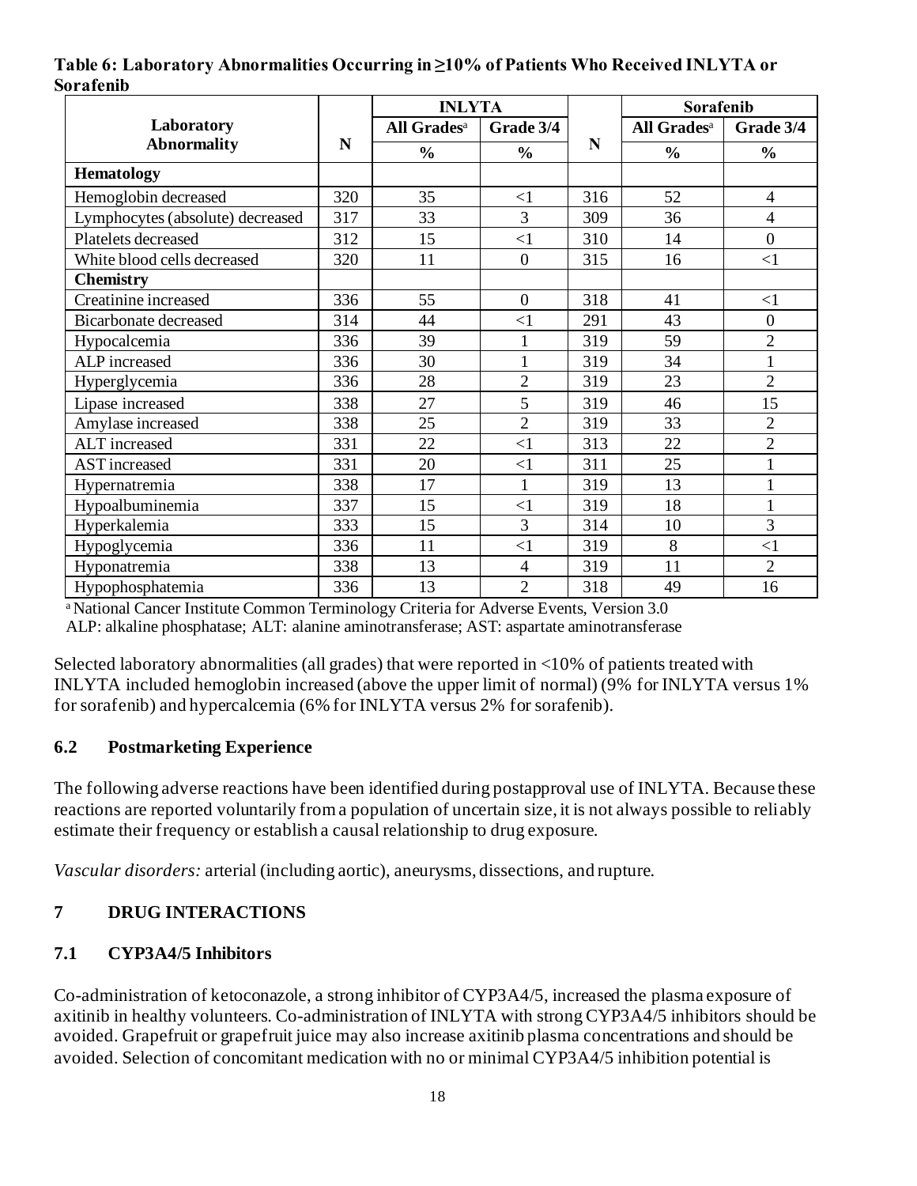|           |  |  |  | Table 6: Laboratory Abnormalities Occurring in $\geq 10\%$ of Patients Who Received INLYTA or |  |
|-----------|--|--|--|-----------------------------------------------------------------------------------------------|--|
| Sorafenib |  |  |  |                                                                                               |  |

|                                  |     | <b>INLYTA</b>           |                |     |                         | Sorafenib        |  |
|----------------------------------|-----|-------------------------|----------------|-----|-------------------------|------------------|--|
| Laboratory                       |     | All Grades <sup>a</sup> | Grade 3/4      |     | All Grades <sup>a</sup> | Grade 3/4        |  |
| <b>Abnormality</b>               | N   | $\frac{0}{0}$           | $\frac{0}{0}$  | N   | $\frac{0}{0}$           | $\frac{0}{0}$    |  |
| <b>Hematology</b>                |     |                         |                |     |                         |                  |  |
| Hemoglobin decreased             | 320 | 35                      | $<$ 1          | 316 | 52                      | $\overline{4}$   |  |
| Lymphocytes (absolute) decreased | 317 | 33                      | 3              | 309 | 36                      | $\overline{4}$   |  |
| Platelets decreased              | 312 | 15                      | $\leq$ 1       | 310 | 14                      | $\overline{0}$   |  |
| White blood cells decreased      | 320 | 11                      | $\overline{0}$ | 315 | 16                      | <1               |  |
| <b>Chemistry</b>                 |     |                         |                |     |                         |                  |  |
| Creatinine increased             | 336 | 55                      | $\overline{0}$ | 318 | 41                      | $<$ 1            |  |
| <b>Bicarbonate decreased</b>     | 314 | 44                      | $\leq$ 1       | 291 | 43                      | $\boldsymbol{0}$ |  |
| Hypocalcemia                     | 336 | 39                      |                | 319 | 59                      | $\overline{2}$   |  |
| ALP increased                    | 336 | 30                      |                | 319 | 34                      | $\mathbf{1}$     |  |
| Hyperglycemia                    | 336 | 28                      | $\overline{2}$ | 319 | 23                      | $\overline{2}$   |  |
| Lipase increased                 | 338 | 27                      | 5              | 319 | 46                      | 15               |  |
| Amylase increased                | 338 | 25                      | $\overline{2}$ | 319 | 33                      | $\overline{2}$   |  |
| <b>ALT</b> increased             | 331 | 22                      | $\leq$ 1       | 313 | 22                      | $\overline{2}$   |  |
| <b>AST</b> increased             | 331 | 20                      | $\leq$ 1       | 311 | 25                      | 1                |  |
| Hypernatremia                    | 338 | 17                      | $\mathbf{1}$   | 319 | 13                      | $\mathbf{1}$     |  |
| Hypoalbuminemia                  | 337 | 15                      | $\leq$ 1       | 319 | 18                      | $\mathbf{1}$     |  |
| Hyperkalemia                     | 333 | 15                      | 3              | 314 | 10                      | 3                |  |
| Hypoglycemia                     | 336 | 11                      | $\leq$ 1       | 319 | 8                       | <1               |  |
| Hyponatremia                     | 338 | 13                      | $\overline{4}$ | 319 | 11                      | $\overline{2}$   |  |
| Hypophosphatemia                 | 336 | 13                      | $\overline{2}$ | 318 | 49                      | 16               |  |

a National Cancer Institute Common Terminology Criteria for Adverse Events, Version 3.0

ALP: alkaline phosphatase; ALT: alanine aminotransferase; AST: aspartate aminotransferase

Selected laboratory abnormalities (all grades) that were reported in <10% of patients treated with INLYTA included hemoglobin increased (above the upper limit of normal) (9% for INLYTA versus 1% for sorafenib) and hypercalcemia (6% for INLYTA versus 2% for sorafenib).

### **6.2 Postmarketing Experience**

The following adverse reactions have been identified during postapproval use of INLYTA. Because these reactions are reported voluntarily from a population of uncertain size, it is not always possible to reliably estimate their frequency or establish a causal relationship to drug exposure.

*Vascular disorders:* arterial (including aortic), aneurysms, dissections, and rupture.

## **7 DRUG INTERACTIONS**

### **7.1 CYP3A4/5 Inhibitors**

Co-administration of ketoconazole, a strong inhibitor of CYP3A4/5, increased the plasma exposure of axitinib in healthy volunteers. Co-administration of INLYTA with strong CYP3A4/5 inhibitors should be avoided. Grapefruit or grapefruit juice may also increase axitinib plasma concentrations and should be avoided. Selection of concomitant medication with no or minimal CYP3A4/5 inhibition potential is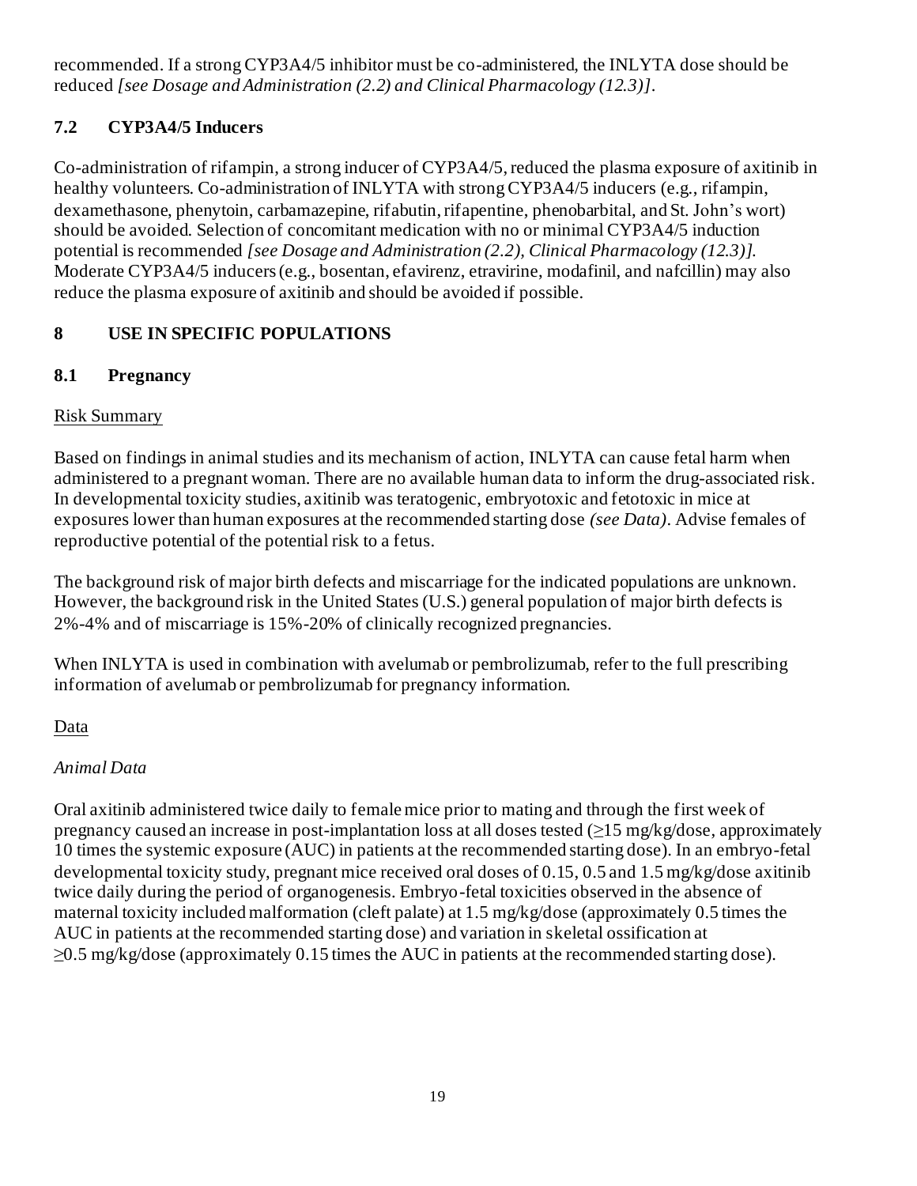recommended. If a strong CYP3A4/5 inhibitor must be co-administered, the INLYTA dose should be reduced *[see Dosage and Administration (2.2) and Clinical Pharmacology (12.3)]*.

# **7.2 CYP3A4/5 Inducers**

Co-administration of rifampin, a strong inducer of CYP3A4/5, reduced the plasma exposure of axitinib in healthy volunteers. Co-administration of INLYTA with strong CYP3A4/5 inducers (e.g., rifampin, dexamethasone, phenytoin, carbamazepine, rifabutin, rifapentine, phenobarbital, and St. John's wort) should be avoided. Selection of concomitant medication with no or minimal CYP3A4/5 induction potential is recommended *[see Dosage and Administration (2.2), Clinical Pharmacology (12.3)]*. Moderate CYP3A4/5 inducers (e.g., bosentan, efavirenz, etravirine, modafinil, and nafcillin) may also reduce the plasma exposure of axitinib and should be avoided if possible.

# **8 USE IN SPECIFIC POPULATIONS**

# **8.1 Pregnancy**

# Risk Summary

Based on findings in animal studies and its mechanism of action, INLYTA can cause fetal harm when administered to a pregnant woman. There are no available human data to inform the drug-associated risk. In developmental toxicity studies, axitinib was teratogenic, embryotoxic and fetotoxic in mice at exposures lower than human exposures at the recommended starting dose *(see Data)*. Advise females of reproductive potential of the potential risk to a fetus.

The background risk of major birth defects and miscarriage for the indicated populations are unknown. However, the background risk in the United States (U.S.) general population of major birth defects is 2%-4% and of miscarriage is 15%-20% of clinically recognized pregnancies.

When INLYTA is used in combination with avelumab or pembrolizumab, refer to the full prescribing information of avelumab or pembrolizumab for pregnancy information.

# Data

# *Animal Data*

Oral axitinib administered twice daily to female mice prior to mating and through the first week of pregnancy caused an increase in post-implantation loss at all doses tested  $(\geq 15 \text{ mg/kg/dose}$ , approximately 10 times the systemic exposure (AUC) in patients at the recommended starting dose). In an embryo-fetal developmental toxicity study, pregnant mice received oral doses of 0.15, 0.5 and 1.5 mg/kg/dose axitinib twice daily during the period of organogenesis. Embryo-fetal toxicities observed in the absence of maternal toxicity included malformation (cleft palate) at 1.5 mg/kg/dose (approximately 0.5 times the AUC in patients at the recommended starting dose) and variation in skeletal ossification at  $\geq$ 0.5 mg/kg/dose (approximately 0.15 times the AUC in patients at the recommended starting dose).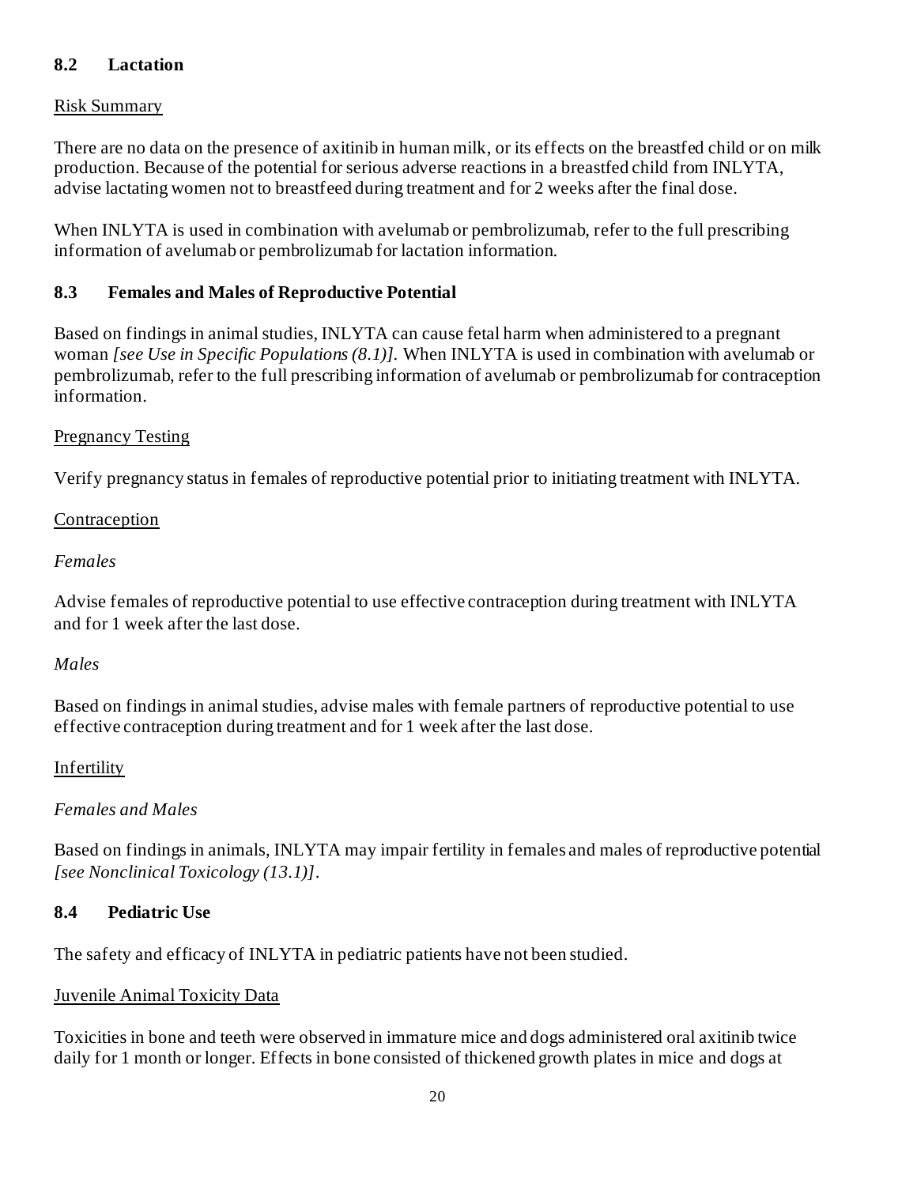## **8.2 Lactation**

### Risk Summary

There are no data on the presence of axitinib in human milk, or its effects on the breastfed child or on milk production. Because of the potential for serious adverse reactions in a breastfed child from INLYTA, advise lactating women not to breastfeed during treatment and for 2 weeks after the final dose.

When INLYTA is used in combination with avelumab or pembrolizumab, refer to the full prescribing information of avelumab or pembrolizumab for lactation information.

### **8.3 Females and Males of Reproductive Potential**

Based on findings in animal studies, INLYTA can cause fetal harm when administered to a pregnant woman *[see Use in Specific Populations (8.1)].* When INLYTA is used in combination with avelumab or pembrolizumab, refer to the full prescribing information of avelumab or pembrolizumab for contraception information.

### Pregnancy Testing

Verify pregnancy status in females of reproductive potential prior to initiating treatment with INLYTA.

### Contraception

### *Females*

Advise females of reproductive potential to use effective contraception during treatment with INLYTA and for 1 week after the last dose.

### *Males*

Based on findings in animal studies, advise males with female partners of reproductive potential to use effective contraception during treatment and for 1 week after the last dose.

### Infertility

## *Females and Males*

Based on findings in animals, INLYTA may impair fertility in females and males of reproductive potential *[see Nonclinical Toxicology (13.1)]*.

### **8.4 Pediatric Use**

The safety and efficacy of INLYTA in pediatric patients have not been studied.

### Juvenile Animal Toxicity Data

Toxicities in bone and teeth were observed in immature mice and dogs administered oral axitinib twice daily for 1 month or longer. Effects in bone consisted of thickened growth plates in mice and dogs at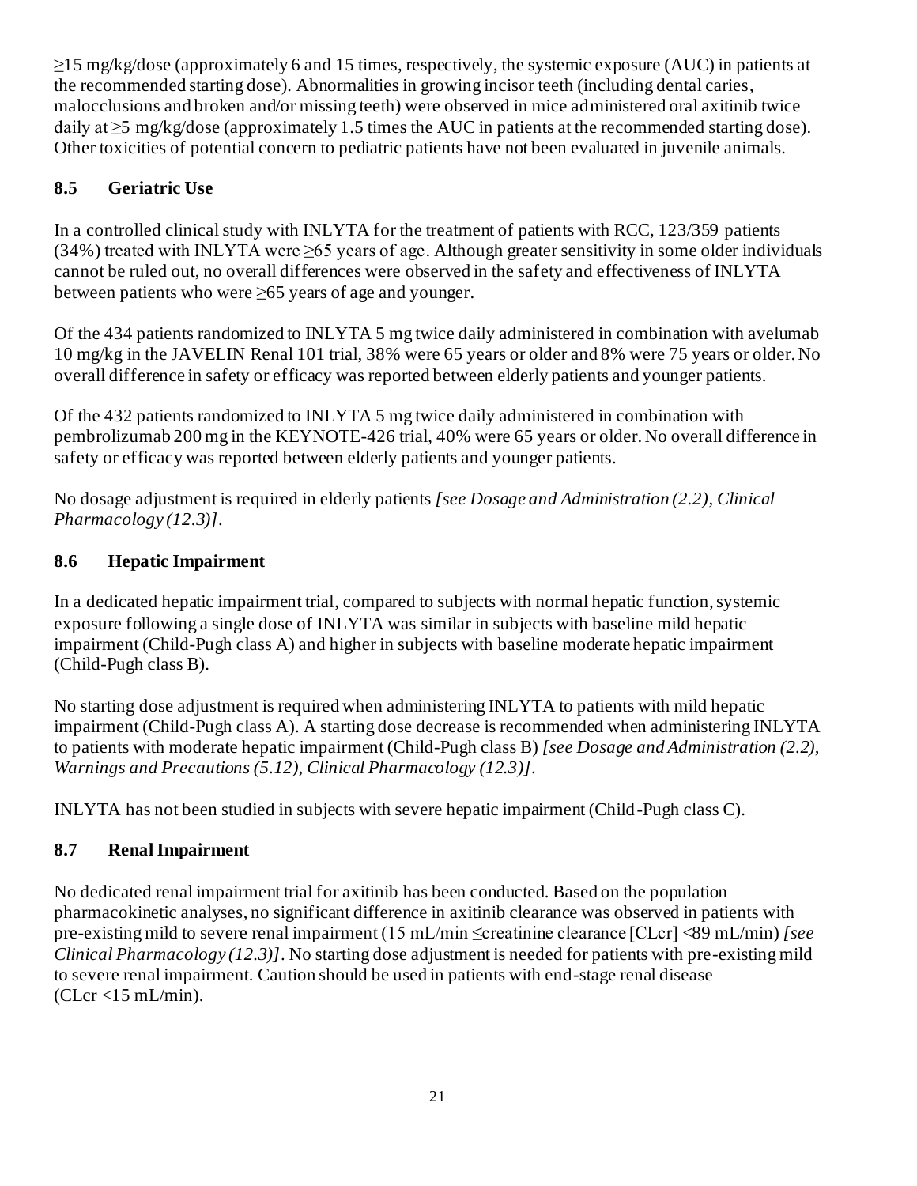≥15 mg/kg/dose (approximately 6 and 15 times, respectively, the systemic exposure (AUC) in patients at the recommended starting dose). Abnormalities in growing incisor teeth (including dental caries, malocclusions and broken and/or missing teeth) were observed in mice administered oral axitinib twice daily at  $\geq$ 5 mg/kg/dose (approximately 1.5 times the AUC in patients at the recommended starting dose). Other toxicities of potential concern to pediatric patients have not been evaluated in juvenile animals.

# **8.5 Geriatric Use**

In a controlled clinical study with INLYTA for the treatment of patients with RCC, 123/359 patients (34%) treated with INLYTA were ≥65 years of age. Although greater sensitivity in some older individuals cannot be ruled out, no overall differences were observed in the safety and effectiveness of INLYTA between patients who were ≥65 years of age and younger.

Of the 434 patients randomized to INLYTA 5 mg twice daily administered in combination with avelumab 10 mg/kg in the JAVELIN Renal 101 trial, 38% were 65 years or older and 8% were 75 years or older. No overall difference in safety or efficacy was reported between elderly patients and younger patients.

Of the 432 patients randomized to INLYTA 5 mg twice daily administered in combination with pembrolizumab 200 mg in the KEYNOTE-426 trial, 40% were 65 years or older. No overall difference in safety or efficacy was reported between elderly patients and younger patients.

No dosage adjustment is required in elderly patients *[see Dosage and Administration (2.2), Clinical Pharmacology (12.3)]*.

# **8.6 Hepatic Impairment**

In a dedicated hepatic impairment trial, compared to subjects with normal hepatic function, systemic exposure following a single dose of INLYTA was similar in subjects with baseline mild hepatic impairment (Child-Pugh class A) and higher in subjects with baseline moderate hepatic impairment (Child-Pugh class B).

No starting dose adjustment is required when administering INLYTA to patients with mild hepatic impairment (Child-Pugh class A). A starting dose decrease is recommended when administering INLYTA to patients with moderate hepatic impairment (Child-Pugh class B) *[see Dosage and Administration (2.2), Warnings and Precautions (5.12), Clinical Pharmacology (12.3)]*.

INLYTA has not been studied in subjects with severe hepatic impairment (Child-Pugh class C).

# **8.7 Renal Impairment**

No dedicated renal impairment trial for axitinib has been conducted. Based on the population pharmacokinetic analyses, no significant difference in axitinib clearance was observed in patients with pre-existing mild to severe renal impairment (15 mL/min ≤creatinine clearance [CLcr] <89 mL/min) *[see Clinical Pharmacology (12.3)]*. No starting dose adjustment is needed for patients with pre-existing mild to severe renal impairment. Caution should be used in patients with end-stage renal disease  $(CLcr < 15$  mL/min).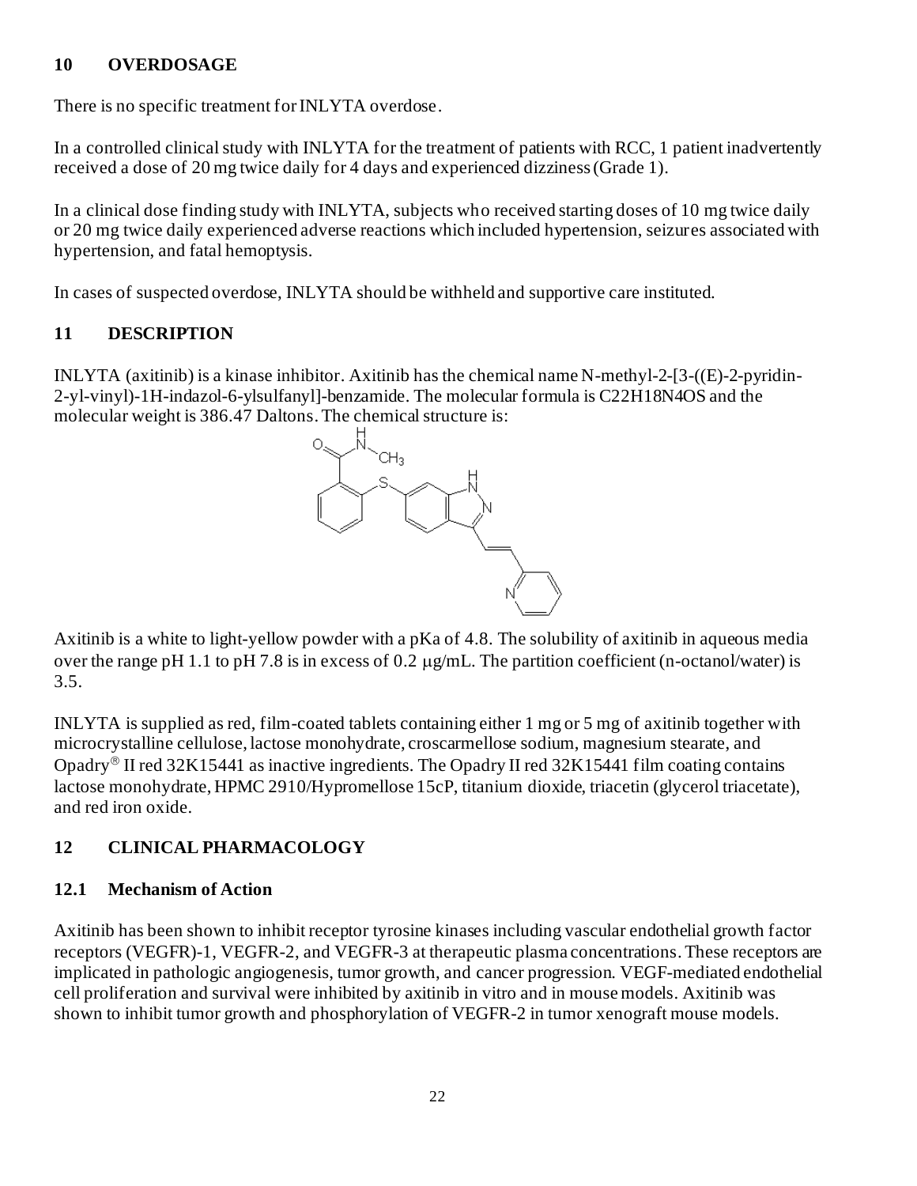### **10 OVERDOSAGE**

There is no specific treatment for INLYTA overdose.

In a controlled clinical study with INLYTA for the treatment of patients with RCC, 1 patient inadvertently received a dose of 20 mg twice daily for 4 days and experienced dizziness (Grade 1).

In a clinical dose finding study with INLYTA, subjects who received starting doses of 10 mg twice daily or 20 mg twice daily experienced adverse reactions which included hypertension, seizures associated with hypertension, and fatal hemoptysis.

In cases of suspected overdose, INLYTA should be withheld and supportive care instituted.

# **11 DESCRIPTION**

INLYTA (axitinib) is a kinase inhibitor. Axitinib has the chemical name N-methyl-2-[3-((E)-2-pyridin-2-yl-vinyl)-1H-indazol-6-ylsulfanyl]-benzamide. The molecular formula is C22H18N4OS and the molecular weight is 386.47 Daltons. The chemical structure is:



Axitinib is a white to light-yellow powder with a pKa of 4.8. The solubility of axitinib in aqueous media over the range pH 1.1 to pH 7.8 is in excess of 0.2  $\mu$ g/mL. The partition coefficient (n-octanol/water) is 3.5.

INLYTA is supplied as red, film-coated tablets containing either 1 mg or 5 mg of axitinib together with microcrystalline cellulose, lactose monohydrate, croscarmellose sodium, magnesium stearate, and Opadry<sup>®</sup> II red 32K15441 as inactive ingredients. The Opadry II red 32K15441 film coating contains lactose monohydrate, HPMC 2910/Hypromellose 15cP, titanium dioxide, triacetin (glycerol triacetate), and red iron oxide.

# **12 CLINICAL PHARMACOLOGY**

## **12.1 Mechanism of Action**

Axitinib has been shown to inhibit receptor tyrosine kinases including vascular endothelial growth factor receptors (VEGFR)-1, VEGFR-2, and VEGFR-3 at therapeutic plasma concentrations. These receptors are implicated in pathologic angiogenesis, tumor growth, and cancer progression. VEGF-mediated endothelial cell proliferation and survival were inhibited by axitinib in vitro and in mouse models. Axitinib was shown to inhibit tumor growth and phosphorylation of VEGFR-2 in tumor xenograft mouse models.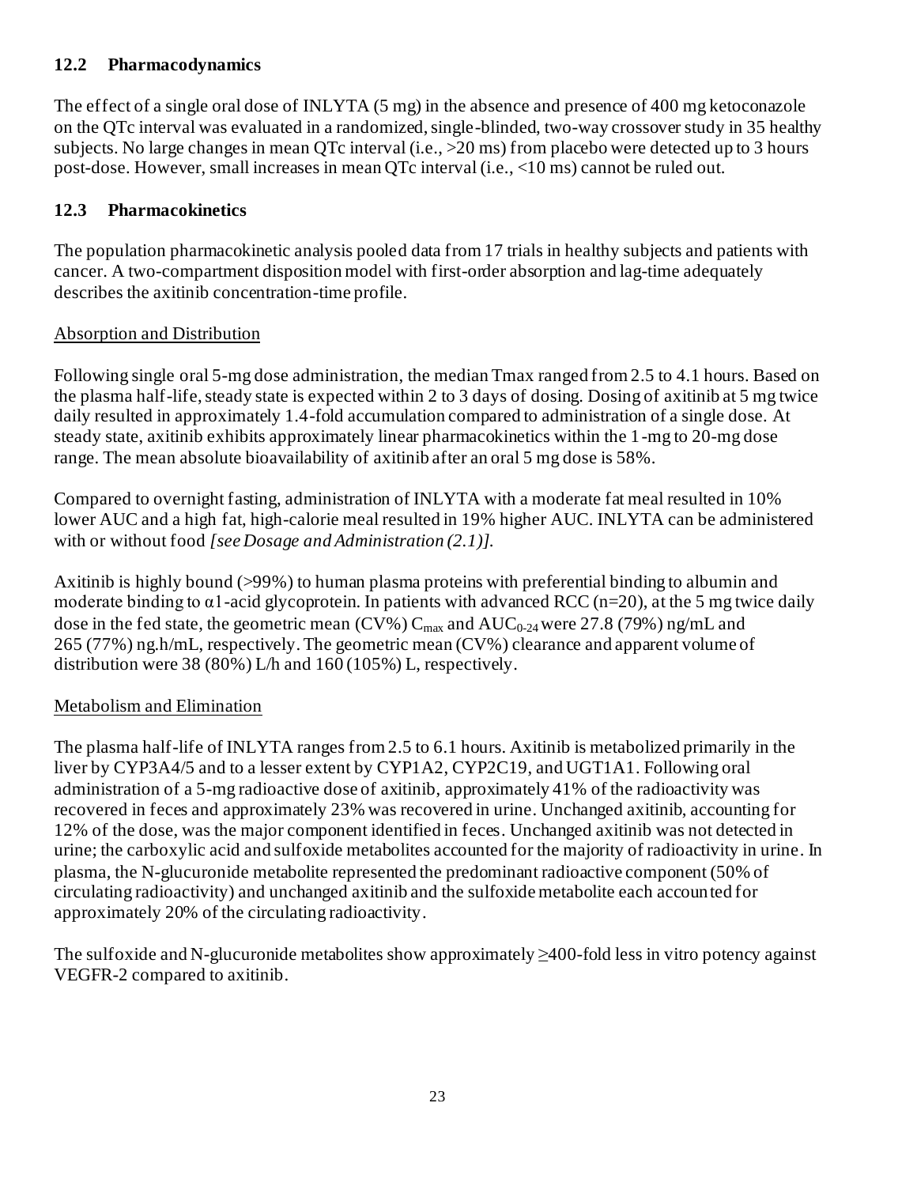## **12.2 Pharmacodynamics**

The effect of a single oral dose of INLYTA (5 mg) in the absence and presence of 400 mg ketoconazole on the QTc interval was evaluated in a randomized, single-blinded, two-way crossover study in 35 healthy subjects. No large changes in mean QTc interval (i.e., >20 ms) from placebo were detected up to 3 hours post-dose. However, small increases in mean QTc interval (i.e., <10 ms) cannot be ruled out.

### **12.3 Pharmacokinetics**

The population pharmacokinetic analysis pooled data from 17 trials in healthy subjects and patients with cancer. A two-compartment disposition model with first-order absorption and lag-time adequately describes the axitinib concentration-time profile.

### Absorption and Distribution

Following single oral 5-mg dose administration, the median Tmax ranged from 2.5 to 4.1 hours. Based on the plasma half-life, steady state is expected within 2 to 3 days of dosing. Dosing of axitinib at 5 mg twice daily resulted in approximately 1.4-fold accumulation compared to administration of a single dose. At steady state, axitinib exhibits approximately linear pharmacokinetics within the 1-mg to 20-mg dose range. The mean absolute bioavailability of axitinib after an oral 5 mg dose is 58%.

Compared to overnight fasting, administration of INLYTA with a moderate fat meal resulted in 10% lower AUC and a high fat, high-calorie meal resulted in 19% higher AUC. INLYTA can be administered with or without food *[see Dosage and Administration (2.1)]*.

Axitinib is highly bound (>99%) to human plasma proteins with preferential binding to albumin and moderate binding to  $\alpha$ 1-acid glycoprotein. In patients with advanced RCC (n=20), at the 5 mg twice daily dose in the fed state, the geometric mean (CV%)  $C_{max}$  and  $AUC_{0.24}$  were 27.8 (79%) ng/mL and 265 (77%) ng.h/mL, respectively. The geometric mean (CV%) clearance and apparent volume of distribution were 38 (80%) L/h and 160 (105%) L, respectively.

### Metabolism and Elimination

The plasma half-life of INLYTA ranges from 2.5 to 6.1 hours. Axitinib is metabolized primarily in the liver by CYP3A4/5 and to a lesser extent by CYP1A2, CYP2C19, and UGT1A1. Following oral administration of a 5-mg radioactive dose of axitinib, approximately 41% of the radioactivity was recovered in feces and approximately 23% was recovered in urine. Unchanged axitinib, accounting for 12% of the dose, was the major component identified in feces. Unchanged axitinib was not detected in urine; the carboxylic acid and sulfoxide metabolites accounted for the majority of radioactivity in urine. In plasma, the N-glucuronide metabolite represented the predominant radioactive component (50% of circulating radioactivity) and unchanged axitinib and the sulfoxide metabolite each accounted for approximately 20% of the circulating radioactivity.

The sulfoxide and N-glucuronide metabolites show approximately ≥400-fold less in vitro potency against VEGFR-2 compared to axitinib.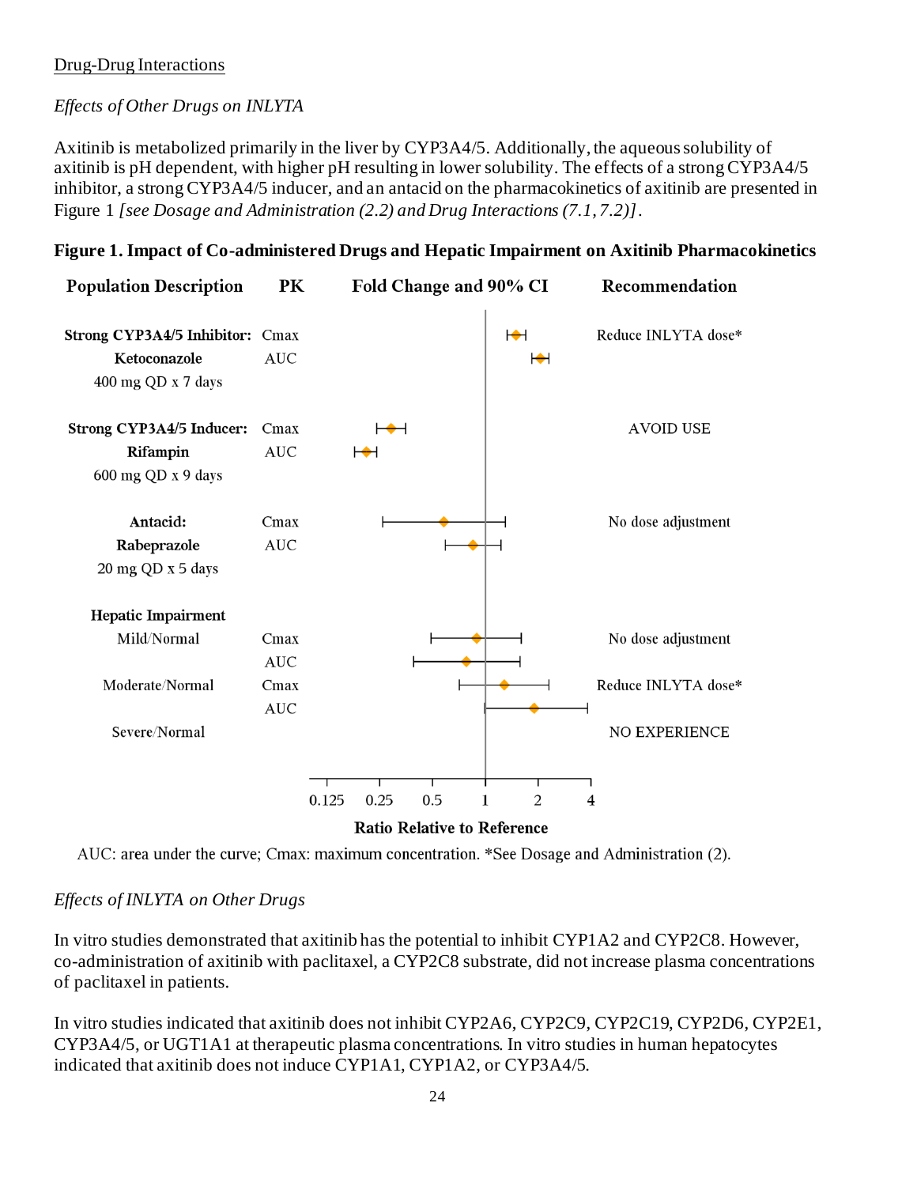### Drug-Drug Interactions

### *Effects of Other Drugs on INLYTA*

Axitinib is metabolized primarily in the liver by CYP3A4/5. Additionally, the aqueous solubility of axitinib is pH dependent, with higher pH resulting in lower solubility. The effects of a strong CYP3A4/5 inhibitor, a strong CYP3A4/5 inducer, and an antacid on the pharmacokinetics of axitinib are presented in Figure 1 *[see Dosage and Administration (2.2) and Drug Interactions (7.1, 7.2)]*.

#### **Figure 1. Impact of Co-administered Drugs and Hepatic Impairment on Axitinib Pharmacokinetics**

| <b>Population Description</b>                                         | PK                 |       | Fold Change and 90% CI                        |     |                                          | Recommendation      |
|-----------------------------------------------------------------------|--------------------|-------|-----------------------------------------------|-----|------------------------------------------|---------------------|
| Strong CYP3A4/5 Inhibitor: Cmax<br>Ketoconazole<br>400 mg QD x 7 days | <b>AUC</b>         |       |                                               |     | $\blacktriangleright$<br>$\blacklozenge$ | Reduce INLYTA dose* |
| Strong CYP3A4/5 Inducer:<br>Rifampin<br>600 mg QD x 9 days            | Cmax<br><b>AUC</b> |       | ⊢⊷                                            |     |                                          | <b>AVOID USE</b>    |
| Antacid:<br>Rabeprazole<br>20 mg QD x 5 days                          | Cmax<br><b>AUC</b> |       |                                               |     |                                          | No dose adjustment  |
| <b>Hepatic Impairment</b>                                             |                    |       |                                               |     |                                          |                     |
| Mild/Normal                                                           | Cmax<br><b>AUC</b> |       |                                               |     |                                          | No dose adjustment  |
| Moderate/Normal                                                       | Cmax<br><b>AUC</b> |       |                                               |     |                                          | Reduce INLYTA dose* |
| Severe/Normal                                                         |                    |       |                                               |     |                                          | NO EXPERIENCE       |
|                                                                       |                    |       |                                               |     |                                          |                     |
|                                                                       |                    | 0.125 | 0.25                                          | 0.5 | 2                                        | 4                   |
|                                                                       |                    |       | $D_{n+1}$ , $D_{n+1}$ , $D_{n+2}$ , $D_{n+1}$ |     |                                          |                     |

**Ratio Relative to Reference** 

AUC: area under the curve; Cmax: maximum concentration. \*See Dosage and Administration (2).

### *Effects of INLYTA on Other Drugs*

In vitro studies demonstrated that axitinib has the potential to inhibit CYP1A2 and CYP2C8. However, co-administration of axitinib with paclitaxel, a CYP2C8 substrate, did not increase plasma concentrations of paclitaxel in patients.

In vitro studies indicated that axitinib does not inhibit CYP2A6, CYP2C9, CYP2C19, CYP2D6, CYP2E1, CYP3A4/5, or UGT1A1 at therapeutic plasma concentrations. In vitro studies in human hepatocytes indicated that axitinib does not induce CYP1A1, CYP1A2, or CYP3A4/5.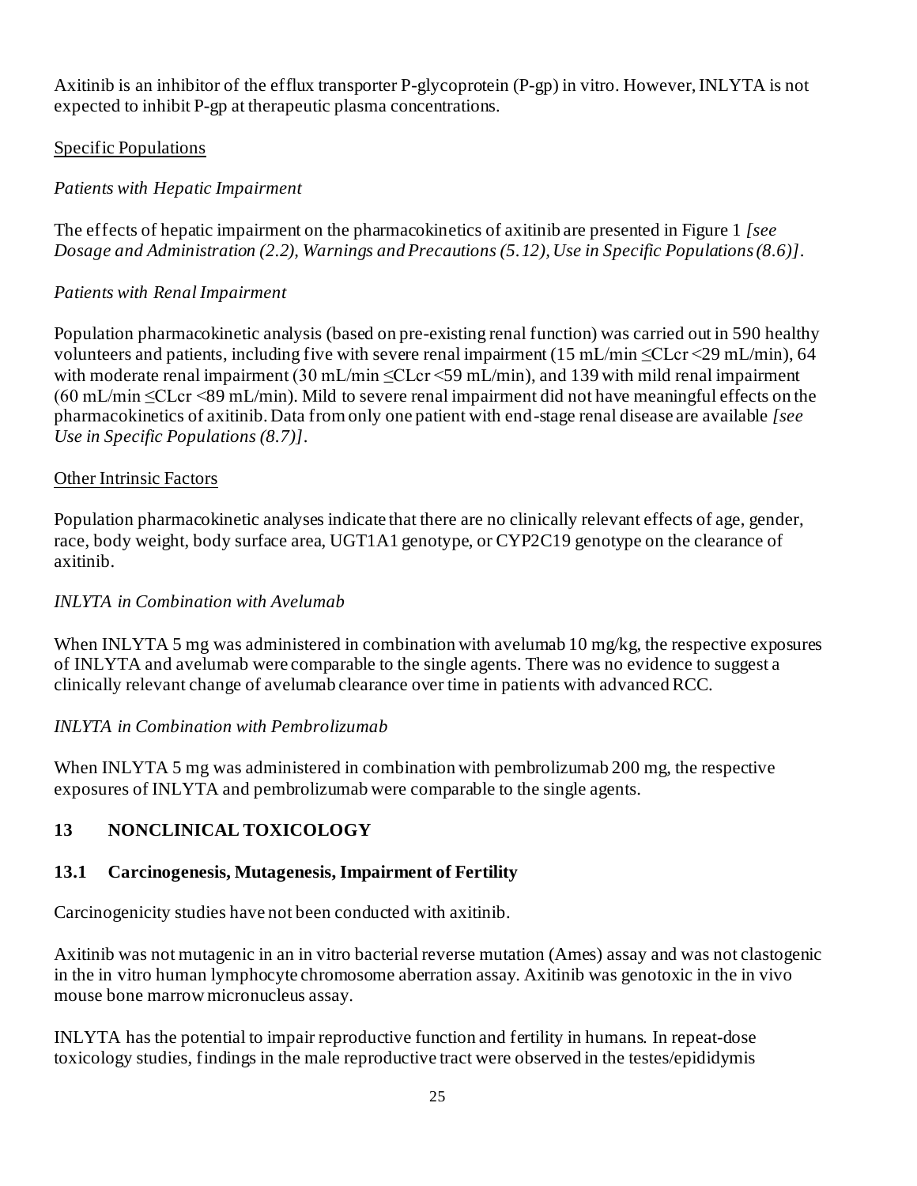Axitinib is an inhibitor of the efflux transporter P-glycoprotein (P-gp) in vitro. However, INLYTA is not expected to inhibit P-gp at therapeutic plasma concentrations.

### Specific Populations

# *Patients with Hepatic Impairment*

The effects of hepatic impairment on the pharmacokinetics of axitinib are presented in Figure 1 *[see Dosage and Administration (2.2), Warnings and Precautions (5.12), Use in Specific Populations (8.6)]*.

## *Patients with Renal Impairment*

Population pharmacokinetic analysis (based on pre-existing renal function) was carried out in 590 healthy volunteers and patients, including five with severe renal impairment (15 mL/min  $\leq CL$ cr  $\leq$ 9 mL/min), 64 with moderate renal impairment (30 mL/min ≤CLcr ≤59 mL/min), and 139 with mild renal impairment  $(60 \text{ mL/min} \leq CL$ cr <89 mL/min). Mild to severe renal impairment did not have meaningful effects on the pharmacokinetics of axitinib. Data from only one patient with end-stage renal disease are available *[see Use in Specific Populations (8.7)]*.

### Other Intrinsic Factors

Population pharmacokinetic analyses indicate that there are no clinically relevant effects of age, gender, race, body weight, body surface area, UGT1A1 genotype, or CYP2C19 genotype on the clearance of axitinib.

## *INLYTA in Combination with Avelumab*

When INLYTA 5 mg was administered in combination with avelumab 10 mg/kg, the respective exposures of INLYTA and avelumab were comparable to the single agents. There was no evidence to suggest a clinically relevant change of avelumab clearance over time in patients with advanced RCC.

### *INLYTA in Combination with Pembrolizumab*

When INLYTA 5 mg was administered in combination with pembrolizumab 200 mg, the respective exposures of INLYTA and pembrolizumab were comparable to the single agents.

# **13 NONCLINICAL TOXICOLOGY**

## **13.1 Carcinogenesis, Mutagenesis, Impairment of Fertility**

Carcinogenicity studies have not been conducted with axitinib.

Axitinib was not mutagenic in an in vitro bacterial reverse mutation (Ames) assay and was not clastogenic in the in vitro human lymphocyte chromosome aberration assay. Axitinib was genotoxic in the in vivo mouse bone marrow micronucleus assay.

INLYTA has the potential to impair reproductive function and fertility in humans. In repeat-dose toxicology studies, findings in the male reproductive tract were observed in the testes/epididymis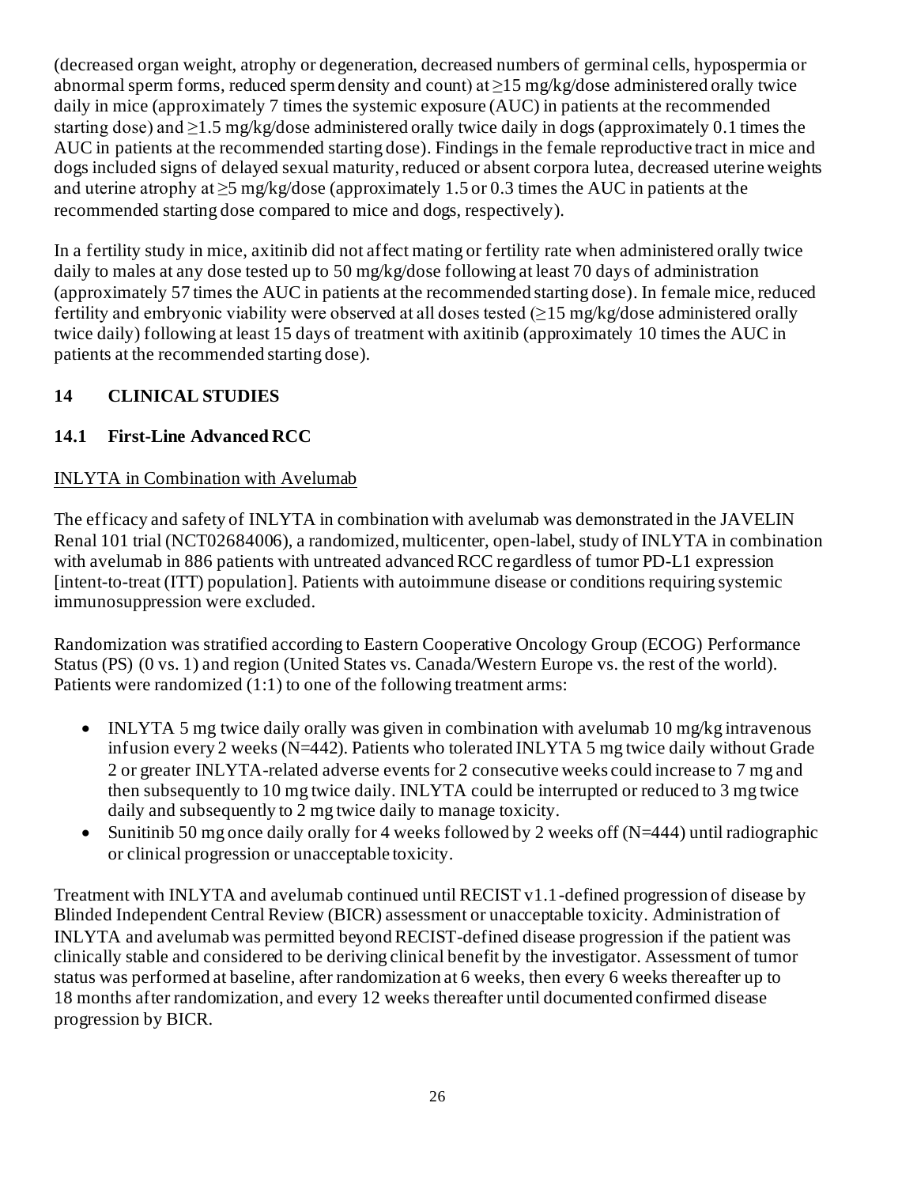(decreased organ weight, atrophy or degeneration, decreased numbers of germinal cells, hypospermia or abnormal sperm forms, reduced sperm density and count) at  $\geq$ 15 mg/kg/dose administered orally twice daily in mice (approximately 7 times the systemic exposure (AUC) in patients at the recommended starting dose) and  $\geq$ 1.5 mg/kg/dose administered orally twice daily in dogs (approximately 0.1 times the AUC in patients at the recommended starting dose). Findings in the female reproductive tract in mice and dogs included signs of delayed sexual maturity, reduced or absent corpora lutea, decreased uterine weights and uterine atrophy at  $\geq$ 5 mg/kg/dose (approximately 1.5 or 0.3 times the AUC in patients at the recommended starting dose compared to mice and dogs, respectively).

In a fertility study in mice, axitinib did not affect mating or fertility rate when administered orally twice daily to males at any dose tested up to 50 mg/kg/dose following at least 70 days of administration (approximately 57 times the AUC in patients at the recommended starting dose). In female mice, reduced fertility and embryonic viability were observed at all doses tested  $(\geq 15 \text{ mg/kg/dose}$  administered orally twice daily) following at least 15 days of treatment with axitinib (approximately 10 times the AUC in patients at the recommended starting dose).

# **14 CLINICAL STUDIES**

# **14.1 First-Line Advanced RCC**

## INLYTA in Combination with Avelumab

The efficacy and safety of INLYTA in combination with avelumab was demonstrated in the JAVELIN Renal 101 trial (NCT02684006), a randomized, multicenter, open-label, study of INLYTA in combination with avelumab in 886 patients with untreated advanced RCC regardless of tumor PD-L1 expression [intent-to-treat (ITT) population]. Patients with autoimmune disease or conditions requiring systemic immunosuppression were excluded.

Randomization was stratified according to Eastern Cooperative Oncology Group (ECOG) Performance Status (PS) (0 vs. 1) and region (United States vs. Canada/Western Europe vs. the rest of the world). Patients were randomized (1:1) to one of the following treatment arms:

- INLYTA 5 mg twice daily orally was given in combination with avelumab 10 mg/kg intravenous infusion every 2 weeks (N=442). Patients who tolerated INLYTA 5 mg twice daily without Grade 2 or greater INLYTA-related adverse events for 2 consecutive weeks could increase to 7 mg and then subsequently to 10 mg twice daily. INLYTA could be interrupted or reduced to 3 mg twice daily and subsequently to 2 mg twice daily to manage toxicity.
- Sunitinib 50 mg once daily orally for 4 weeks followed by 2 weeks off (N=444) until radiographic or clinical progression or unacceptable toxicity.

Treatment with INLYTA and avelumab continued until RECIST v1.1-defined progression of disease by Blinded Independent Central Review (BICR) assessment or unacceptable toxicity. Administration of INLYTA and avelumab was permitted beyond RECIST-defined disease progression if the patient was clinically stable and considered to be deriving clinical benefit by the investigator. Assessment of tumor status was performed at baseline, after randomization at 6 weeks, then every 6 weeks thereafter up to 18 months after randomization, and every 12 weeks thereafter until documented confirmed disease progression by BICR.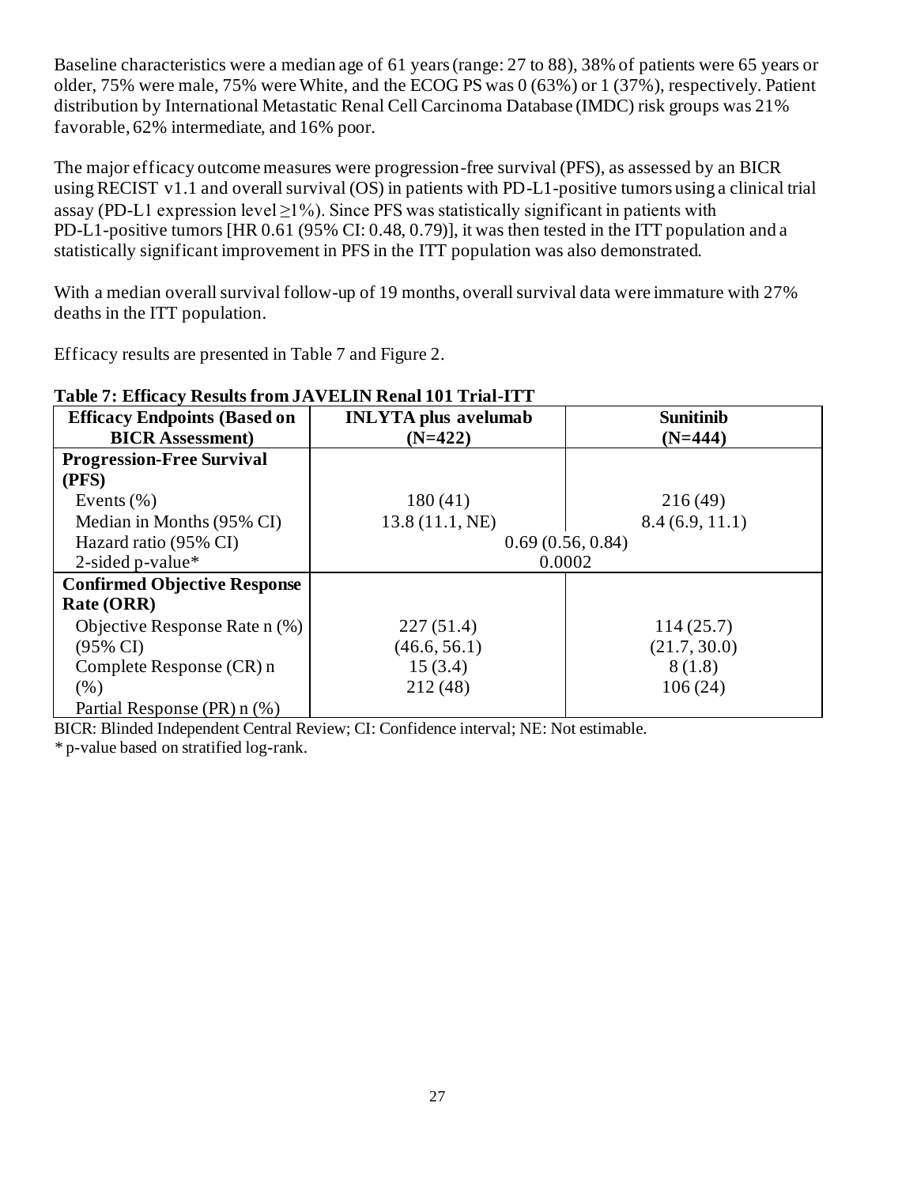Baseline characteristics were a median age of 61 years (range: 27 to 88), 38% of patients were 65 years or older, 75% were male, 75% were White, and the ECOG PS was 0 (63%) or 1 (37%), respectively. Patient distribution by International Metastatic Renal Cell Carcinoma Database (IMDC) risk groups was 21% favorable, 62% intermediate, and 16% poor.

The major efficacy outcome measures were progression-free survival (PFS), as assessed by an BICR using RECIST v1.1 and overall survival (OS) in patients with PD-L1-positive tumors using a clinical trial assay (PD-L1 expression level  $\geq$ 1%). Since PFS was statistically significant in patients with PD-L1-positive tumors [HR 0.61 (95% CI: 0.48, 0.79)], it was then tested in the ITT population and a statistically significant improvement in PFS in the ITT population was also demonstrated.

With a median overall survival follow-up of 19 months, overall survival data were immature with 27% deaths in the ITT population.

Efficacy results are presented in Table 7 and Figure 2.

| <b>Efficacy Endpoints (Based on</b> | <b>INLYTA</b> plus avelumab | <b>Sunitinib</b> |  |  |  |
|-------------------------------------|-----------------------------|------------------|--|--|--|
| <b>BICR Assessment</b> )            | $(N=422)$                   | $(N=444)$        |  |  |  |
| <b>Progression-Free Survival</b>    |                             |                  |  |  |  |
| (PFS)                               |                             |                  |  |  |  |
| Events $(\% )$                      | 180(41)                     | 216(49)          |  |  |  |
| Median in Months (95% CI)           | 13.8 (11.1, NE)             | 8.4(6.9, 11.1)   |  |  |  |
| Hazard ratio (95% CI)               | 0.69(0.56, 0.84)            |                  |  |  |  |
| 2-sided p-value $*$                 | 0.0002                      |                  |  |  |  |
| <b>Confirmed Objective Response</b> |                             |                  |  |  |  |
| Rate (ORR)                          |                             |                  |  |  |  |
| Objective Response Rate n (%)       | 227(51.4)                   | 114(25.7)        |  |  |  |
| $(95\% \text{ CI})$                 | (46.6, 56.1)                | (21.7, 30.0)     |  |  |  |
| Complete Response (CR) n            | 15(3.4)                     | 8(1.8)           |  |  |  |
| (% )                                | 212 (48)                    | 106(24)          |  |  |  |
| Partial Response (PR) n (%)         |                             |                  |  |  |  |

# **Table 7: Efficacy Results from JAVELIN Renal 101 Trial-ITT**

BICR: Blinded Independent Central Review; CI: Confidence interval; NE: Not estimable.

*\** p-value based on stratified log-rank.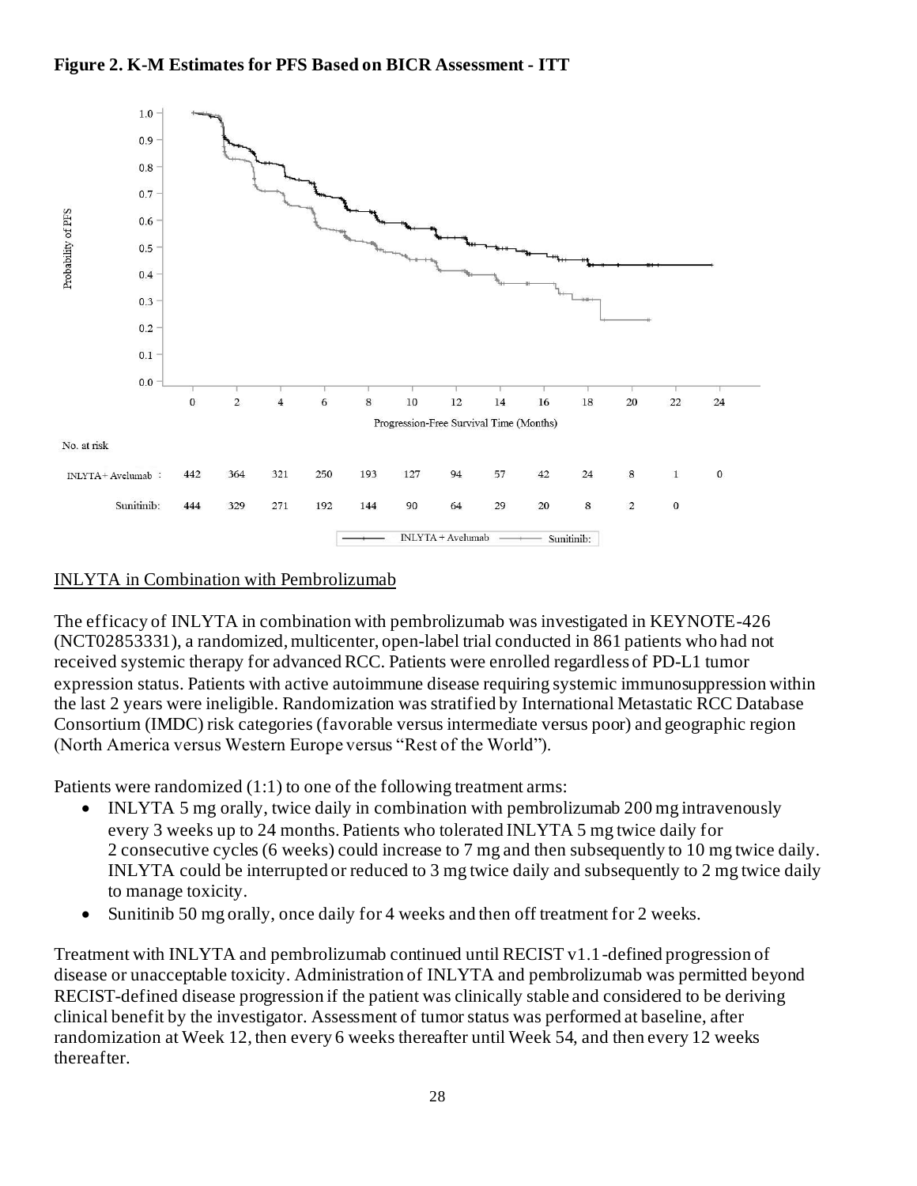# **Figure 2. K-M Estimates for PFS Based on BICR Assessment - ITT**



#### INLYTA in Combination with Pembrolizumab

The efficacy of INLYTA in combination with pembrolizumab was investigated in KEYNOTE-426 (NCT02853331), a randomized, multicenter, open-label trial conducted in 861 patients who had not received systemic therapy for advanced RCC. Patients were enrolled regardless of PD-L1 tumor expression status. Patients with active autoimmune disease requiring systemic immunosuppression within the last 2 years were ineligible. Randomization was stratified by International Metastatic RCC Database Consortium (IMDC) risk categories (favorable versus intermediate versus poor) and geographic region (North America versus Western Europe versus "Rest of the World").

Patients were randomized (1:1) to one of the following treatment arms:

- INLYTA 5 mg orally, twice daily in combination with pembrolizumab 200 mg intravenously every 3 weeks up to 24 months. Patients who tolerated INLYTA 5 mg twice daily for 2 consecutive cycles (6 weeks) could increase to 7 mg and then subsequently to 10 mg twice daily. INLYTA could be interrupted or reduced to 3 mg twice daily and subsequently to 2 mg twice daily to manage toxicity.
- Sunitinib 50 mg orally, once daily for 4 weeks and then off treatment for 2 weeks.

Treatment with INLYTA and pembrolizumab continued until RECIST v1.1-defined progression of disease or unacceptable toxicity. Administration of INLYTA and pembrolizumab was permitted beyond RECIST-defined disease progression if the patient was clinically stable and considered to be deriving clinical benefit by the investigator. Assessment of tumor status was performed at baseline, after randomization at Week 12, then every 6 weeks thereafter until Week 54, and then every 12 weeks thereafter.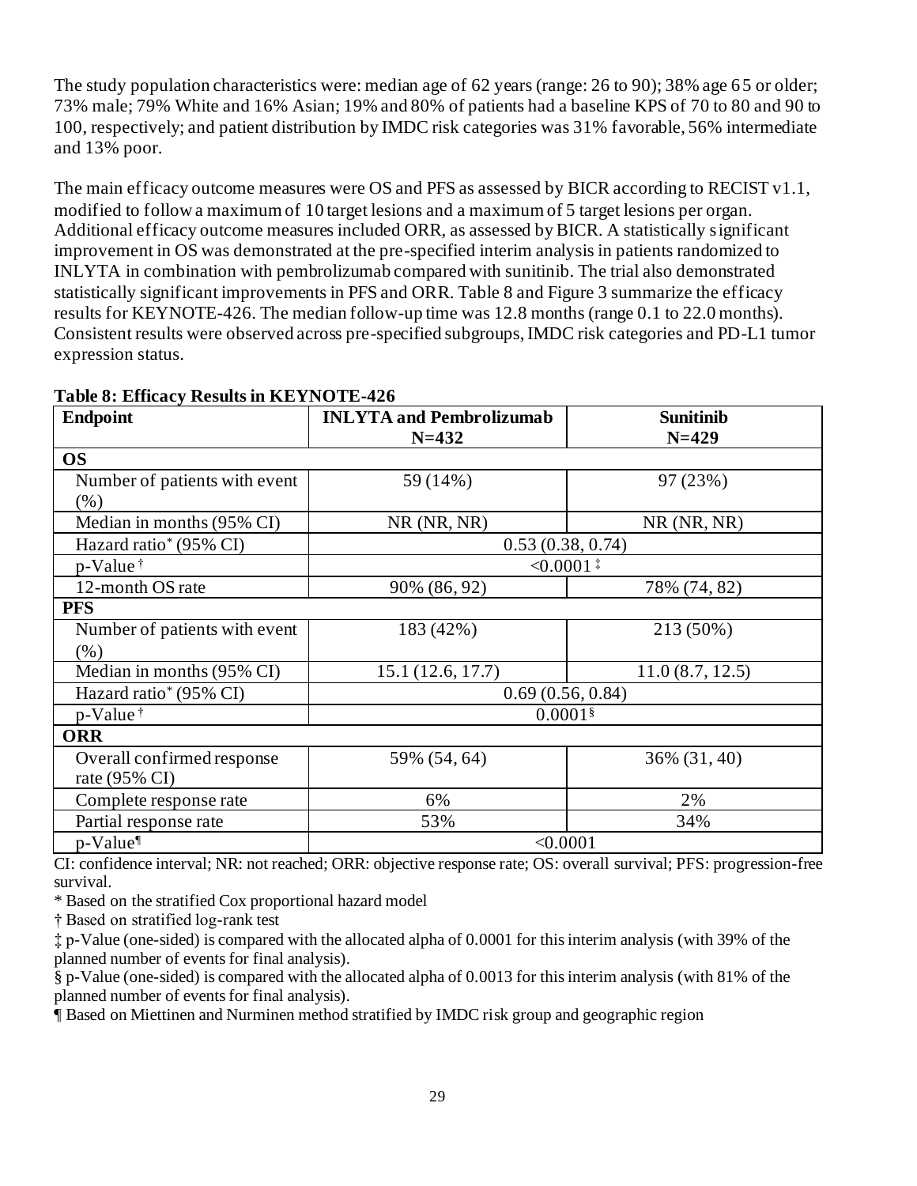The study population characteristics were: median age of 62 years (range: 26 to 90); 38% age 65 or older; 73% male; 79% White and 16% Asian; 19% and 80% of patients had a baseline KPS of 70 to 80 and 90 to 100, respectively; and patient distribution by IMDC risk categories was 31% favorable, 56% intermediate and 13% poor.

The main efficacy outcome measures were OS and PFS as assessed by BICR according to RECIST v1.1, modified to follow a maximum of 10 target lesions and a maximum of 5 target lesions per organ. Additional efficacy outcome measures included ORR, as assessed by BICR. A statistically significant improvement in OS was demonstrated at the pre-specified interim analysis in patients randomized to INLYTA in combination with pembrolizumab compared with sunitinib. The trial also demonstrated statistically significant improvements in PFS and ORR. Table 8 and Figure 3 summarize the efficacy results for KEYNOTE-426. The median follow-up time was 12.8 months (range 0.1 to 22.0 months). Consistent results were observed across pre-specified subgroups, IMDC risk categories and PD-L1 tumor expression status.

| <b>Endpoint</b>                          | <b>INLYTA and Pembrolizumab</b><br>$N = 432$ | <b>Sunitinib</b><br>$N=429$ |  |  |  |  |
|------------------------------------------|----------------------------------------------|-----------------------------|--|--|--|--|
| <b>OS</b>                                |                                              |                             |  |  |  |  |
| Number of patients with event<br>$(\% )$ | 97 (23%)<br>59 (14%)                         |                             |  |  |  |  |
| Median in months (95% CI)                | $NR$ (NR, NR)                                | $NR$ (NR, NR)               |  |  |  |  |
| Hazard ratio* (95% CI)                   | 0.53(0.38, 0.74)                             |                             |  |  |  |  |
| p-Value <sup>†</sup>                     | $< 0.0001$ <sup>#</sup>                      |                             |  |  |  |  |
| 12-month OS rate                         | 90% (86, 92)                                 | 78% (74, 82)                |  |  |  |  |
| <b>PFS</b>                               |                                              |                             |  |  |  |  |
| Number of patients with event            | 183 (42%)<br>213 (50%)                       |                             |  |  |  |  |
| $(\% )$                                  |                                              |                             |  |  |  |  |
| Median in months (95% CI)                | 15.1(12.6, 17.7)<br>11.0(8.7, 12.5)          |                             |  |  |  |  |
| Hazard ratio <sup>*</sup> (95% CI)       | 0.69(0.56, 0.84)                             |                             |  |  |  |  |
| p-Value <sup>†</sup>                     | $0.0001$ §                                   |                             |  |  |  |  |
| <b>ORR</b>                               |                                              |                             |  |  |  |  |
| Overall confirmed response               | 59% (54, 64)                                 | 36% (31, 40)                |  |  |  |  |
| rate (95% CI)                            |                                              |                             |  |  |  |  |
| Complete response rate                   | 6%                                           | 2%                          |  |  |  |  |
| Partial response rate                    | 53%<br>34%                                   |                             |  |  |  |  |
| p-Value <sup>¶</sup>                     | < 0.0001                                     |                             |  |  |  |  |

#### **Table 8: Efficacy Results in KEYNOTE-426**

CI: confidence interval; NR: not reached; ORR: objective response rate; OS: overall survival; PFS: progression-free survival.

\* Based on the stratified Cox proportional hazard model

† Based on stratified log-rank test

‡ p-Value (one-sided) is compared with the allocated alpha of 0.0001 for this interim analysis (with 39% of the planned number of events for final analysis).

§ p-Value (one-sided) is compared with the allocated alpha of 0.0013 for this interim analysis (with 81% of the planned number of events for final analysis).

¶ Based on Miettinen and Nurminen method stratified by IMDC risk group and geographic region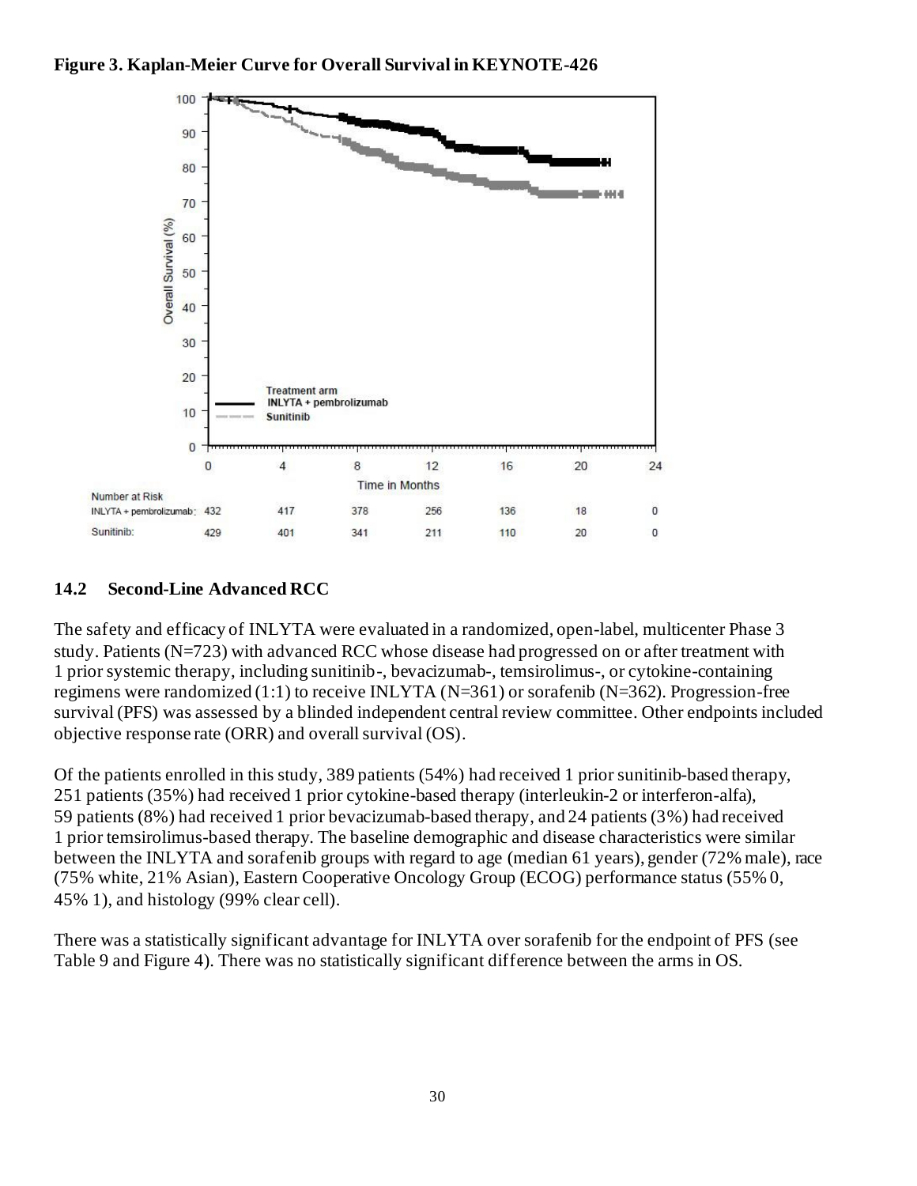

### **14.2 Second-Line Advanced RCC**

The safety and efficacy of INLYTA were evaluated in a randomized, open-label, multicenter Phase 3 study. Patients (N=723) with advanced RCC whose disease had progressed on or after treatment with 1 prior systemic therapy, including sunitinib-, bevacizumab-, temsirolimus-, or cytokine-containing regimens were randomized (1:1) to receive INLYTA (N=361) or sorafenib (N=362). Progression-free survival (PFS) was assessed by a blinded independent central review committee. Other endpoints included objective response rate (ORR) and overall survival (OS).

Of the patients enrolled in this study, 389 patients (54%) had received 1 prior sunitinib-based therapy, 251 patients (35%) had received 1 prior cytokine-based therapy (interleukin-2 or interferon-alfa), 59 patients (8%) had received 1 prior bevacizumab-based therapy, and 24 patients (3%) had received 1 prior temsirolimus-based therapy. The baseline demographic and disease characteristics were similar between the INLYTA and sorafenib groups with regard to age (median 61 years), gender (72% male), race (75% white, 21% Asian), Eastern Cooperative Oncology Group (ECOG) performance status (55% 0, 45% 1), and histology (99% clear cell).

There was a statistically significant advantage for INLYTA over sorafenib for the endpoint of PFS (see Table 9 and Figure 4). There was no statistically significant difference between the arms in OS.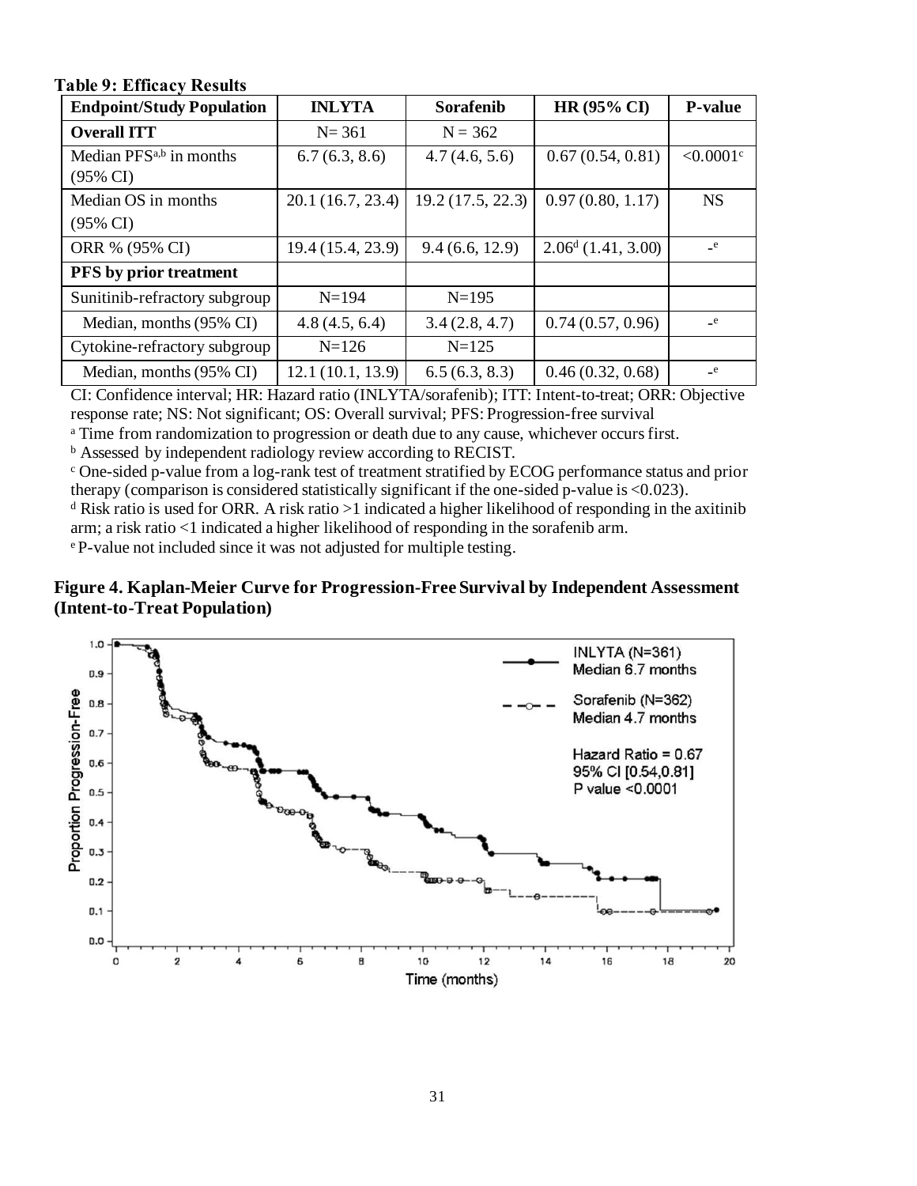| $\ldots$                                                   |                   |                   |                      |               |  |  |  |  |
|------------------------------------------------------------|-------------------|-------------------|----------------------|---------------|--|--|--|--|
| <b>Endpoint/Study Population</b>                           | <b>INLYTA</b>     | Sorafenib         | <b>HR (95% CI)</b>   | P-value       |  |  |  |  |
| <b>Overall ITT</b>                                         | $N = 361$         | $N = 362$         |                      |               |  |  |  |  |
| Median PFS <sup>a,b</sup> in months<br>$(95\% \text{ CI})$ | 6.7(6.3, 8.6)     | 4.7(4.6, 5.6)     | 0.67(0.54, 0.81)     | ${<}0.0001$ c |  |  |  |  |
| Median OS in months                                        | 20.1(16.7, 23.4)  | 19.2 (17.5, 22.3) | 0.97(0.80, 1.17)     | <b>NS</b>     |  |  |  |  |
| $(95\% \text{ CI})$                                        |                   |                   |                      |               |  |  |  |  |
| ORR % (95% CI)                                             | 19.4 (15.4, 23.9) | 9.4(6.6, 12.9)    | $2.06d$ (1.41, 3.00) | $\mathbf{e}$  |  |  |  |  |
| PFS by prior treatment                                     |                   |                   |                      |               |  |  |  |  |
| Sunitinib-refractory subgroup                              | $N = 194$         | $N=195$           |                      |               |  |  |  |  |
| Median, months (95% CI)                                    | 4.8(4.5, 6.4)     | 3.4(2.8, 4.7)     | 0.74(0.57, 0.96)     | $_{\rm -}$ e  |  |  |  |  |
| Cytokine-refractory subgroup                               | $N = 126$         | $N = 125$         |                      |               |  |  |  |  |
| Median, months (95% CI)                                    | 12.1 (10.1, 13.9) | 6.5(6.3, 8.3)     | 0.46(0.32, 0.68)     | $_{\rm e}$    |  |  |  |  |

**Table 9: Efficacy Results**

CI: Confidence interval; HR: Hazard ratio (INLYTA/sorafenib); ITT: Intent-to-treat; ORR: Objective response rate; NS: Not significant; OS: Overall survival; PFS: Progression-free survival

<sup>a</sup> Time from randomization to progression or death due to any cause, whichever occurs first.

<sup>b</sup> Assessed by independent radiology review according to RECIST.

<sup>c</sup> One-sided p-value from a log-rank test of treatment stratified by ECOG performance status and prior therapy (comparison is considered statistically significant if the one-sided p-value is <0.023).

<sup>d</sup> Risk ratio is used for ORR. A risk ratio  $>1$  indicated a higher likelihood of responding in the axitinib arm; a risk ratio <1 indicated a higher likelihood of responding in the sorafenib arm.

<sup>e</sup> P-value not included since it was not adjusted for multiple testing.

#### **Figure 4. Kaplan-Meier Curve for Progression-Free Survival by Independent Assessment (Intent-to-Treat Population)**

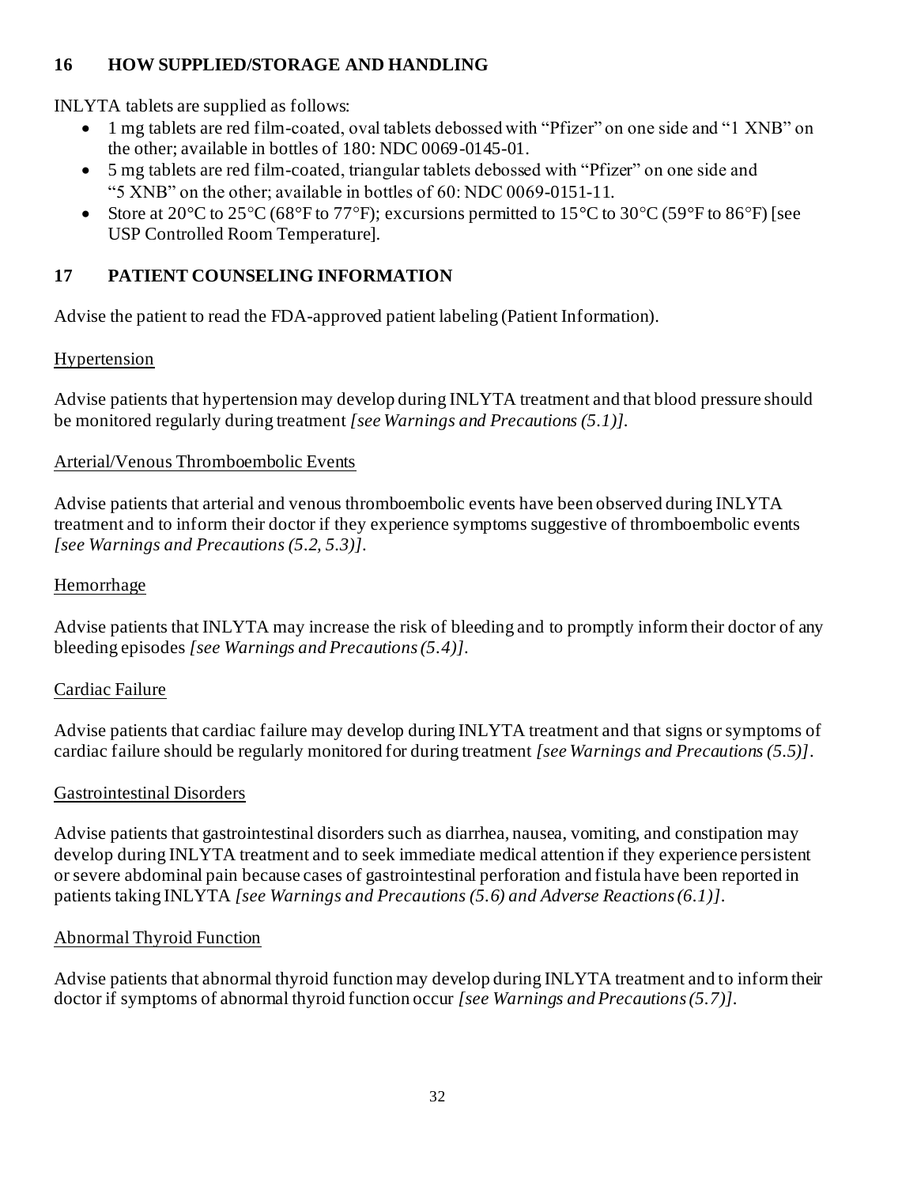# **16 HOW SUPPLIED/STORAGE AND HANDLING**

INLYTA tablets are supplied as follows:

- 1 mg tablets are red film-coated, oval tablets debossed with "Pfizer" on one side and "1 XNB" on the other; available in bottles of 180: NDC 0069-0145-01.
- 5 mg tablets are red film-coated, triangular tablets debossed with "Pfizer" on one side and "5 XNB" on the other; available in bottles of 60: NDC 0069-0151-11.
- Store at  $20^{\circ}$ C to  $25^{\circ}$ C (68°F to 77°F); excursions permitted to  $15^{\circ}$ C to  $30^{\circ}$ C (59°F to 86°F) [see USP Controlled Room Temperature].

# **17 PATIENT COUNSELING INFORMATION**

Advise the patient to read the FDA-approved patient labeling (Patient Information).

# Hypertension

Advise patients that hypertension may develop during INLYTA treatment and that blood pressure should be monitored regularly during treatment *[see Warnings and Precautions (5.1)]*.

# Arterial/Venous Thromboembolic Events

Advise patients that arterial and venous thromboembolic events have been observed during INLYTA treatment and to inform their doctor if they experience symptoms suggestive of thromboembolic events *[see Warnings and Precautions (5.2, 5.3)]*.

# Hemorrhage

Advise patients that INLYTA may increase the risk of bleeding and to promptly inform their doctor of any bleeding episodes *[see Warnings and Precautions (5.4)]*.

# Cardiac Failure

Advise patients that cardiac failure may develop during INLYTA treatment and that signs or symptoms of cardiac failure should be regularly monitored for during treatment *[see Warnings and Precautions (5.5)]*.

# Gastrointestinal Disorders

Advise patients that gastrointestinal disorders such as diarrhea, nausea, vomiting, and constipation may develop during INLYTA treatment and to seek immediate medical attention if they experience persistent or severe abdominal pain because cases of gastrointestinal perforation and fistula have been reported in patients taking INLYTA *[see Warnings and Precautions (5.6) and Adverse Reactions (6.1)]*.

# Abnormal Thyroid Function

Advise patients that abnormal thyroid function may develop during INLYTA treatment and to inform their doctor if symptoms of abnormal thyroid function occur *[see Warnings and Precautions (5.7)]*.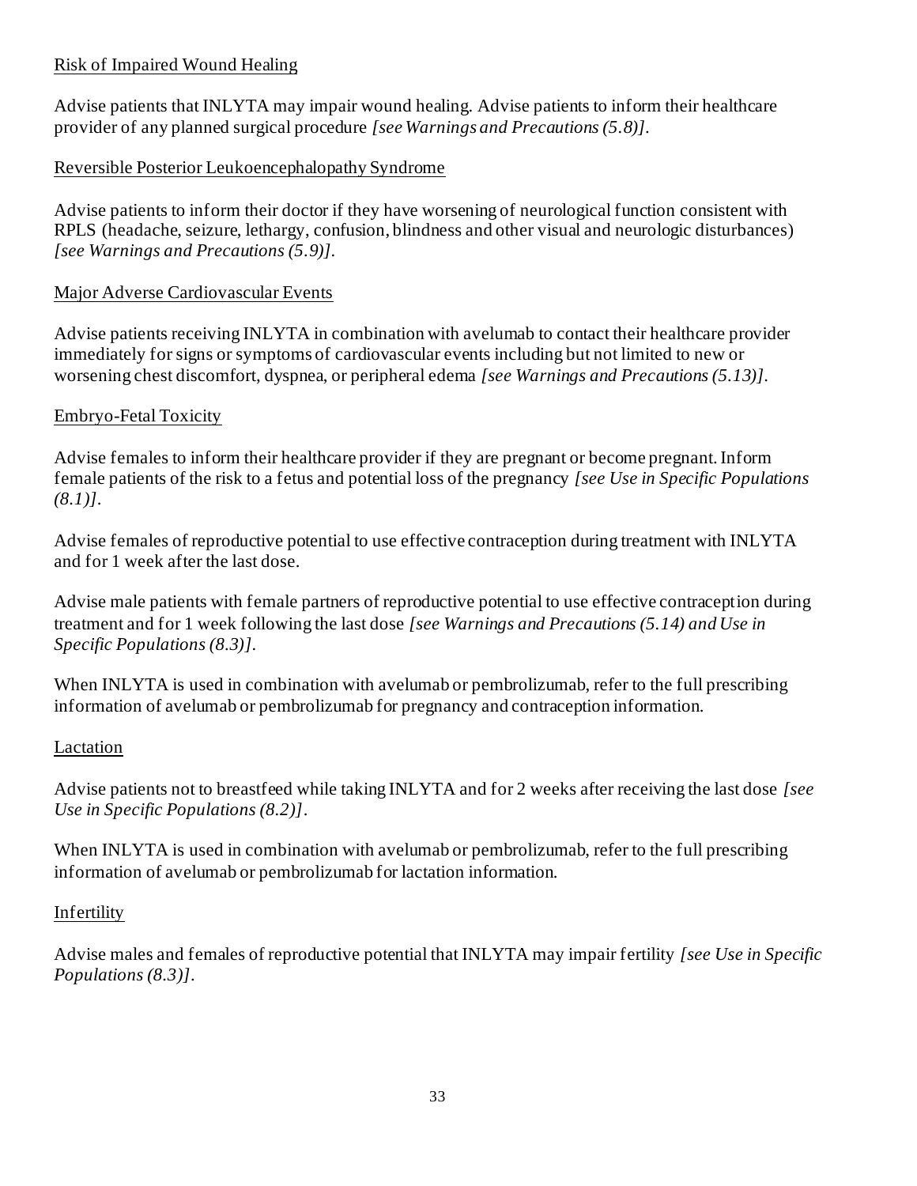## Risk of Impaired Wound Healing

Advise patients that INLYTA may impair wound healing. Advise patients to inform their healthcare provider of any planned surgical procedure *[see Warnings and Precautions (5.8)]*.

## Reversible Posterior Leukoencephalopathy Syndrome

Advise patients to inform their doctor if they have worsening of neurological function consistent with RPLS (headache, seizure, lethargy, confusion, blindness and other visual and neurologic disturbances) *[see Warnings and Precautions (5.9)]*.

### Major Adverse Cardiovascular Events

Advise patients receiving INLYTA in combination with avelumab to contact their healthcare provider immediately for signs or symptoms of cardiovascular events including but not limited to new or worsening chest discomfort, dyspnea, or peripheral edema *[see Warnings and Precautions (5.13)]*.

### Embryo-Fetal Toxicity

Advise females to inform their healthcare provider if they are pregnant or become pregnant. Inform female patients of the risk to a fetus and potential loss of the pregnancy *[see Use in Specific Populations (8.1)]*.

Advise females of reproductive potential to use effective contraception during treatment with INLYTA and for 1 week after the last dose.

Advise male patients with female partners of reproductive potential to use effective contraception during treatment and for 1 week following the last dose *[see Warnings and Precautions (5.14) and Use in Specific Populations (8.3)]*.

When INLYTA is used in combination with avelumab or pembrolizumab, refer to the full prescribing information of avelumab or pembrolizumab for pregnancy and contraception information.

### Lactation

Advise patients not to breastfeed while taking INLYTA and for 2 weeks after receiving the last dose *[see Use in Specific Populations (8.2)]*.

When INLYTA is used in combination with avelumab or pembrolizumab, refer to the full prescribing information of avelumab or pembrolizumab for lactation information.

### Infertility

Advise males and females of reproductive potential that INLYTA may impair fertility *[see Use in Specific Populations (8.3)]*.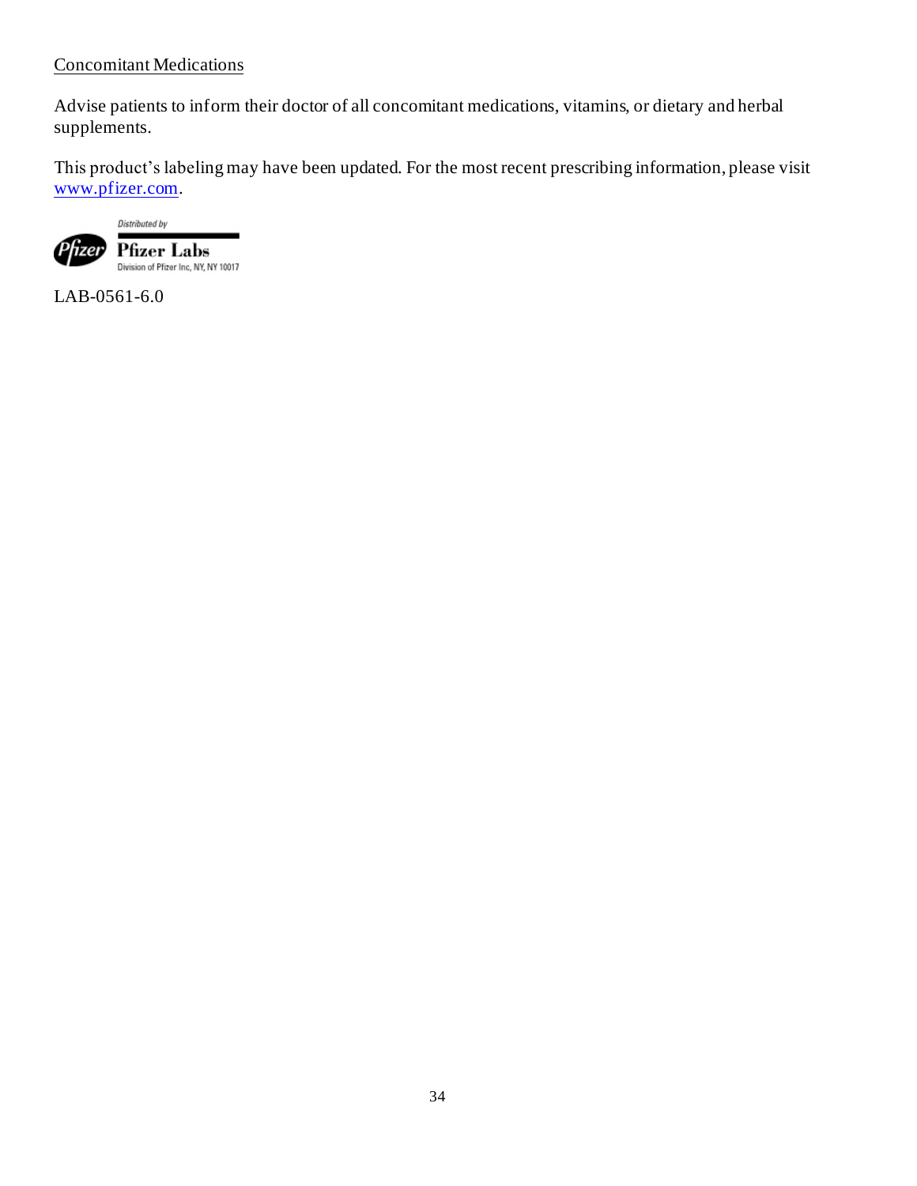### Concomitant Medications

Advise patients to inform their doctor of all concomitant medications, vitamins, or dietary and herbal supplements.

This product's labeling may have been updated. For the most recent prescribing information, please visit [www.pfizer.com](http://www.pfizer.com/).



LAB-0561-6.0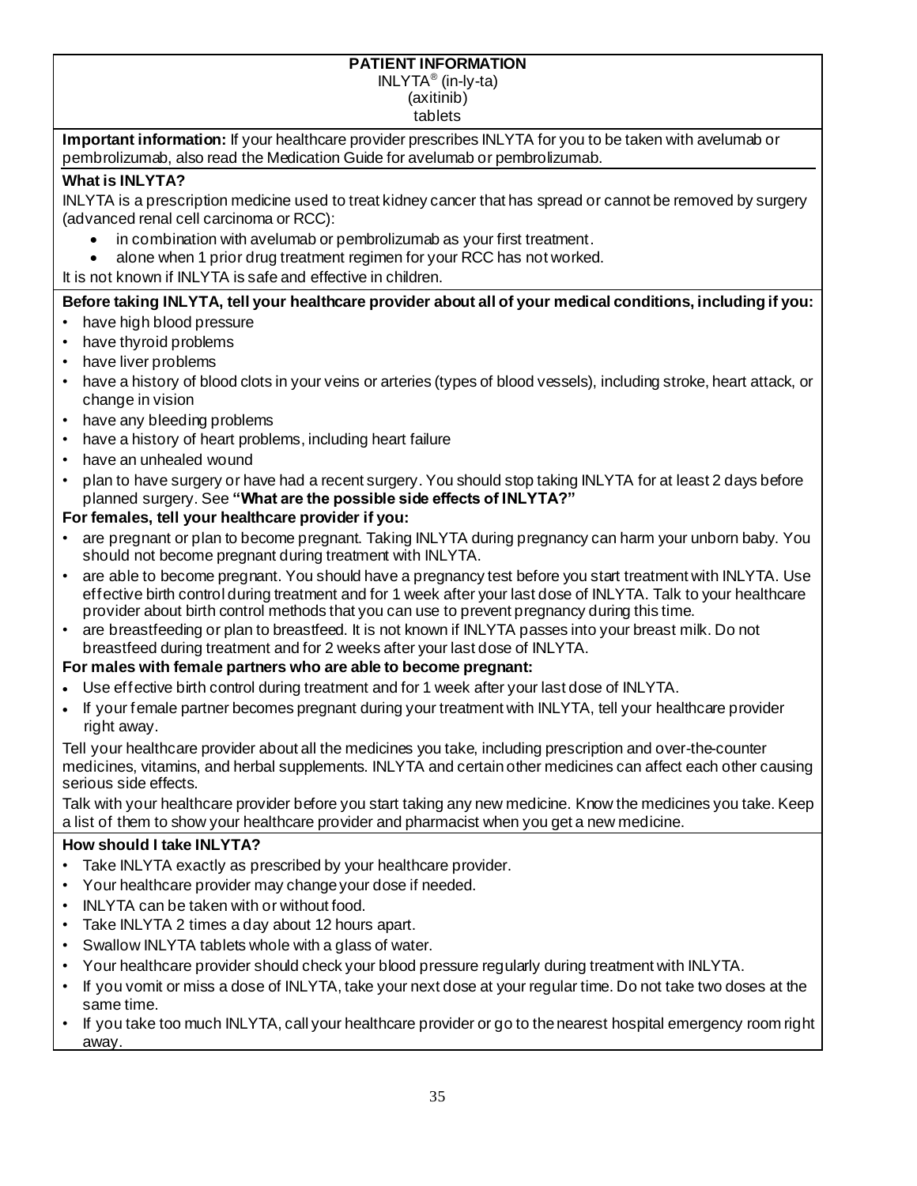#### **PATIENT INFORMATION**

INLYTA® (in-ly-ta)

(axitinib)

tablets

**Important information:** If your healthcare provider prescribes INLYTA for you to be taken with avelumab or pembrolizumab, also read the Medication Guide for avelumab or pembrolizumab.

#### **What is INLYTA?**

INLYTA is a prescription medicine used to treat kidney cancer that has spread or cannot be removed by surgery (advanced renal cell carcinoma or RCC):

- in combination with avelumab or pembrolizumab as your first treatment.
- alone when 1 prior drug treatment regimen for your RCC has not worked.

It is not known if INLYTA is safe and effective in children.

### **Before taking INLYTA, tell your healthcare provider about all of your medical conditions, including if you:**

- have high blood pressure
- have thyroid problems
- have liver problems
- have a history of blood clots in your veins or arteries (types of blood vessels), including stroke, heart attack, or change in vision
- have any bleeding problems
- have a history of heart problems, including heart failure
- have an unhealed wound
- plan to have surgery or have had a recent surgery. You should stop taking INLYTA for at least 2 days before planned surgery. See **"What are the possible side effects of INLYTA?"**

#### **For females, tell your healthcare provider if you:**

- are pregnant or plan to become pregnant. Taking INLYTA during pregnancy can harm your unborn baby. You should not become pregnant during treatment with INLYTA.
- are able to become pregnant. You should have a pregnancy test before you start treatment with INLYTA. Use effective birth control during treatment and for 1 week after your last dose of INLYTA. Talk to your healthcare provider about birth control methods that you can use to prevent pregnancy during this time.
- are breastfeeding or plan to breastfeed. It is not known if INLYTA passes into your breast milk. Do not breastfeed during treatment and for 2 weeks after your last dose of INLYTA.

#### **For males with female partners who are able to become pregnant:**

- Use effective birth control during treatment and for 1 week after your last dose of INLYTA.
- If your female partner becomes pregnant during your treatment with INLYTA, tell your healthcare provider right away.

Tell your healthcare provider about all the medicines you take, including prescription and over-the-counter medicines, vitamins, and herbal supplements. INLYTA and certain other medicines can affect each other causing serious side effects.

Talk with your healthcare provider before you start taking any new medicine. Know the medicines you take. Keep a list of them to show your healthcare provider and pharmacist when you get a new medicine.

#### **How should I take INLYTA?**

- Take INLYTA exactly as prescribed by your healthcare provider.
- Your healthcare provider may change your dose if needed.
- INLYTA can be taken with or without food.
- Take INLYTA 2 times a day about 12 hours apart.
- Swallow INLYTA tablets whole with a glass of water.
- Your healthcare provider should check your blood pressure regularly during treatment with INLYTA.
- If you vomit or miss a dose of INLYTA, take your next dose at your regular time. Do not take two doses at the same time.
- If you take too much INLYTA, call your healthcare provider or go to the nearest hospital emergency room right away.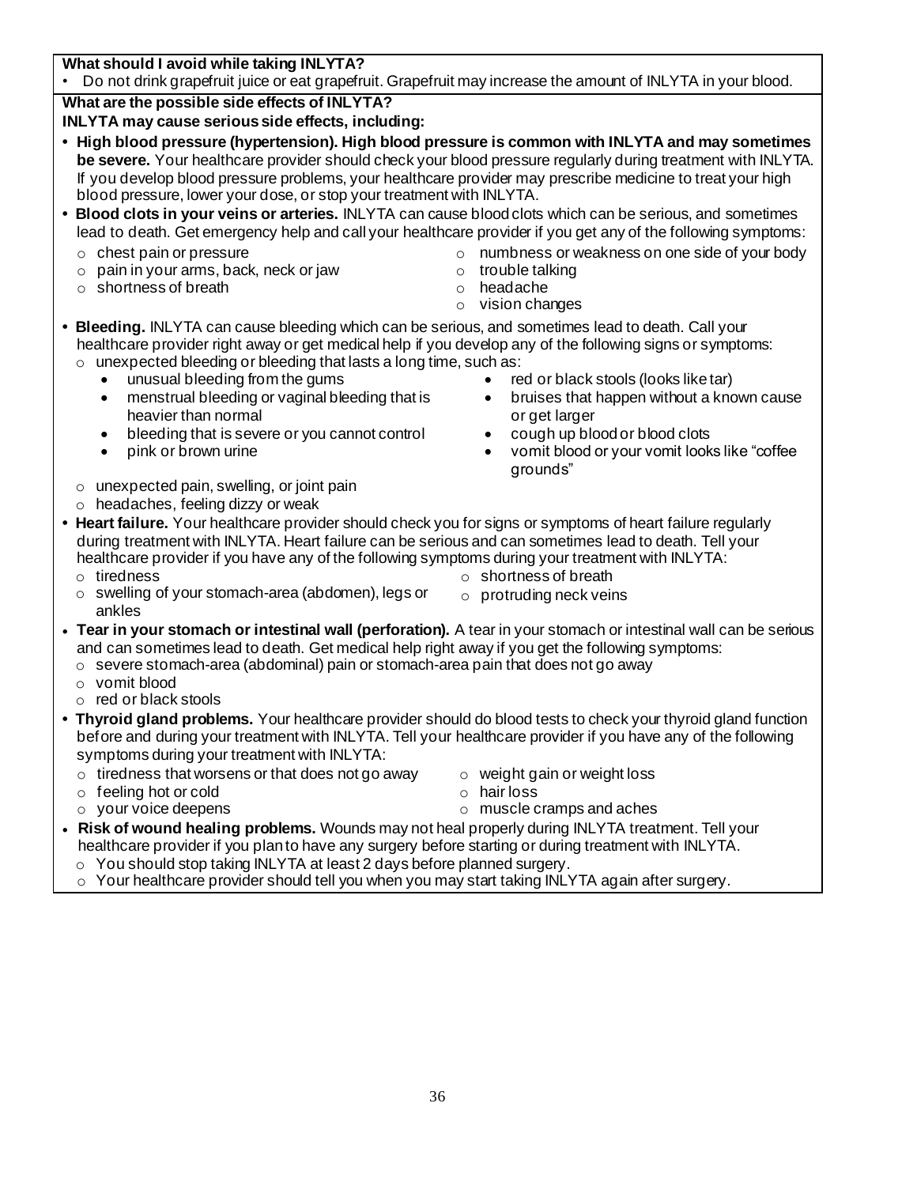**What should I avoid while taking INLYTA?**

• Do not drink grapefruit juice or eat grapefruit. Grapefruit may increase the amount of INLYTA in your blood.

**What are the possible side effects of INLYTA?**

- **INLYTA may cause serious side effects, including:**
- **• High blood pressure (hypertension). High blood pressure is common with INLYTA and may sometimes be severe.** Your healthcare provider should check your blood pressure regularly during treatment with INLYTA. If you develop blood pressure problems, your healthcare provider may prescribe medicine to treat your high blood pressure, lower your dose, or stop your treatment with INLYTA.
- **• Blood clots in your veins or arteries.** INLYTA can cause blood clots which can be serious, and sometimes lead to death. Get emergency help and call your healthcare provider if you get any of the following symptoms:
	- o chest pain or pressure
	- o pain in your arms, back, neck or jaw
	- o shortness of breath
- o numbness or weakness on one side of your body
- o trouble talking
- o headache
- o vision changes
- **• Bleeding.** INLYTA can cause bleeding which can be serious, and sometimes lead to death. Call your healthcare provider right away or get medical help if you develop any of the following signs or symptoms: o unexpected bleeding or bleeding that lasts a long time, such as:
	- unusual bleeding from the gums
	- menstrual bleeding or vaginal bleeding that is heavier than normal
	- bleeding that is severe or you cannot control
	- pink or brown urine
	- o unexpected pain, swelling, or joint pain
	- $\circ$  headaches, feeling dizzy or weak
- red or black stools (looks like tar)
- bruises that happen without a known cause or get larger
- cough up blood or blood clots
- vomit blood or your vomit looks like "coffee grounds"
- **• Heart failure.** Your healthcare provider should check you for signs or symptoms of heart failure regularly during treatment with INLYTA. Heart failure can be serious and can sometimes lead to death. Tell your healthcare provider if you have any of the following symptoms during your treatment with INLYTA:
	- o tiredness o swelling of your stomach-area (abdomen), legs or ankles
- o shortness of breath
- o protruding neck veins
- **Tear in your stomach or intestinal wall (perforation).** A tear in your stomach or intestinal wall can be serious and can sometimes lead to death. Get medical help right away if you get the following symptoms:
- $\circ$  severe stomach-area (abdominal) pain or stomach-area pain that does not go away
- o vomit blood
- o red or black stools
- **• Thyroid gland problems.** Your healthcare provider should do blood tests to check your thyroid gland function before and during your treatment with INLYTA. Tell your healthcare provider if you have any of the following symptoms during your treatment with INLYTA:
	- $\circ$  tiredness that worsens or that does not go away
	- o feeling hot or cold
	- o your voice deepens
- o weight gain or weight loss o hair loss
- o muscle cramps and aches
- **Risk of wound healing problems.** Wounds may not heal properly during INLYTA treatment. Tell your healthcare provider if you plan to have any surgery before starting or during treatment with INLYTA.
	- o You should stop taking INLYTA at least 2 days before planned surgery.
	- o Your healthcare provider should tell you when you may start taking INLYTA again after surgery.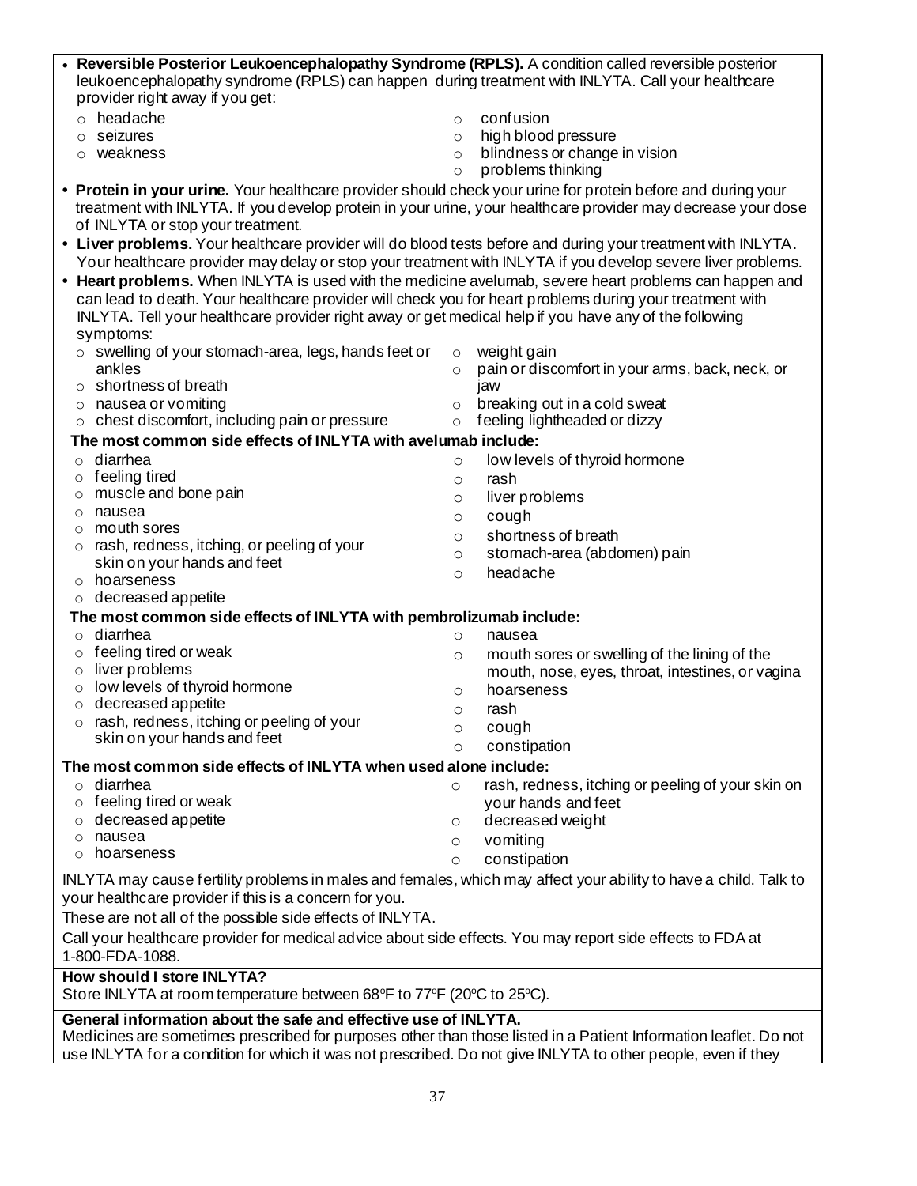| • Reversible Posterior Leukoencephalopathy Syndrome (RPLS). A condition called reversible posterior<br>leukoencephalopathy syndrome (RPLS) can happen during treatment with INLYTA. Call your healthcare                    |          |                                                   |  |  |  |
|-----------------------------------------------------------------------------------------------------------------------------------------------------------------------------------------------------------------------------|----------|---------------------------------------------------|--|--|--|
| provider right away if you get:                                                                                                                                                                                             |          |                                                   |  |  |  |
| headache                                                                                                                                                                                                                    | $\Omega$ | confusion                                         |  |  |  |
| seizures<br>O                                                                                                                                                                                                               | $\circ$  | high blood pressure                               |  |  |  |
| weakness                                                                                                                                                                                                                    | $\circ$  | blindness or change in vision                     |  |  |  |
|                                                                                                                                                                                                                             | $\circ$  | problems thinking                                 |  |  |  |
| • Protein in your urine. Your healthcare provider should check your urine for protein before and during your                                                                                                                |          |                                                   |  |  |  |
| treatment with INLYTA. If you develop protein in your urine, your healthcare provider may decrease your dose<br>of INLYTA or stop your treatment.                                                                           |          |                                                   |  |  |  |
|                                                                                                                                                                                                                             |          |                                                   |  |  |  |
| • Liver problems. Your healthcare provider will do blood tests before and during your treatment with INLYTA.<br>Your healthcare provider may delay or stop your treatment with INLYTA if you develop severe liver problems. |          |                                                   |  |  |  |
| • Heart problems. When INLYTA is used with the medicine avelumab, severe heart problems can happen and                                                                                                                      |          |                                                   |  |  |  |
| can lead to death. Your healthcare provider will check you for heart problems during your treatment with                                                                                                                    |          |                                                   |  |  |  |
| INLYTA. Tell your healthcare provider right away or get medical help if you have any of the following                                                                                                                       |          |                                                   |  |  |  |
| symptoms:                                                                                                                                                                                                                   |          |                                                   |  |  |  |
| $\circ$ swelling of your stomach-area, legs, hands feet or                                                                                                                                                                  | $\circ$  | weight gain                                       |  |  |  |
| ankles                                                                                                                                                                                                                      | $\circ$  | pain or discomfort in your arms, back, neck, or   |  |  |  |
| shortness of breath<br>$\circ$                                                                                                                                                                                              |          | jaw                                               |  |  |  |
| nausea or vomiting<br>$\circ$                                                                                                                                                                                               | $\circ$  | breaking out in a cold sweat                      |  |  |  |
| chest discomfort, including pain or pressure                                                                                                                                                                                | $\circ$  | feeling lightheaded or dizzy                      |  |  |  |
| The most common side effects of INLYTA with avelumab include:                                                                                                                                                               |          |                                                   |  |  |  |
| diarrhea<br>$\circ$                                                                                                                                                                                                         | $\circ$  | low levels of thyroid hormone                     |  |  |  |
| feeling tired<br>O                                                                                                                                                                                                          | $\circ$  | rash                                              |  |  |  |
| muscle and bone pain<br>O                                                                                                                                                                                                   | $\circ$  | liver problems                                    |  |  |  |
| nausea<br>$\circ$<br>mouth sores                                                                                                                                                                                            | $\circ$  | cough                                             |  |  |  |
| $\circ$<br>rash, redness, itching, or peeling of your<br>$\circ$                                                                                                                                                            | $\circ$  | shortness of breath                               |  |  |  |
| skin on your hands and feet                                                                                                                                                                                                 | $\circ$  | stomach-area (abdomen) pain                       |  |  |  |
| hoarseness<br>$\circ$                                                                                                                                                                                                       | $\circ$  | headache                                          |  |  |  |
| decreased appetite<br>$\circ$                                                                                                                                                                                               |          |                                                   |  |  |  |
| The most common side effects of INLYTA with pembrolizumab include:                                                                                                                                                          |          |                                                   |  |  |  |
| diarrhea<br>$\circ$                                                                                                                                                                                                         | $\circ$  | nausea                                            |  |  |  |
| feeling tired or weak<br>O                                                                                                                                                                                                  | $\circ$  | mouth sores or swelling of the lining of the      |  |  |  |
| liver problems<br>$\circ$                                                                                                                                                                                                   |          | mouth, nose, eyes, throat, intestines, or vagina  |  |  |  |
| low levels of thyroid hormone<br>O                                                                                                                                                                                          | $\circ$  | hoarseness                                        |  |  |  |
| decreased appetite<br>$\circ$                                                                                                                                                                                               | $\circ$  | rash                                              |  |  |  |
| rash, redness, itching or peeling of your<br>$\circ$                                                                                                                                                                        |          | cough                                             |  |  |  |
| skin on your hands and feet                                                                                                                                                                                                 | $\circ$  | constipation                                      |  |  |  |
| The most common side effects of INLYTA when used alone include:                                                                                                                                                             |          |                                                   |  |  |  |
| diarrhea<br>O                                                                                                                                                                                                               | O        | rash, redness, itching or peeling of your skin on |  |  |  |
| feeling tired or weak<br>O                                                                                                                                                                                                  |          | your hands and feet                               |  |  |  |
| decreased appetite<br>O                                                                                                                                                                                                     | O        | decreased weight                                  |  |  |  |
| nausea<br>O                                                                                                                                                                                                                 | $\circ$  | vomiting                                          |  |  |  |
| hoarseness<br>O                                                                                                                                                                                                             | $\circ$  | constipation                                      |  |  |  |
| INLYTA may cause fertility problems in males and females, which may affect your ability to have a child. Talk to                                                                                                            |          |                                                   |  |  |  |
| your healthcare provider if this is a concern for you.                                                                                                                                                                      |          |                                                   |  |  |  |
| These are not all of the possible side effects of INLYTA.                                                                                                                                                                   |          |                                                   |  |  |  |
| Call your healthcare provider for medical advice about side effects. You may report side effects to FDA at                                                                                                                  |          |                                                   |  |  |  |
| 1-800-FDA-1088.                                                                                                                                                                                                             |          |                                                   |  |  |  |
| <b>How should I store INLYTA?</b>                                                                                                                                                                                           |          |                                                   |  |  |  |
| Store INLYTA at room temperature between 68°F to 77°F (20°C to 25°C).                                                                                                                                                       |          |                                                   |  |  |  |

#### **General information about the safe and effective use of INLYTA.**

Medicines are sometimes prescribed for purposes other than those listed in a Patient Information leaflet. Do not use INLYTA for a condition for which it was not prescribed. Do not give INLYTA to other people, even if they